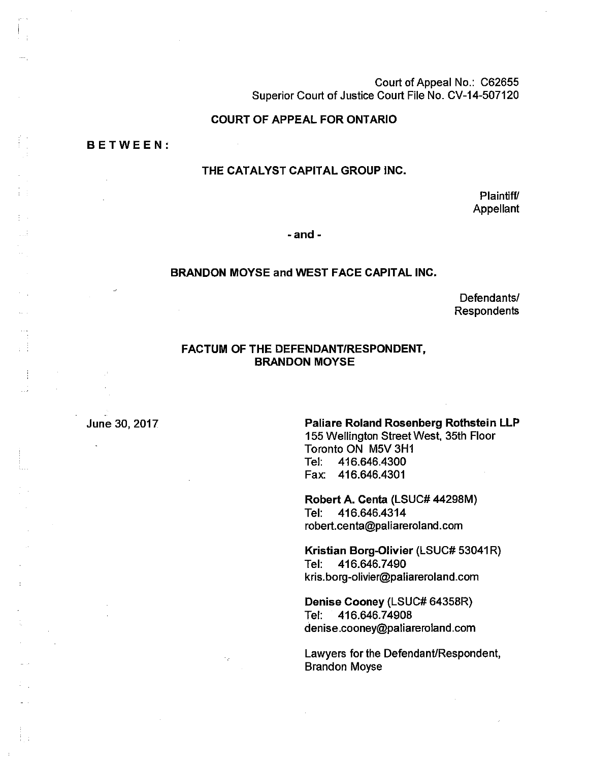Court of Appeal No.: C62655 Superior Court of Justice Court File No. CV-14-507120

#### **COURT OF APPEAL FOR ONTARIO**

**BETWEEN:** 

 $\frac{1}{2}$  .  $\frac{1}{2}$  $\mathbb{Z} \mathbb{Z}^4$ 

 $\epsilon_{\rm{max}}$ 

τŤ

 $\frac{1}{2}$ ШÌ

## **THE CATALYST CAPITAL GROUP INC.**

Plaintiff/ Appellant

**- and -**

#### **BRANDON MOYSE and WEST FACE CAPITAL INC.**

Defendants/ Respondents

## **FACTUM OF THE DEFENDANT/RESPONDENT, BRANDON MOYSE**

#### June 30, 2017 **Paliare Roland Rosenberg Rothstein LLP**

155 Wellington Street West, 35th Floor Toronto ON M5V3H1 Tel: 416.646.4300 Fax: 416.646.4301

Robert **A.** Centa (LSUC# 44298M) Tel: 416.646.4314 robert.centa@paliareroland.com

**Kristian** Borg**-Olivier** (LSUC# 53041R) Tel: 416.646.7490 kris.borg-olivier@paliareroland.com

Denise Cooney (LSUC# 64358R) Tel: 416.646.74908 denise.cooney@paliareroland.com

Lawyers for the Defendant/Respondent, Brandon Moyse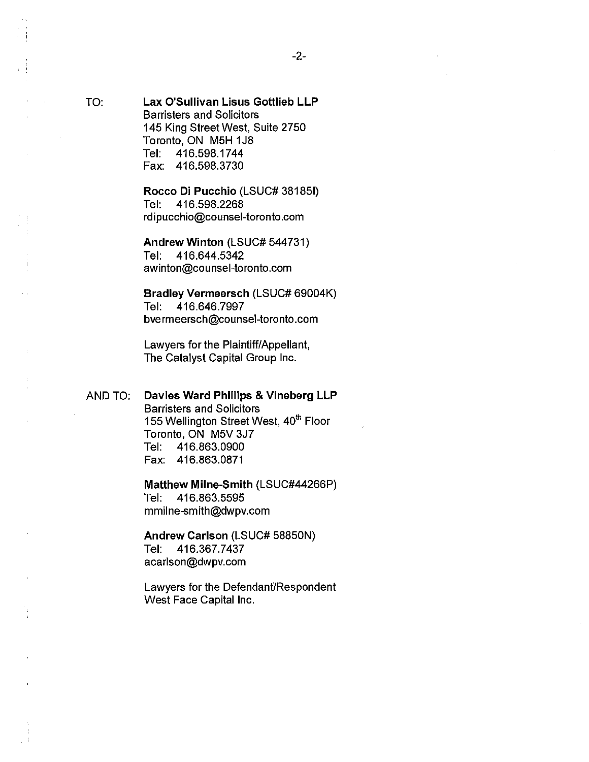TO: **Lax O'Sullivan Lisus Gottlieb LLP**  Barristers and Solicitors 145 King Street West, Suite 2750 Toronto, ON M5H 1J8 Tel: 416.598.1744 Fax: 416.598.3730

> Rocco Di Pucchio (LSUC# 381851) Tel: 416.598.2268 rdipucchio@counsel-toronto.com

**Andrew Winton** (LSUC# 544731) Tel: 416.644.5342 awinton@counsel-toronto.com

**Bradley Vermeersch** (LSUC# 69004K) Tel: 416.646.7997 bvermeersch@counsel-toronto.com

Lawyers for the Plaintiff/Appellant, The Catalyst Capital Group Inc.

AND TO: **Davies Ward Phillips & Vineberg LLP** 

Barristers and Solicitors 155 Wellington Street West, 40<sup>th</sup> Floor Toronto, ON M5V3J7 Tel: 416.863.0900 Fax: 416.863.0871

**Matthew Milne-Smith** (LSUC#44266P) Tel: 416.863.5595 mmilne-smith@dwpv.com

**Andrew Carlson** (LSUC# 58850N) Tel: 416.367.7437 acarlson@dwpv.com

Lawyers for the Defendant/Respondent West Face Capital Inc.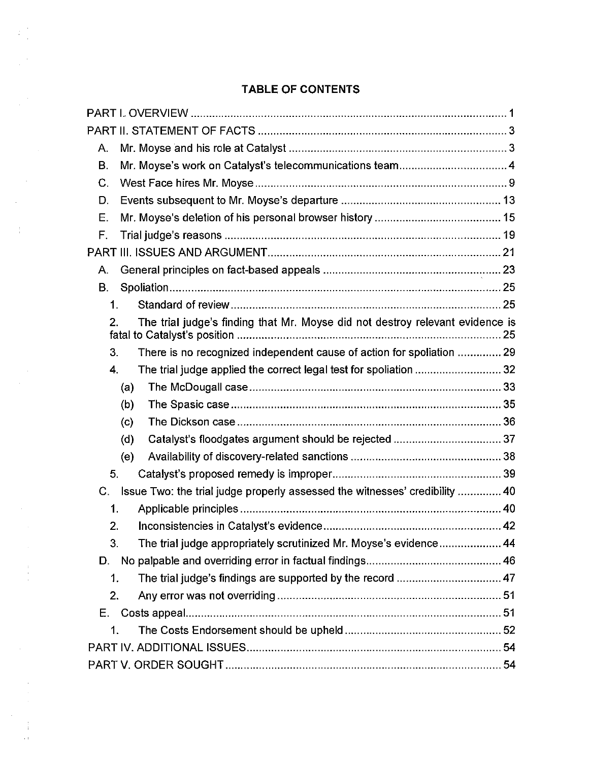# **TABLE OF CONTENTS**

 $\frac{1}{4}$ 

 $\bar{\gamma}$ 

 $\begin{array}{c} 1 \\ 1 \\ 1 \\ 2 \end{array}$ 

 $\bar{\beta}$ 

 $\frac{1}{4}$  $\sim 1^{\circ}$ 

| А.             |                                                                               |  |  |
|----------------|-------------------------------------------------------------------------------|--|--|
| <b>B.</b>      |                                                                               |  |  |
| $\mathsf{C}$ . |                                                                               |  |  |
| D.             |                                                                               |  |  |
| Ε.             |                                                                               |  |  |
| F.             |                                                                               |  |  |
|                |                                                                               |  |  |
| Α.             |                                                                               |  |  |
| В.             |                                                                               |  |  |
| 1.             |                                                                               |  |  |
| 2.             | The trial judge's finding that Mr. Moyse did not destroy relevant evidence is |  |  |
| 3.             | There is no recognized independent cause of action for spoliation  29         |  |  |
| 4.             | The trial judge applied the correct legal test for spoliation  32             |  |  |
|                | (a)                                                                           |  |  |
|                | (b)                                                                           |  |  |
|                | (c)                                                                           |  |  |
|                | Catalyst's floodgates argument should be rejected  37<br>(d)                  |  |  |
|                | (e)                                                                           |  |  |
| 5.             |                                                                               |  |  |
| С.             | Issue Two: the trial judge properly assessed the witnesses' credibility  40   |  |  |
| 1.             |                                                                               |  |  |
| 2.             |                                                                               |  |  |
| З.             | The trial judge appropriately scrutinized Mr. Moyse's evidence 44             |  |  |
| D.             |                                                                               |  |  |
| 1.             | The trial judge's findings are supported by the record  47                    |  |  |
| 2.             |                                                                               |  |  |
| Е.             |                                                                               |  |  |
| 1.             |                                                                               |  |  |
|                |                                                                               |  |  |
|                |                                                                               |  |  |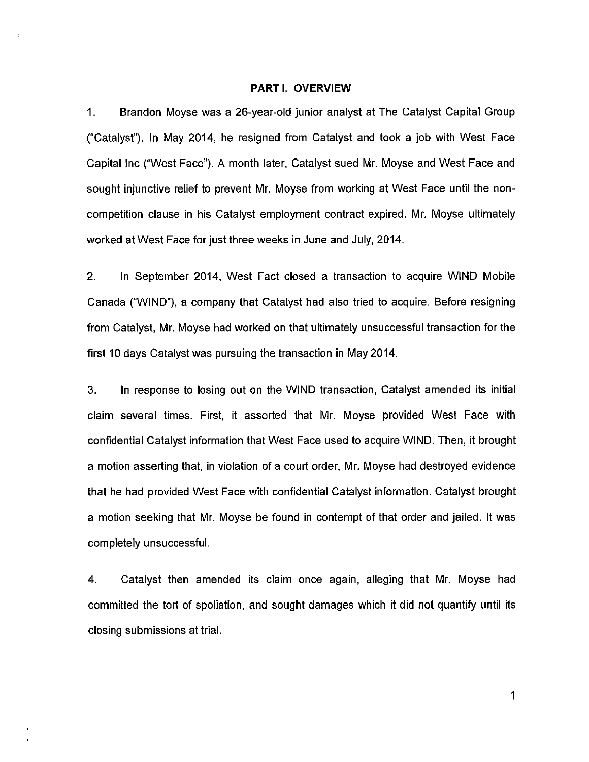#### **PARTI. OVERVIEW**

1. Brandon Moyse was a 26-year-old junior analyst at The Catalyst Capital Group ("Catalyst"). In May 2014, he resigned from Catalyst and took a job with West Face Capital Inc ("West Face"). A month later, Catalyst sued Mr. Moyse and West Face and sought injunctive relief to prevent Mr. Moyse from working at West Face until the noncompetition clause in his Catalyst employment contract expired. Mr. Moyse ultimately worked at West Face for just three weeks in June and July, 2014.

2. In September 2014, West Fact closed a transaction to acquire WIND Mobile Canada ("WIND"), a company that Catalyst had also tried to acquire. Before resigning from Catalyst, Mr. Moyse had worked on that ultimately unsuccessful transaction for the first 10 days Catalyst was pursuing the transaction in May 2014.

3. In response to losing out on the WIND transaction, Catalyst amended its initial claim several times. First, it asserted that Mr. Moyse provided West Face with confidential Catalyst information that West Face used to acquire WIND. Then, it brought a motion asserting that, in violation of a court order, Mr. Moyse had destroyed evidence that he had provided West Face with confidential Catalyst information. Catalyst brought a motion seeking that Mr. Moyse be found in contempt of that order and jailed. It was completely unsuccessful.

4. Catalyst then amended its claim once again, alleging that Mr. Moyse had committed the tort of spoliation, and sought damages which it did not quantify until its closing submissions at trial.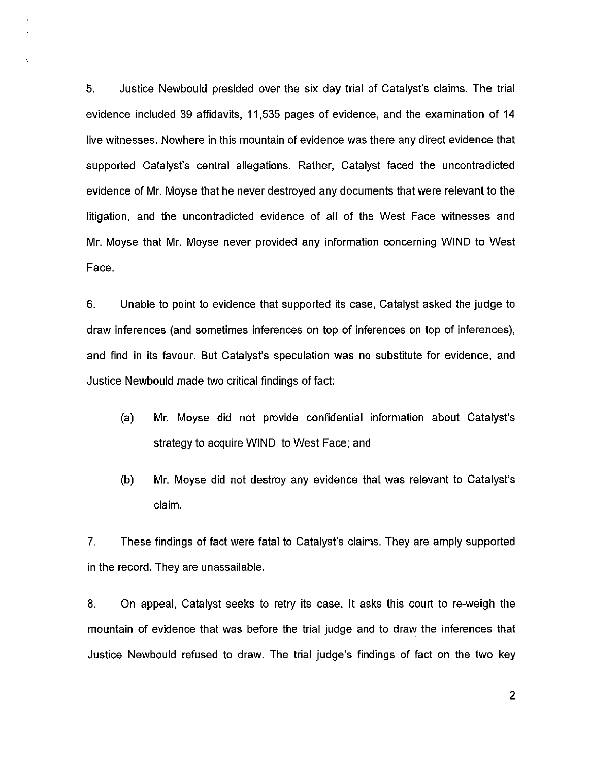5. Justice Newbould presided over the six day trial of Catalyst's claims. The trial evidence included 39 affidavits, 11,535 pages of evidence, and the examination of 14 live witnesses. Nowhere in this mountain of evidence was there any direct evidence that supported Catalyst's central allegations. Rather, Catalyst faced the uncontradicted evidence of Mr. Moyse that he never destroyed any documents that were relevant to the litigation, and the uncontradicted evidence of all of the West Face witnesses and Mr. Moyse that Mr. Moyse never provided any information concerning WIND to West Face.

6. Unable to point to evidence that supported its case, Catalyst asked the judge to draw inferences (and sometimes inferences on top of inferences on top of inferences), and find in its favour. But Catalyst's speculation was no substitute for evidence, and Justice Newbould made two critical findings of fact:

- (a) Mr. Moyse did not provide confidential information about Catalyst's strategy to acquire WIND to West Face; and
- (b) Mr. Moyse did not destroy any evidence that was relevant to Catalyst's claim.

7. These findings of fact were fatal to Catalyst's claims. They are amply supported in the record. They are unassailable.

8. On appeal, Catalyst seeks to retry its case. It asks this court to re-weigh the mountain of evidence that was before the trial judge and to draw the inferences that Justice Newbould refused to draw. The trial judge's findings of fact on the two key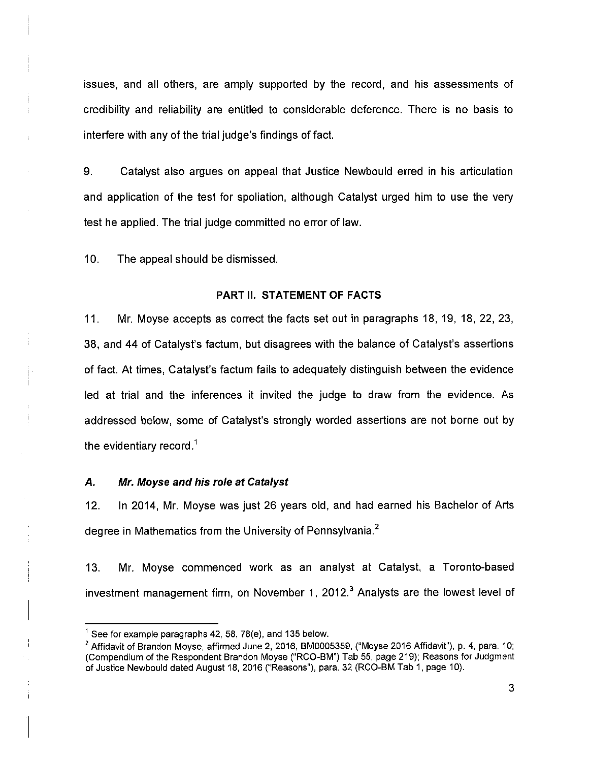issues, and all others, are amply supported by the record, and his assessments of credibility and reliability are entitled to considerable deference. There is no basis to interfere with any of the trial judge's findings of fact.

9. Catalyst also argues on appeal that Justice Newbould erred in his articulation and application of the test for spoliation, although Catalyst urged him to use the very test he applied. The trial judge committed no error of law.

10. The appeal should be dismissed.

#### **PART II. STATEMENT OF FACTS**

11. Mr. Moyse accepts as correct the facts set out in paragraphs 18, 19, 18, 22, 23, 38, and 44 of Catalyst's factum, but disagrees with the balance of Catalyst's assertions of fact. At times, Catalyst's factum fails to adequately distinguish between the evidence led at trial and the inferences it invited the judge to draw from the evidence. As addressed below, some of Catalyst's strongly worded assertions are not borne out by the evidentiary record.<sup>1</sup>

## *A. Mr. Moyse and his role at Catalyst*

12. In 2014, Mr. Moyse was just 26 years old, and had earned his Bachelor of Arts degree in Mathematics from the University of Pennsylvania.<sup>2</sup>

13. Mr. Moyse commenced work as an analyst at Catalyst, a Toronto-based investment management firm, on November 1, 2012. $3$  Analysts are the lowest level of

 $<sup>1</sup>$  See for example paragraphs 42, 58, 78(e), and 135 below.</sup>

 $2$  Affidavit of Brandon Moyse, affirmed June 2, 2016, BM0005359, ("Moyse 2016 Affidavit"), p. 4, para. 10; (Compendium of the Respondent Brandon Moyse ("RCO-BM") Tab 55, page 219); Reasons for Judgment of Justice Newbould dated August 18, 2016 ("Reasons"), para. 32 (RCO-BM Tab 1, page 10).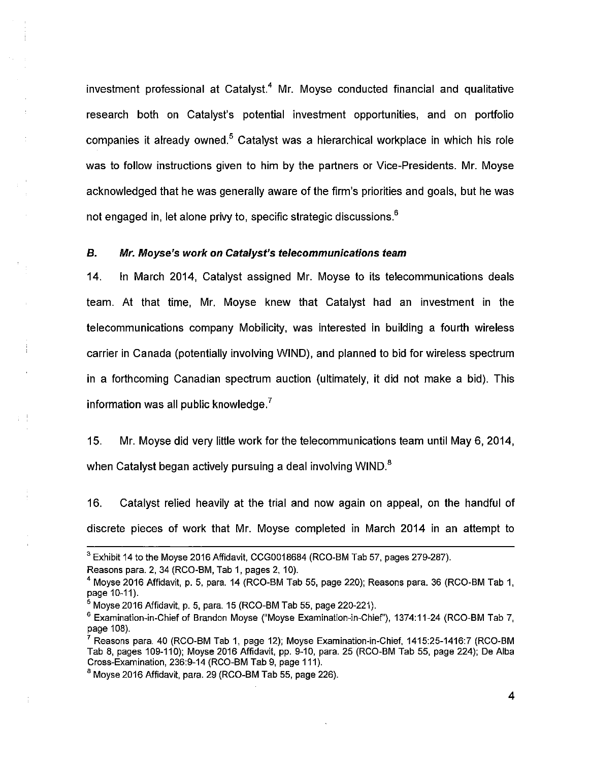investment professional at Catalyst.<sup>4</sup> Mr. Moyse conducted financial and qualitative research both on Catalyst's potential investment opportunities, and on portfolio companies it already owned.<sup>5</sup> Catalyst was a hierarchical workplace in which his role was to follow instructions given to him by the partners or Vice-Presidents. Mr. Moyse acknowledged that he was generally aware of the firm's priorities and goals, but he was not engaged in, let alone privy to, specific strategic discussions. $6\,$ 

## *B. Mr. Moyse's work on Catalyst's telecommunications team*

14. In March 2014, Catalyst assigned Mr. Moyse to its telecommunications deals team. At that time, Mr. Moyse knew that Catalyst had an investment in the telecommunications company Mobilicity, was interested in building a fourth wireless carrier in Canada (potentially involving WIND), and planned to bid for wireless spectrum in a forthcoming Canadian spectrum auction (ultimately, it did not make a bid). This information was all public knowledge. $<sup>7</sup>$ </sup>

15. Mr. Moyse did very little work for the telecommunications team until May 6, 2014, when Catalyst began actively pursuing a deal involving WIND. $^8$ 

16. Catalyst relied heavily at the trial and now again on appeal, on the handful of discrete pieces of work that Mr. Moyse completed in March 2014 in an attempt to

÷

 $3$  Exhibit 14 to the Moyse 2016 Affidavit, CCG0018684 (RCO-BM Tab 57, pages 279-287).

Reasons para. 2, 34 (RCO-BM, Tab 1, pages 2,10).

 $^4$  Moyse 2016 Affidavit, p. 5, para. 14 (RCO-BM Tab 55, page 220); Reasons para. 36 (RCO-BM Tab 1, page 10-11).

 $5$  Moyse 2016 Affidavit, p. 5, para. 15 (RCO-BM Tab 55, page 220-221).

<sup>&</sup>lt;sup>6</sup> Examination-in-Chief of Brandon Moyse ("Moyse Examination-in-Chief"), 1374:11-24 (RCO-BM Tab 7, page 108).

<sup>7</sup>Reasons para. 40 (RCO-BM Tab 1, page 12); Moyse Examination-in-Chief, 1415:25-1416:7 (RCO-BM Tab 8, pages 109-110); Moyse 2016 Affidavit, pp. 9-10, para. 25 (RCO-BM Tab 55, page 224); De Alba Cross-Examination, 236:9-14 (RCO-BM Tab 9, page 111).

 $8$  Moyse 2016 Affidavit, para. 29 (RCO-BM Tab 55, page 226).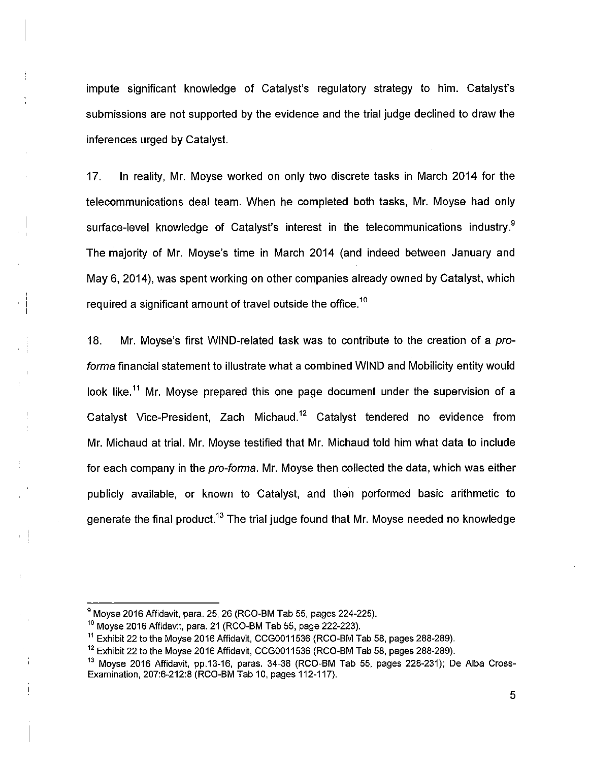impute significant knowledge of Catalyst's regulatory strategy to him. Catalyst's submissions are not supported by the evidence and the trial judge declined to draw the inferences urged by Catalyst.

17. In reality, Mr. Moyse worked on only two discrete tasks in March 2014 for the telecommunications deal team. When he completed both tasks, Mr. Moyse had only surface-level knowledge of Catalyst's interest in the telecommunications industry.<sup>9</sup> The majority of Mr. Moyse's time in March 2014 (and indeed between January and May 6, 2014), was spent working on other companies already owned by Catalyst, which required a significant amount of travel outside the office.<sup>10</sup>

18. Mr. Moyse's first WIND-related task was to contribute to the creation of a *proforma* financial statement to illustrate what a combined WIND and Mobilicity entity would look like.<sup>11</sup> Mr. Moyse prepared this one page document under the supervision of a Catalyst Vice-President, Zach Michaud.<sup>12</sup> Catalyst tendered no evidence from Mr. Michaud at trial. Mr. Moyse testified that Mr. Michaud told him what data to include for each company in the *pro-forma.* Mr. Moyse then collected the data, which was either publicly available, or known to Catalyst, and then performed basic arithmetic to generate the final product.<sup>13</sup> The trial judge found that Mr. Moyse needed no knowledge

 $9$  Moyse 2016 Affidavit, para. 25, 26 (RCO-BM Tab 55, pages 224-225).

 $10$  Moyse 2016 Affidavit, para. 21 (RCO-BM Tab 55, page 222-223).

<sup>&</sup>lt;sup>11</sup> Exhibit 22 to the Moyse 2016 Affidavit, CCG0011536 (RCO-BM Tab 58, pages 288-289).

<sup>&</sup>lt;sup>12</sup> Exhibit 22 to the Moyse 2016 Affidavit, CCG0011536 (RCO-BM Tab 58, pages 288-289).

<sup>13</sup> Moyse 2016 Affidavit, pp.13-16, paras. 34-38 (RCO-BM Tab 55, pages 228-231); De Alba Cross-Examination, 207:6-212:8 (RCO-BM Tab 10, pages 112-117).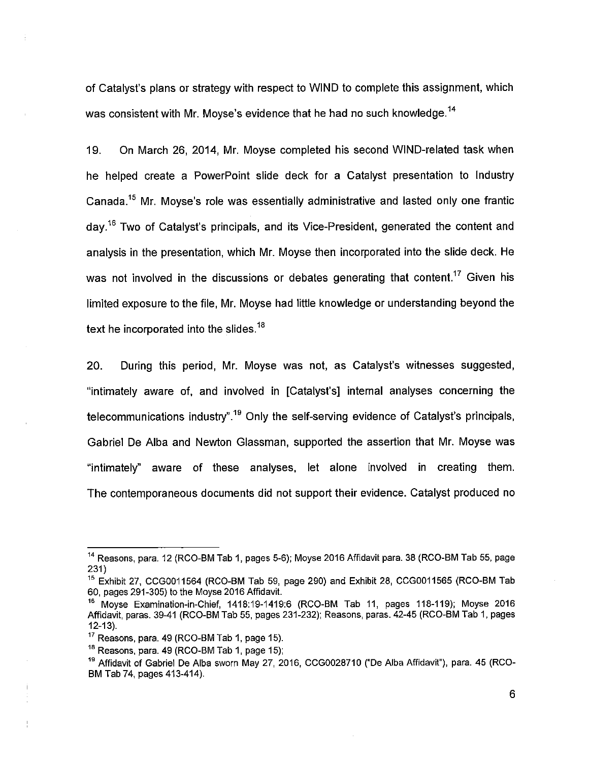of Catalyst's plans or strategy with respect to WIND to complete this assignment, which was consistent with Mr. Moyse's evidence that he had no such knowledge.<sup>14</sup>

19. On March 26, 2014, Mr. Moyse completed his second WIND-related task when he helped create a PowerPoint slide deck for a Catalyst presentation to Industry Canada.<sup>15</sup> Mr. Moyse's role was essentially administrative and lasted only one frantic day.<sup>16</sup> Two of Catalyst's principals, and its Vice-President, generated the content and analysis in the presentation, which Mr. Moyse then incorporated into the slide deck. He was not involved in the discussions or debates generating that content.<sup>17</sup> Given his limited exposure to the file, Mr. Moyse had little knowledge or understanding beyond the text he incorporated into the slides.<sup>18</sup>

20. During this period, Mr. Moyse was not, as Catalyst's witnesses suggested, "intimately aware of, and involved in [Catalyst's] internal analyses concerning the telecommunications industry".<sup>19</sup> Only the self-serving evidence of Catalyst's principals, Gabriel De Alba and Newton Glassman, supported the assertion that Mr. Moyse was "intimately" aware of these analyses, let alone involved in creating them. The contemporaneous documents did not support their evidence. Catalyst produced no

<sup>&</sup>lt;sup>14</sup> Reasons, para. 12 (RCO-BM Tab 1, pages 5-6); Moyse 2016 Affidavit para. 38 (RCO-BM Tab 55, page 231)

<sup>&</sup>lt;sup>15</sup> Exhibit 27, CCG0011564 (RCO-BM Tab 59, page 290) and Exhibit 28, CCG0011565 (RCO-BM Tab 60, pages 291-305) to the Moyse 2016 Affidavit.

<sup>&</sup>lt;sup>16</sup> Moyse Examination-in-Chief, 1418:19-1419:6 (RCO-BM Tab 11, pages 118-119); Moyse 2016 Affidavit, paras. 39-41 (RCO-BM Tab 55, pages 231-232); Reasons, paras. 42-45 (RCO-BM Tab 1, pages 12-13).

 $17$  Reasons, para, 49 (RCO-BM Tab 1, page 15).

 $18$  Reasons, para. 49 (RCO-BM Tab 1, page 15);

<sup>19</sup> Affidavit of Gabriel De Alba sworn May 27, 2016, CCG0028710 ("De Alba Affidavit"), para. 45 (RCO-BM Tab 74, pages 413-414).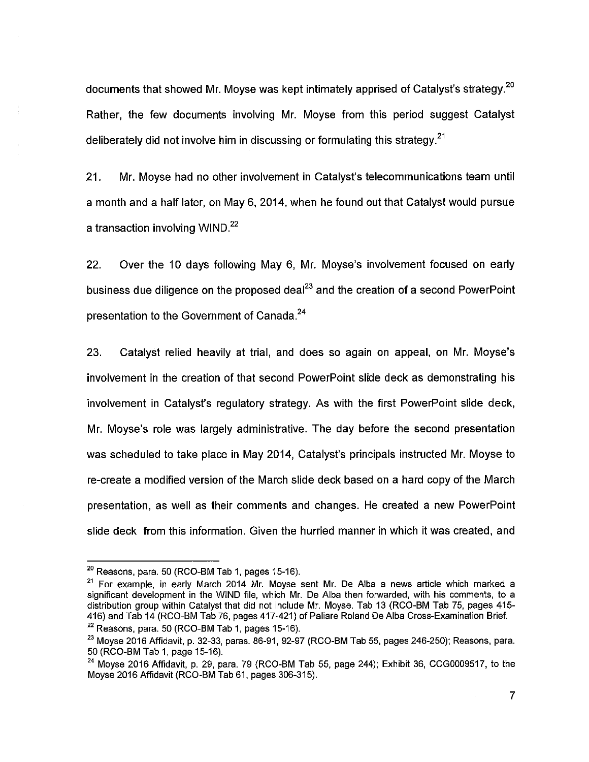documents that showed Mr. Moyse was kept intimately apprised of Catalyst's strategy.<sup>20</sup> Rather, the few documents involving Mr. Moyse from this period suggest Catalyst deliberately did not involve him in discussing or formulating this strategy.<sup>21</sup>

21. Mr. Moyse had no other involvement in Catalyst's telecommunications team until a month and a half later, on May 6, 2014, when he found out that Catalyst would pursue a transaction involving WIND. $^{22}$ 

22. Over the 10 days following May 6, Mr. Moyse's involvement focused on early business due diligence on the proposed deal<sup>23</sup> and the creation of a second PowerPoint presentation to the Government of Canada.<sup>24</sup>

23. Catalyst relied heavily at trial, and does so again on appeal, on Mr. Moyse's involvement in the creation of that second PowerPoint slide deck as demonstrating his involvement in Catalyst's regulatory strategy. As with the first PowerPoint slide deck, Mr. Moyse's role was largely administrative. The day before the second presentation was scheduled to take place in May 2014, Catalyst's principals instructed Mr. Moyse to re-create a modified version of the March slide deck based on a hard copy of the March presentation, as well as their comments and changes. He created a new PowerPoint slide deck from this information. Given the hurried manner in which it was created, and

 $20$  Reasons, para. 50 (RCO-BM Tab 1, pages 15-16).

 $21$  For example, in early March 2014 Mr. Moyse sent Mr. De Alba a news article which marked a significant development in the WIND file, which Mr. De Alba then forwarded, with his comments, to a distribution group within Catalyst that did not include Mr. Moyse. Tab 13 (RCO-BM Tab 75, pages 415-416) and Tab 14 (RCO-BM Tab 76, pages 417-421) of Paliare Roland De Alba Cross-Examination Brief.  $22$  Reasons, para. 50 (RCO-BM Tab 1, pages 15-16).

<sup>&</sup>lt;sup>23</sup> Movse 2016 Affidavit, p. 32-33, paras. 86-91, 92-97 (RCO-BM Tab 55, pages 246-250); Reasons, para. 50 (RCO-BM Tab 1, page 15-16).

 $24$  Movse 2016 Affidavit, p. 29, para. 79 (RCO-BM Tab 55, page 244); Exhibit 36, CCG0009517, to the Moyse 2016 Affidavit (RCO-BM Tab 61, pages 306-315).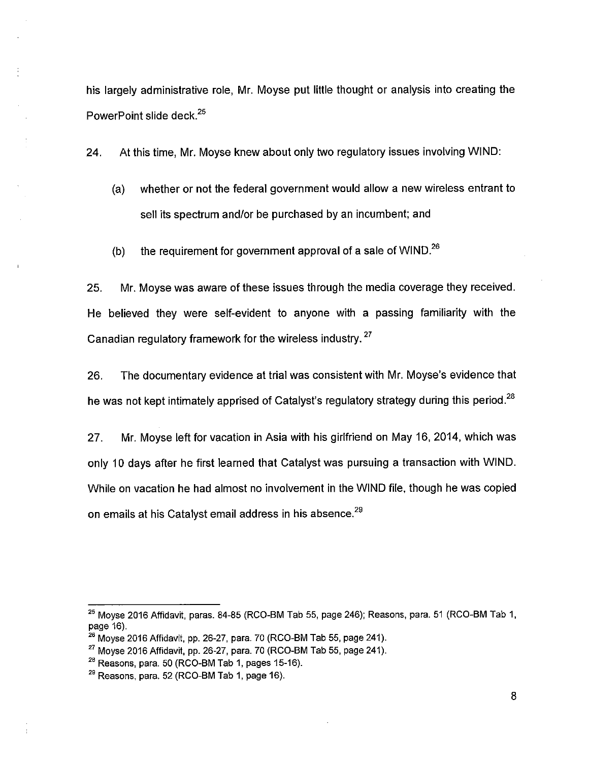his largely administrative role, Mr. Moyse put little thought or analysis into creating the PowerPoint slide deck.<sup>25</sup>

24. At this time, Mr. Moyse knew about only two regulatory issues involving WIND:

- (a) whether or not the federal government would allow a new wireless entrant to sell its spectrum and/or be purchased by an incumbent; and
- (b) the requirement for government approval of a sale of WIND.<sup>26</sup>

25. Mr. Moyse was aware of these issues through the media coverage they received. He believed they were self-evident to anyone with a passing familiarity with the Canadian regulatory framework for the wireless industry.<sup>27</sup>

26. The documentary evidence at trial was consistent with Mr. Moyse's evidence that he was not kept intimately apprised of Catalyst's regulatory strategy during this period.<sup>28</sup>

27. Mr. Moyse left for vacation in Asia with his girlfriend on May 16, 2014, which was only 10 days after he first learned that Catalyst was pursuing a transaction with WIND. While on vacation he had almost no involvement in the WIND file, though he was copied on emails at his Catalyst email address in his absence.<sup>29</sup>

 $25$  Moyse 2016 Affidavit, paras. 84-85 (RCO-BM Tab 55, page 246); Reasons, para. 51 (RCO-BM Tab 1, page 16).

 $26$  Moyse 2016 Affidavit, pp. 26-27, para. 70 (RCO-BM Tab 55, page 241).

 $^{27}$  Moyse 2016 Affidavit, pp. 26-27, para. 70 (RCO-BM Tab 55, page 241).

 $28$  Reasons, para. 50 (RCO-BM Tab 1, pages 15-16).

 $29$  Reasons, para. 52 (RCO-BM Tab 1, page 16).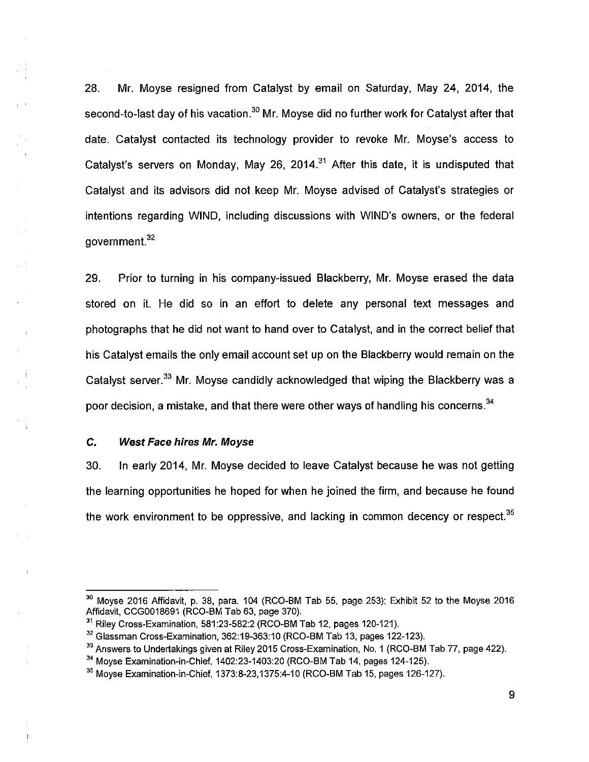28. Mr. Moyse resigned from Catalyst by email on Saturday, May 24, 2014, the second-to-last day of his vacation.<sup>30</sup> Mr. Moyse did no further work for Catalyst after that date. Catalyst contacted its technology provider to revoke Mr. Moyse's access to Catalyst's servers on Monday, May 26, 2014.<sup>31</sup> After this date, it is undisputed that Catalyst and its advisors did not keep Mr. Moyse advised of Catalyst's strategies or intentions regarding WIND, including discussions with WIND'S owners, or the federal government.<sup>32</sup>

29. Prior to turning in his company-issued Blackberry, Mr. Moyse erased the data stored on it. He did so in an effort to delete any personal text messages and photographs that he did not want to hand over to Catalyst, and in the correct belief that his Catalyst emails the only email account set up on the Blackberry would remain on the Catalyst server.<sup>33</sup> Mr. Moyse candidly acknowledged that wiping the Blackberry was a poor decision, a mistake, and that there were other ways of handling his concerns.<sup>34</sup>

## **C.** *West Face hires Mr. Moyse*

 $\sim$  :  $\frac{1}{2}$ 

 $\sim 1$ 

 $\mathord{\uparrow}$ 

30. In early 2014, Mr. Moyse decided to leave Catalyst because he was not getting the learning opportunities he hoped for when he joined the firm, and because he found the work environment to be oppressive, and lacking in common decency or respect.<sup>35</sup>

 $30$  Moyse 2016 Affidavit, p. 38, para. 104 (RCO-BM Tab 55, page 253); Exhibit 52 to the Moyse 2016 Affidavit, CCG0018691 (RCO-BM Tab 63, page 370).

<sup>&</sup>lt;sup>31</sup> Riley Cross-Examination, 581:23-582:2 (RCO-BM Tab 12, pages 120-121).

 $32$  Glassman Cross-Examination, 362:19-363:10 (RCO-BM Tab 13, pages 122-123).

<sup>&</sup>lt;sup>33</sup> Answers to Undertakings given at Riley 2015 Cross-Examination, No, 1 (RCO-BM Tab 77, page 422).

 $34$  Moyse Examination-in-Chief, 1402:23-1403:20 (RCO-BM Tab 14, pages 124-125).

 $35$  Moyse Examination-in-Chief, 1373:8-23,1375:4-10 (RCO-BM Tab 15, pages 126-127).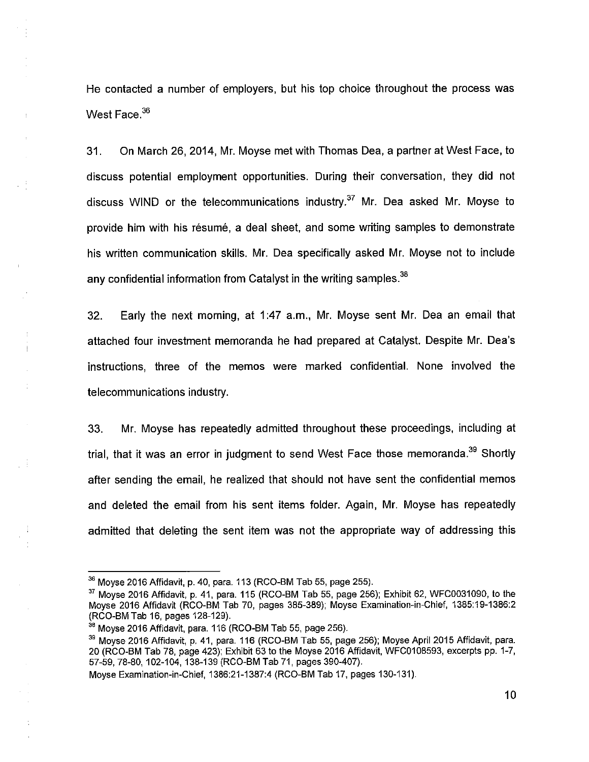He contacted a number of employers, but his top choice throughout the process was West Face.<sup>36</sup>

 $\bar{a}$ 

 $\ddot{\cdot}$ 

31. On March 26, 2014, Mr. Moyse met with Thomas Dea, a partner at West Face, to discuss potential employment opportunities. During their conversation, they did not discuss WIND or the telecommunications industry.<sup>37</sup> Mr. Dea asked Mr. Moyse to provide him with his resume, a deal sheet, and some writing samples to demonstrate his written communication skills. Mr. Dea specifically asked Mr. Moyse not to include any confidential information from Catalyst in the writing samples.<sup>38</sup>

32. Early the next morning, at 1:47 a.m., Mr. Moyse sent Mr. Dea an email that attached four investment memoranda he had prepared at Catalyst. Despite Mr. Dea's instructions, three of the memos were marked confidential. None involved the telecommunications industry.

33. Mr. Moyse has repeatedly admitted throughout these proceedings, including at trial, that it was an error in judgment to send West Face those memoranda.<sup>39</sup> Shortly after sending the email, he realized that should not have sent the confidential memos and deleted the email from his sent items folder. Again, Mr. Moyse has repeatedly admitted that deleting the sent item was not the appropriate way of addressing this

Moyse Examination-in-Chief, 1386:21-1387:4 (RCO-BM Tab 17, pages 130-131).

 $36$  Moyse 2016 Affidavit, p. 40, para. 113 (RCO-BM Tab 55, page 255).

 $37$  Moyse 2016 Affidavit, p. 41, para. 115 (RCO-BM Tab 55, page 256); Exhibit 62, WFC0031090, to the Moyse 2016 Affidavit (RCO-BM Tab 70, pages 385-389); Moyse Examination-in-Chief, 1385:19-1386:2 (RCO-BM Tab 16, pages 128-129).

<sup>&</sup>lt;sup>38</sup> Moyse 2016 Affidavit, para. 116 (RCO-BM Tab 55, page 256).

<sup>&</sup>lt;sup>39</sup> Moyse 2016 Affidavit, p, 41, para. 116 (RCO-BM Tab 55, page 256); Moyse April 2015 Affidavit, para. 20 (RCO-BM Tab 78, page 423); Exhibit 63 to the Moyse 2016 Affidavit, WFC0108593, excerpts pp. 1-7, 57-59, 78-80, 102-104, 138-139 (RCO-BM Tab 71, pages 390-407).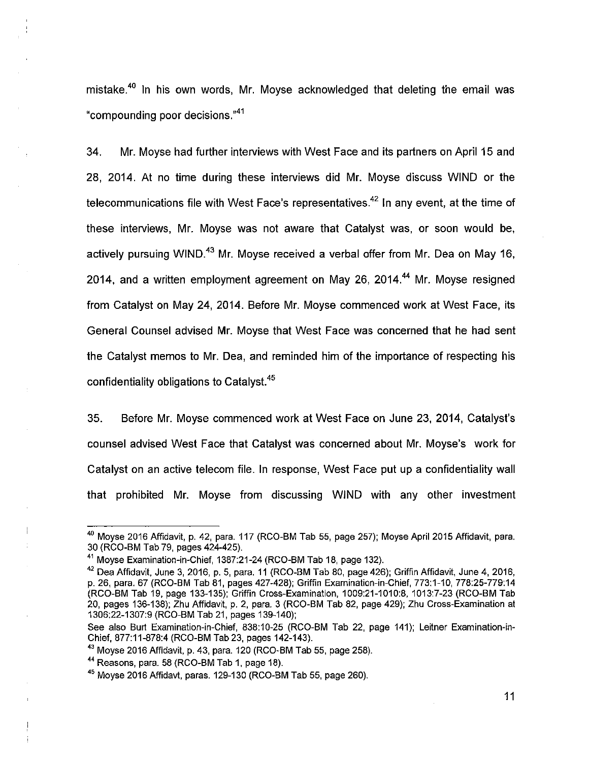mistake.<sup>40</sup> In his own words, Mr. Moyse acknowledged that deleting the email was "compounding poor decisions."<sup>41</sup>

34. Mr. Moyse had further interviews with West Face and its partners on April 15 and 28, 2014. At no time during these interviews did Mr. Moyse discuss WIND or the telecommunications file with West Face's representatives.<sup>42</sup> In any event, at the time of these interviews, Mr. Moyse was not aware that Catalyst was, or soon would be, actively pursuing WIND.<sup>43</sup> Mr. Moyse received a verbal offer from Mr. Dea on May 16, 2014, and a written employment agreement on May 26, 2014.<sup>44</sup> Mr. Moyse resigned from Catalyst on May 24, 2014. Before Mr. Moyse commenced work at West Face, its General Counsel advised Mr. Moyse that West Face was concerned that he had sent the Catalyst memos to Mr. Dea, and reminded him of the importance of respecting his confidentiality obligations to Catalyst.<sup>45</sup>

35. Before Mr. Moyse commenced work at West Face on June 23, 2014, Catalyst's counsel advised West Face that Catalyst was concerned about Mr. Moyse's work for Catalyst on an active telecom file. In response, West Face put up a confidentiality wall that prohibited Mr. Moyse from discussing WIND with any other investment

<sup>&</sup>lt;sup>40</sup> Moyse 2016 Affidavit, p. 42, para. 117 (RCO-BM Tab 55, page 257); Moyse April 2015 Affidavit, para. 30 (RCO-BM Tab 79, pages 424-425).

<sup>&</sup>lt;sup>41</sup> Moyse Examination-in-Chief, 1387:21-24 (RCO-BM Tab 18, page 132).

 $42$  Dea Affidavit, June 3, 2016, p. 5, para. 11 (RCO-BM Tab 80, page 426); Griffin Affidavit, June 4, 2016, p. 26, para. 67 (RCO-BM Tab 81, pages 427-428); Griffin Examination-in-Chief, 773:1-10, 778:25-779:14 (RCO-BM Tab 19, page 133-135); Griffin Cross-Examination, 1009:21-1010:8, 1013:7-23 (RCO-BM Tab 20, pages 136-138); Zhu Affidavit, p. 2, para. 3 (RCO-BM Tab 82, page 429); Zhu Cross-Examination at 1306:22-1307:9 (RCO-BM Tab 21, pages 139-140);

See also Burt Examination-in-Chief, 838:10-25 (RCO-BM Tab 22, page 141); Leitner Examination-in-Chief, 877:11-878:4 (RCO-BM Tab 23, pages 142-143).

 $43$  Moyse 2016 Affidavit, p. 43, para. 120 (RCO-BM Tab 55, page 258).

 $44$  Reasons, para. 58 (RCO-BM Tab 1, page 18).

 $45$  Moyse 2016 Affidayt, paras. 129-130 (RCO-BM Tab 55, page 260).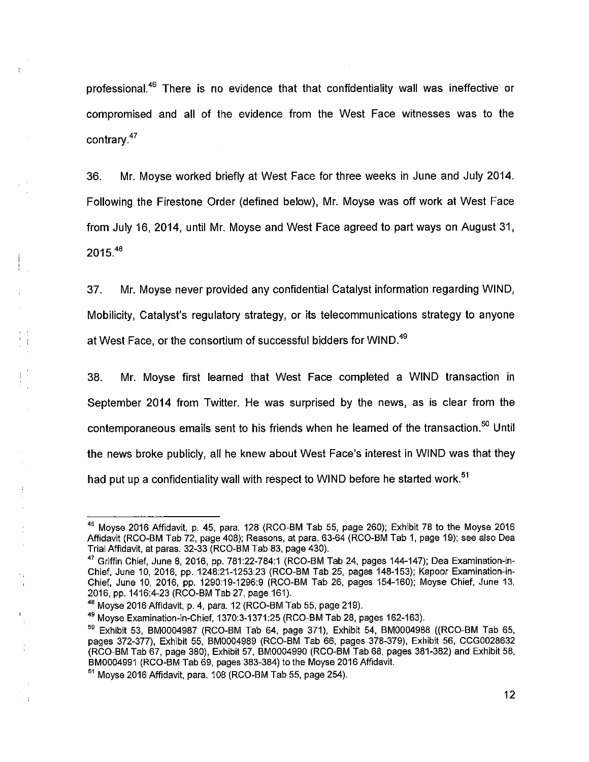professional.<sup>46</sup> There is no evidence that that confidentiality wall was ineffective or compromised and all of the evidence from the West Face witnesses was to the contrary.<sup>47</sup>

36. Mr. Moyse worked briefly at West Face for three weeks in June and July 2014. Following the Firestone Order (defined below), Mr. Moyse was off work at West Face from July 16, 2014, until Mr. Moyse and West Face agreed to part ways on August 31,  $2015^{48}$ 

37. Mr. Moyse never provided any confidential Catalyst information regarding WIND, Mobilicity, Catalyst's regulatory strategy, or its telecommunications strategy to anyone at West Face, or the consortium of successful bidders for WIND.<sup>49</sup>

38. Mr. Moyse first learned that West Face completed a WIND transaction in September 2014 from Twitter. He was surprised by the news, as is clear from the contemporaneous emails sent to his friends when he learned of the transaction. $50$  Until the news broke publicly, all he knew about West Face's interest in WIND was that they had put up a confidentiality wall with respect to WIND before he started work.<sup>51</sup>

<sup>49</sup> Moyse Examination-in-Chief, 1370:3-1371:25 (RCO-BM Tab 28, pages 162-163).

<sup>&</sup>lt;sup>46</sup> Moyse 2016 Affidavit, p. 45, para. 128 (RCO-BM Tab 55, page 260); Exhibit 78 to the Moyse 2016 Affidavit (RCO-BM Tab 72, page 408); Reasons, at para. 63-64 (RCO-BM Tab 1, page 19); see also Dea Trial Affidavit, at paras. 32-33 (RCO-BM Tab 83, page 430).

 $47$  Griffin Chief, June 8, 2016, pp. 781:22-784:1 (RCO-BM Tab 24, pages 144-147); Dea Examination-in-Chief, June 10, 2016, pp. 1248:21-1253:23 (RCO-BM Tab 25, pages 148-153); Kapoor Examination-in-Chief, June 10, 2016, pp. 1290:19-1296:9 (RCO-BM Tab 26, pages 154-160); Moyse Chief, June 13, 2016, pp. 1416:4-23 (RCO-BM Tab 27, page 161).

<sup>48</sup>Moyse 2016 Affidavit, p. 4, para. 12 (RCO-BM Tab 55, page 219).

 $50$  Exhibit 53, BM0004987 (RCO-BM Tab 64, page 371), Exhibit 54, BM0004988 ((RCO-BM Tab 65, pages 372-377), Exhibit 55, BM0004989 (RCO-BM Tab 66, pages 378-379), Exhibit 56, CCG0028632 (RCO-BM Tab 67, page 380), Exhibit 57, BM0004990 (RCO-BM Tab 68, pages 381-382) and Exhibit 58, BM0004991 (RCO-BM Tab 69, pages 383-384) to the Moyse 2016 Affidavit.

 $<sup>51</sup>$  Moyse 2016 Affidavit, para. 108 (RCO-BM Tab 55, page 254).</sup>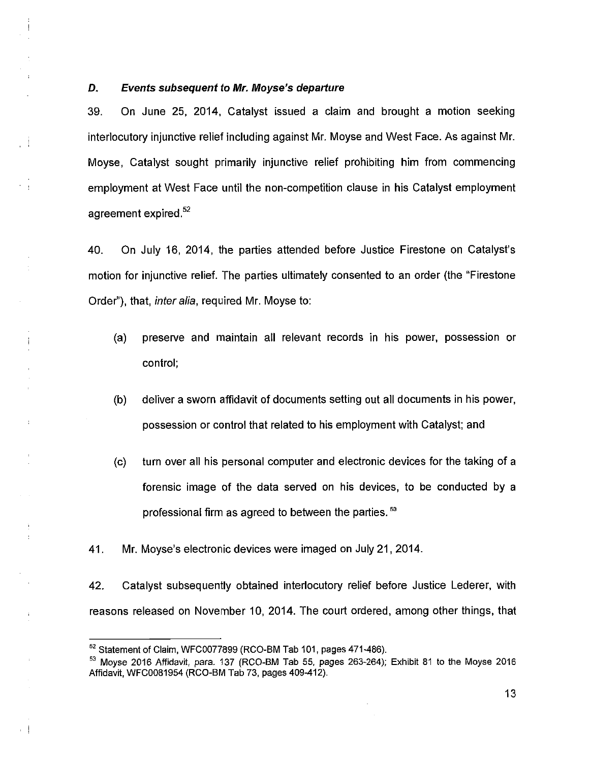## *D. Events subsequent to Mr. Moyse's departure*

 $\mathfrak{f}$ 

 $\mathbf{r}$ 

 $\bar{z}$ 

 $\epsilon$  |

39. On June 25, 2014, Catalyst issued a claim and brought a motion seeking interlocutory injunctive relief including against Mr. Moyse and West Face. As against Mr. Moyse, Catalyst sought primarily injunctive relief prohibiting him from commencing employment at West Face until the non-competition clause in his Catalyst employment agreement expired.<sup>52</sup>

40. On July 16, 2014, the parties attended before Justice Firestone on Catalyst's motion for injunctive relief. The parties ultimately consented to an order (the "Firestone Order"), that, *inter alia,* required Mr. Moyse to:

- (a) preserve and maintain all relevant records in his power, possession or control;
- (b) deliver a sworn affidavit of documents setting out all documents in his power, possession or control that related to his employment with Catalyst; and
- (c) turn over all his personal computer and electronic devices for the taking of a forensic image of the data served on his devices, to be conducted by a professional firm as agreed to between the parties.<sup>53</sup>
- 41. Mr. Moyse's electronic devices were imaged on July 21, 2014.

42. Catalyst subsequently obtained interlocutory relief before Justice Lederer, with reasons released on November 10, 2014. The court ordered, among other things, that

<sup>52</sup> Statement of Claim, WFC0077899 (RCO-BM Tab 101, pages 471-486).

<sup>&</sup>lt;sup>53</sup> Moyse 2016 Affidavit, para. 137 (RCO-BM Tab 55, pages 263-264); Exhibit 81 to the Moyse 2016 Affidavit, WFC0081954 (RCO-BM Tab 73, pages 409-412).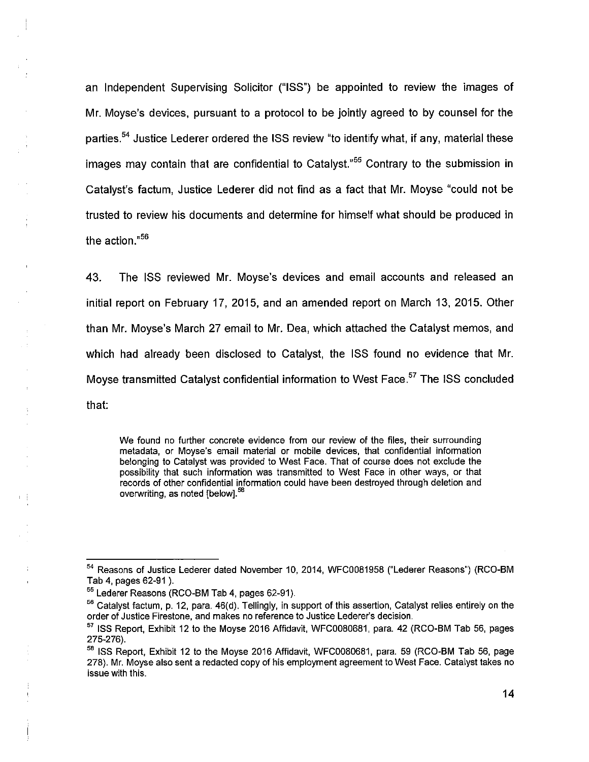an Independent Supervising Solicitor ("ISS") be appointed to review the images of Mr. Moyse's devices, pursuant to a protocol to be jointly agreed to by counsel for the parties.<sup>54</sup> Justice Lederer ordered the ISS review "to identify what, if any, material these images may contain that are confidential to Catalyst."<sup>55</sup> Contrary to the submission in Catalyst's factum, Justice Lederer did not find as a fact that Mr. Moyse "could not be trusted to review his documents and determine for himself what should be produced in the action."<sup>56</sup>

43. The ISS reviewed Mr. Moyse's devices and email accounts and released an initial report on February 17, 2015, and an amended report on March 13, 2015. Other than Mr. Moyse's March 27 email to Mr. Dea, which attached the Catalyst memos, and which had already been disclosed to Catalyst, the ISS found no evidence that Mr. Moyse transmitted Catalyst confidential information to West Face.<sup>57</sup> The ISS concluded that:

We found no further concrete evidence from our review of the files, their surrounding metadata, or Moyse's email material or mobile devices, that confidential information belonging to Catalyst was provided to West Face. That of course does not exclude the possibility that such information was transmitted to West Face in other ways, or that records of other confidential information could have been destroyed through deletion and overwriting, as noted [below].<sup>56</sup>

 $\bar{1}$ 

<sup>54</sup> Reasons of Justice Lederer dated November 10, 2014, WFC0081958 ("Lederer Reasons") (RCO-BM Tab 4, pages 62-91).

<sup>55</sup> Lederer Reasons (RCO-BM Tab 4, pages 62-91).

<sup>&</sup>lt;sup>56</sup> Catalyst factum, p. 12, para. 46(d). Tellingly, in support of this assertion, Catalyst relies entirely on the order of Justice Firestone, and makes no reference to Justice Lederer's decision.

<sup>&</sup>lt;sup>57</sup> ISS Report, Exhibit 12 to the Moyse 2016 Affidavit, WFC0080681, para. 42 (RCO-BM Tab 56, pages 275-276).

<sup>&</sup>lt;sup>58</sup> ISS Report, Exhibit 12 to the Moyse 2016 Affidavit, WFC0080681, para. 59 (RCO-BM Tab 56, page 278). Mr. Moyse also sent a redacted copy of his employment agreement to West Face. Catalyst takes no issue with this.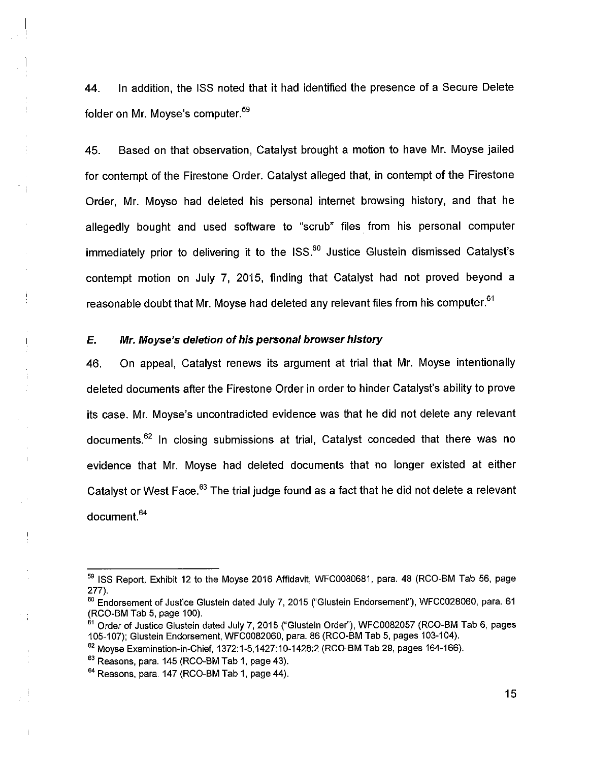44. In addition, the ISS noted that it had identified the presence of a Secure Delete folder on Mr. Moyse's computer.<sup>59</sup>

45. Based on that observation, Catalyst brought a motion to have Mr. Moyse jailed for contempt of the Firestone Order. Catalyst alleged that, in contempt of the Firestone Order, Mr. Moyse had deleted his personal internet browsing history, and that he allegedly bought and used software to "scrub" files from his personal computer immediately prior to delivering it to the  $ISS<sup>60</sup>$  Justice Glustein dismissed Catalyst's contempt motion on July 7, 2015, finding that Catalyst had not proved beyond a reasonable doubt that Mr. Moyse had deleted any relevant files from his computer.<sup>61</sup>

# *E. Mr. Moyse's deletion of his personal browser history*

46. On appeal, Catalyst renews its argument at trial that Mr. Moyse intentionally deleted documents after the Firestone Order in order to hinder Catalyst's ability to prove its case. Mr. Moyse's uncontradicted evidence was that he did not delete any relevant documents. $62$  In closing submissions at trial, Catalyst conceded that there was no evidence that Mr. Moyse had deleted documents that no longer existed at either Catalyst or West Face.<sup>63</sup> The trial judge found as a fact that he did not delete a relevant document.<sup>64</sup>

 $\mathbf{I}$ 

<sup>&</sup>lt;sup>59</sup> ISS Report, Exhibit 12 to the Moyse 2016 Affidavit, WFC0080681, para, 48 (RCO-BM Tab 56, page 277).

<sup>&</sup>lt;sup>60</sup> Endorsement of Justice Glustein dated July 7, 2015 ("Glustein Endorsement"), WFC0028060, para. 61 (RCO-BM Tab 5, page 100).

<sup>&</sup>lt;sup>61</sup> Order of Justice Glustein dated July 7, 2015 ("Glustein Order"), WFC0082057 (RCO-BM Tab 6, pages 105-107); Glustein Endorsement, WFC0082060, para. 86 (RCO-BM Tab 5, pages 103-104).

 $^{62}$  Moyse Examination-in-Chief, 1372:1-5,1427:10-1428:2 (RCO-BM Tab 29, pages 164-166).

 $63$  Reasons, para. 145 (RCO-BM Tab 1, page 43).

 $64$  Reasons, para. 147 (RCO-BM Tab 1, page 44).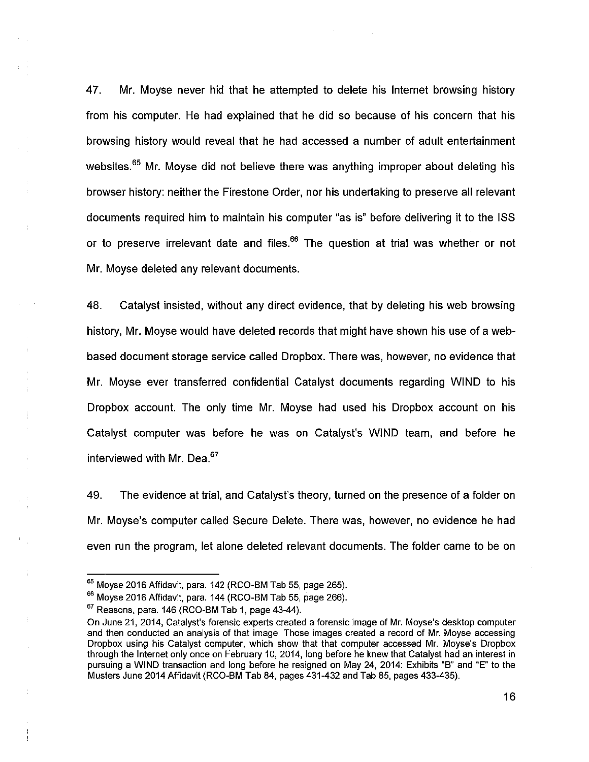47. Mr. Moyse never hid that he attempted to delete his Internet browsing history from his computer. He had explained that he did so because of his concern that his browsing history would reveal that he had accessed a number of adult entertainment websites.<sup>65</sup> Mr. Moyse did not believe there was anything improper about deleting his browser history: neither the Firestone Order, nor his undertaking to preserve all relevant documents required him to maintain his computer "as is" before delivering it to the ISS or to preserve irrelevant date and files. $^{66}$  The question at trial was whether or not Mr. Moyse deleted any relevant documents.

48. Catalyst insisted, without any direct evidence, that by deleting his web browsing history, Mr. Moyse would have deleted records that might have shown his use of a webbased document storage service called Dropbox. There was, however, no evidence that Mr. Moyse ever transferred confidential Catalyst documents regarding WIND to his Dropbox account. The only time Mr. Moyse had used his Dropbox account on his Catalyst computer was before he was on Catalyst's WIND team, and before he interviewed with Mr. Dea.<sup>67</sup>

49. The evidence at trial, and Catalyst's theory, turned on the presence of a folder on Mr. Moyse's computer called Secure Delete. There was, however, no evidence he had even run the program, let alone deleted relevant documents. The folder came to be on

Ŷ.

 $65$  Moyse 2016 Affidavit, para. 142 (RCO-BM Tab 55, page 265).

 $66$  Moyse 2016 Affidavit, para. 144 (RCO-BM Tab 55, page 266).

 $67$  Reasons, para. 146 (RCO-BM Tab 1, page 43-44).

On June 21, 2014, Catalyst's forensic experts created a forensic image of Mr. Moyse's desktop computer and then conducted an analysis of that image. Those images created a record of Mr. Moyse accessing Dropbox using his Catalyst computer, which show that that computer accessed Mr. Moyse's Dropbox through the Internet only once on February 10, 2014, long before he knew that Catalyst had an interest in pursuing a WIND transaction and long before he resigned on May 24, 2014: Exhibits "B" and "E" to the Musters June 2014 Affidavit (RCO-BM Tab 84, pages 431-432 and Tab 85, pages 433-435).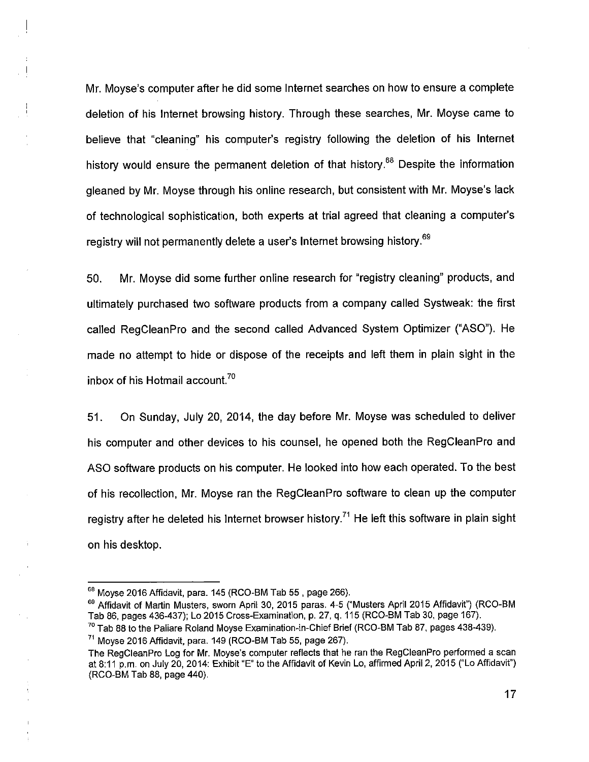Mr. Moyse's computer after he did some Internet searches on how to ensure a complete deletion of his Internet browsing history. Through these searches, Mr. Moyse came to believe that "cleaning" his computer's registry following the deletion of his Internet history would ensure the permanent deletion of that history.<sup>68</sup> Despite the information gleaned by Mr. Moyse through his online research, but consistent with Mr. Moyse's lack of technological sophistication, both experts at trial agreed that cleaning a computer's registry will not permanently delete a user's Internet browsing history.<sup>69</sup>

50. Mr. Moyse did some further online research for "registry cleaning" products, and ultimately purchased two software products from a company called Systweak: the first called RegCleanPro and the second called Advanced System Optimizer ("ASO"). He made no attempt to hide or dispose of the receipts and left them in plain sight in the inbox of his Hotmail account.<sup>70</sup>

51. On Sunday, July 20, 2014, the day before Mr. Moyse was scheduled to deliver his computer and other devices to his counsel, he opened both the RegCleanPro and ASO software products on his computer. He looked into how each operated. To the best of his recollection, Mr. Moyse ran the RegCleanPro software to clean up the computer registry after he deleted his Internet browser history.<sup>71</sup> He left this software in plain sight on his desktop.

<sup>68</sup> Moyse 2016 Affidavit, para. 145 (RCO-BM Tab 55, page 266).

<sup>&</sup>lt;sup>69</sup> Affidavit of Martin Musters, sworn April 30, 2015 paras. 4-5 ("Musters April 2015 Affidavit") (RCO-BM Tab 86, pages 436-437); Lo 2015 Cross-Examination, p. 27, q. 115 (RCO-BM Tab 30, page 167).

<sup>&</sup>lt;sup>70</sup> Tab 88 to the Paliare Roland Moyse Examination-in-Chief Brief (RCO-BM Tab 87, pages 438-439).  $71$  Moyse 2016 Affidavit, para. 149 (RCO-BM Tab 55, page 267).

The RegCleanPro Log for Mr. Moyse's computer reflects that he ran the RegCleanPro performed a scan at 8:11 p.m. on July 20, 2014: Exhibit "E" to the Affidavit of Kevin Lo, affirmed April 2, 2015 ("Lo Affidavit") (RCO-BM Tab 88, page 440).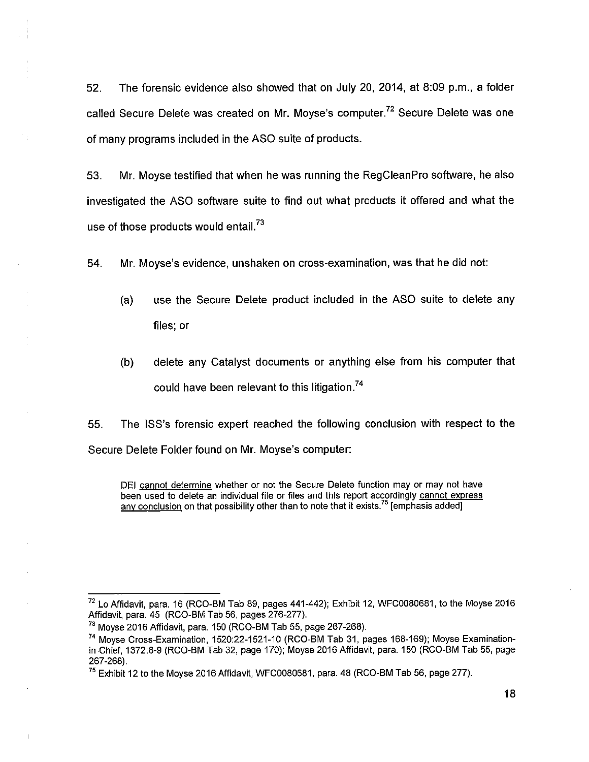52. The forensic evidence also showed that on July 20, 2014, at 8:09 p.m., a folder called Secure Delete was created on Mr. Moyse's computer.<sup>72</sup> Secure Delete was one of many programs included in the ASO suite of products.

53. Mr. Moyse testified that when he was running the RegCleanPro software, he also investigated the ASO software suite to find out what products it offered and what the use of those products would entail.<sup>73</sup>

54. Mr. Moyse's evidence, unshaken on cross-examination, was that he did not:

- (a) use the Secure Delete product included in the ASO suite to delete any files; or
- (b) delete any Catalyst documents or anything else from his computer that could have been relevant to this litigation.<sup>74</sup>

55. The ISS's forensic expert reached the following conclusion with respect to the Secure Delete Folder found on Mr. Moyse's computer:

DEI cannot determine whether or not the Secure Delete function may or may not have been used to delete an individual file or files and this report accordingly cannot express any conclusion on that possibility other than to note that it exists.<sup>75</sup> [emphasis added]

<sup>72</sup>Lo Affidavit, para. 16 (RCO-BM Tab 89, pages 441-442); Exhibit 12, WFC0080681, to the Moyse 2016 Affidavit, para, 45 (RCO-BM Tab 56, pages 276-277).

<sup>&</sup>lt;sup>73</sup> Moyse 2016 Affidavit, para. 150 (RCO-BM Tab 55, page 267-268).

<sup>74</sup> Moyse Cross-Examination, 1520:22-1521-10 (RCO-BM Tab 31, pages 168-169); Moyse Examinationin-Chief, 1372:6-9 (RCO-BM Tab 32, page 170); Moyse 2016 Affidavit, para. 150 (RCO-BM Tab 55, page 267-268).

 $75$  Exhibit 12 to the Moyse 2016 Affidavit, WFC0080681, para. 48 (RCO-BM Tab 56, page 277).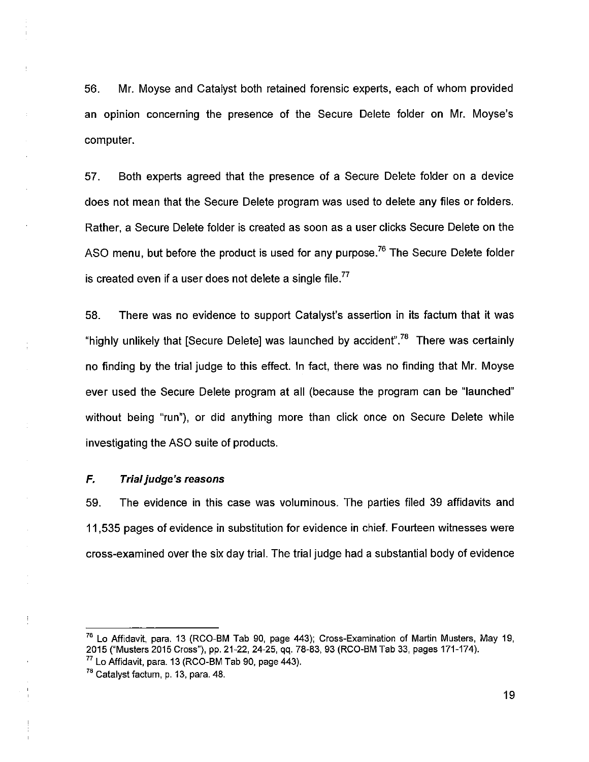56. Mr. Moyse and Catalyst both retained forensic experts, each of whom provided an opinion concerning the presence of the Secure Delete folder on Mr. Moyse's computer.

57. Both experts agreed that the presence of a Secure Delete folder on a device does not mean that the Secure Delete program was used to delete any files or folders. Rather, a Secure Delete folder is created as soon as a user clicks Secure Delete on the ASO menu, but before the product is used for any purpose.<sup>76</sup> The Secure Delete folder is created even if a user does not delete a single file.<sup>77</sup>

58. There was no evidence to support Catalyst's assertion in its factum that it was "highly unlikely that [Secure Delete] was launched by accident".<sup>78</sup> There was certainly no finding by the trial judge to this effect. In fact, there was no finding that Mr. Moyse ever used the Secure Delete program at all (because the program can be "launched" without being "run"), or did anything more than click once on Secure Delete while investigating the ASO suite of products.

## *F. Trial judge's reasons*

59. The evidence in this case was voluminous. The parties filed 39 affidavits and 11,535 pages of evidence in substitution for evidence in chief. Fourteen witnesses were cross-examined over the six day trial. The trial judge had a substantial body of evidence

 $\frac{1}{2}$ 

<sup>&</sup>lt;sup>76</sup> Lo Affidavit, para. 13 (RCO-BM Tab 90, page 443); Cross-Examination of Martin Musters, May 19, 2015 ("Musters 2015 Cross"), pp. 21-22, 24-25, qq. 78-83, 93 (RCO-BM Tab 33, pages 171-174).  $77$  Lo Affidavit, para. 13 (RCO-BM Tab 90, page 443).

<sup>&</sup>lt;sup>78</sup> Catalyst factum, p. 13, para. 48.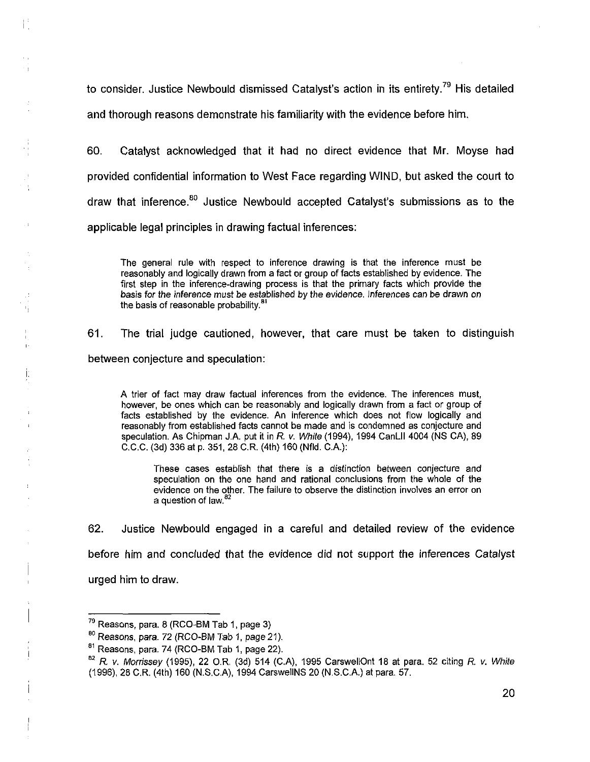to consider. Justice Newbould dismissed Catalyst's action in its entirety.<sup>79</sup> His detailed and thorough reasons demonstrate his familiarity with the evidence before him.

60. Catalyst acknowledged that it had no direct evidence that Mr. Moyse had provided confidential information to West Face regarding WIND, but asked the court to draw that inference.<sup>80</sup> Justice Newbould accepted Catalyst's submissions as to the applicable legal principles in drawing factual inferences:

The general rule with respect to inference drawing is that the inference must be reasonably and logically drawn from a fact or group of facts established by evidence. The first step in the inference-drawing process is that the primary facts which provide the basis for the inference must be established by the evidence. Inferences can be drawn on the basis of reasonable probability.<sup>81</sup>

61. The trial judge cautioned, however, that care must be taken to distinguish between conjecture and speculation:

A trier of fact may draw factual inferences from the evidence. The inferences must, however, be ones which can be reasonably and logically drawn from a fact or group of facts established by the evidence. An inference which does not flow logically and reasonably from established facts cannot be made and is condemned as conjecture and speculation. As Chipman J.A. put it in *R.* v. *White* (1994), 1994 CanLII 4004 (NS CA), 89 C.C.C. (3d) 336 at p. 351, 28 C.R. (4th) 160 (Nfld. C.A.):

These cases establish that there is a distinction between conjecture and speculation on the one hand and rational conclusions from the whole of the evidence on the other. The failure to observe the distinction involves an error on a question of law.<sup>8</sup>

62. Justice Newbould engaged in a careful and detailed review of the evidence before him and concluded that the evidence did not support the inferences Catalyst urged him to draw.

 $\sim 1$ 

 $\frac{1}{\sqrt{2}}$ 

重

 $79$  Reasons, para. 8 (RCO-BM Tab 1, page 3)

<sup>&</sup>lt;sup>80</sup> Reasons, para. 72 (RCO-BM Tab 1, page 21).

 $81$  Reasons, para. 74 (RCO-BM Tab 1, page 22).

*<sup>82</sup>R.* v. *Morrissey* (1995), 22 O R, (3d) 514 (C.A), 1995 CarswellOnt 18 at para. 52 citing R. v. *White*  (1996), 28 C.R. (4th) 160 (N.S.C.A), 1994 CarswellNS 20 (N.S.C.A.) at para. 57.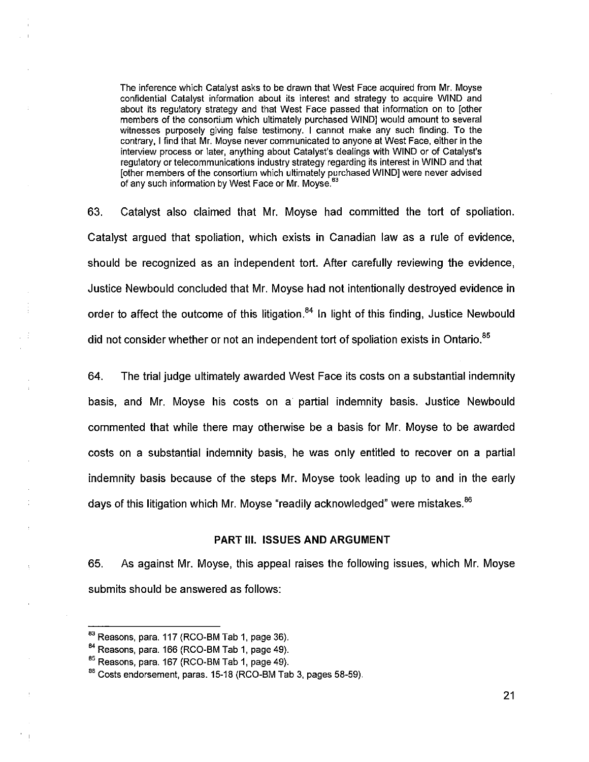The inference which Catalyst asks to be drawn that West Face acquired from Mr. Moyse confidential Catalyst information about its interest and strategy to acquire WIND and about its regulatory strategy and that West Face passed that information on to [other members of the consortium which ultimately purchased WIND] would amount to several witnesses purposely giving false testimony. I cannot make any such finding. To the contrary, I find that Mr. Moyse never communicated to anyone at West Face, either in the interview process or later, anything about Catalyst's dealings with WIND or of Catalyst's regulatory or telecommunications industry strategy regarding its interest in WIND and that [other members of the consortium which ultimately purchased WIND] were never advised of any such information by West Face or Mr. Movse.<sup>63</sup>

63. Catalyst also claimed that Mr. Moyse had committed the tort of spoliation. Catalyst argued that spoliation, which exists in Canadian law as a rule of evidence, should be recognized as an independent tort. After carefully reviewing the evidence, Justice Newbould concluded that Mr. Moyse had not intentionally destroyed evidence in order to affect the outcome of this litigation.<sup>84</sup> In light of this finding, Justice Newbould did not consider whether or not an independent tort of spoliation exists in Ontario.<sup>85</sup>

64. The trial judge ultimately awarded West Face its costs on a substantial indemnity basis, and Mr. Moyse his costs on a partial indemnity basis. Justice Newbould commented that while there may otherwise be a basis for Mr. Moyse to be awarded costs on a substantial indemnity basis, he was only entitled to recover on a partial indemnity basis because of the steps Mr. Moyse took leading up to and in the early days of this litigation which Mr. Moyse "readily acknowledged" were mistakes.<sup>86</sup>

## **PART III. ISSUES AND ARGUMENT**

65. As against Mr. Moyse, this appeal raises the following issues, which Mr. Moyse submits should be answered as follows:

<sup>&</sup>lt;sup>83</sup> Reasons, para. 117 (RCO-BM Tab 1, page 36).

 $84$  Reasons, para. 166 (RCO-BM Tab 1, page 49).

<sup>85</sup> Reasons, para. 167 (RCO-BM Tab 1, page 49).

<sup>86</sup> Costs endorsement, paras. 15-18 (RCO-BM Tab 3, pages 58-59).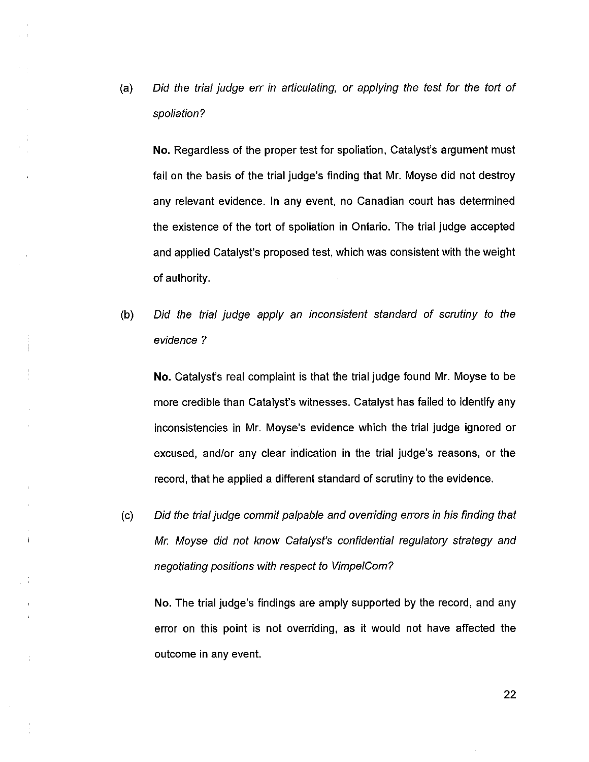$(a)$ *Did the trial judge err in articulating, or applying the test for the tort of spoliation?* 

No. Regardless of the proper test for spoliation, Catalyst's argument must fail on the basis of the trial judge's finding that Mr. Moyse did not destroy any relevant evidence. In any event, no Canadian court has determined the existence of the tort of spoliation in Ontario. The trial judge accepted and applied Catalyst's proposed test, which was consistent with the weight of authority.

*Did the trial judge apply an inconsistent standard of scrutiny to the*   $(b)$ *evidence ?* 

No. Catalyst's real complaint is that the trial judge found Mr. Moyse to be more credible than Catalyst's witnesses. Catalyst has failed to identify any inconsistencies in Mr. Moyse's evidence which the trial judge ignored or excused, and/or any clear indication in the trial judge's reasons, or the record, that he applied a different standard of scrutiny to the evidence.

*Did the trial judge commit palpable and overriding errors in his finding that*   $(c)$ *Mr. Moyse did not know Catalyst's confidential regulatory strategy and negotiating positions with respect to VimpelCom?* 

 $\mathbf{j}$ 

÷

No. The trial judge's findings are amply supported by the record, and any error on this point is not overriding, as it would not have affected the outcome in any event.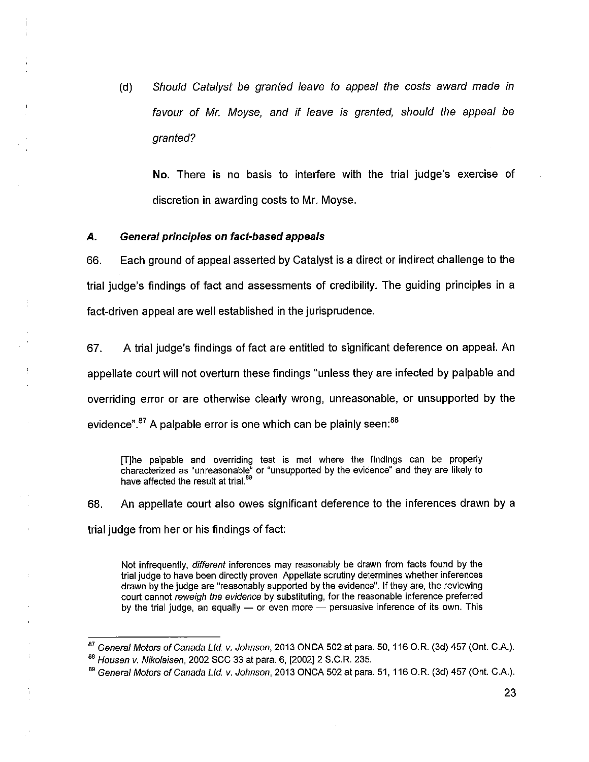*(d) Should Catalyst be granted leave to appeal the costs award made in favour of Mr. Moyse, and if leave is granted, should the appeal be granted?* 

**No.** There is no basis to interfere with the trial judge's exercise of discretion in awarding costs to Mr. Moyse.

#### *A. General principles on fact-based appeals*

66. Each ground of appeal asserted by Catalyst is a direct or indirect challenge to the trial judge's findings of fact and assessments of credibility. The guiding principles in a fact-driven appeal are well established in the jurisprudence.

67. A trial judge's findings of fact are entitled to significant deference on appeal. An appellate court will not overturn these findings "unless they are infected by palpable and overriding error or are otherwise clearly wrong, unreasonable, or unsupported by the evidence".<sup>87</sup> A palpable error is one which can be plainly seen:<sup>88</sup>

[T]he palpable and overriding test is met where the findings can be properly characterized as "unreasonable" or "unsupported by the evidence" and they are likely to have affected the result at trial.<sup>89</sup>

68. An appellate court also owes significant deference to the inferences drawn by a trial judge from her or his findings of fact:

Not infrequently, *different* inferences may reasonably be drawn from facts found by the trial judge to have been directly proven. Appellate scrutiny determines whether inferences drawn by the judge are "reasonably supported by the evidence". If they are, the reviewing court cannot *reweigh the evidence* by substituting, for the reasonable inference preferred by the trial judge, an equally — or even more — persuasive inference of its own. This

*<sup>87</sup>General Motors of Canada Ltd. v. Johnson,* 2013 ONCA 502 at para, 50,116 O.R. (3d) 457 (Ont. C.A.). *<sup>88</sup>Housen v. Nikolaisen*, 2002 SCC 33 at para. 6, [2002] 2 S.C.R. 235.

*<sup>89</sup>General Motors of Canada Ltd. v. Johnson*, 2013 ONCA 502 at para. 51, 116 O.R. (3d) 457 (Ont. C.A.).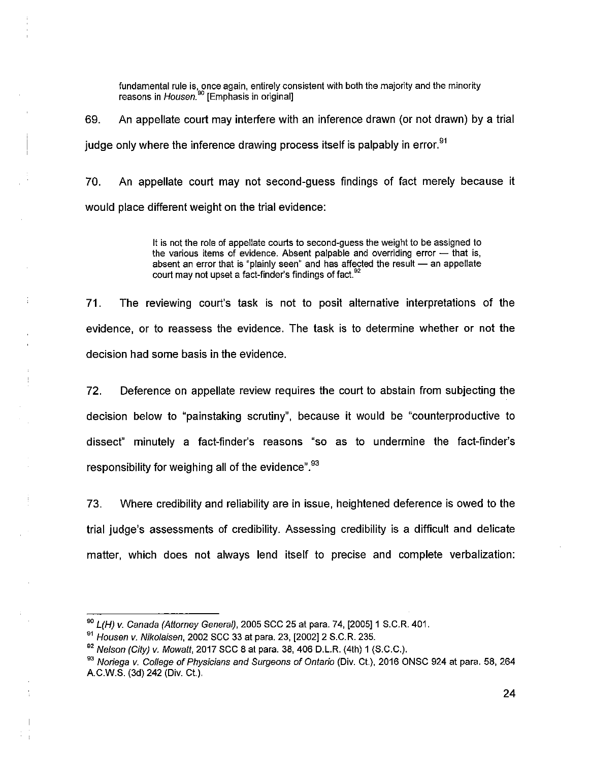fundamental rule is, once again, entirely consistent with both the majority and the minority reasons in *Housen.90* [Emphasis in original]

69. An appellate court may interfere with an inference drawn (or not drawn) by a trial judge only where the inference drawing process itself is palpably in error.<sup>91</sup>

70. An appellate court may not second-guess findings of fact merely because it would place different weight on the trial evidence:

> It is not the role of appellate courts to second-guess the weight to be assigned to the various items of evidence. Absent palpable and overriding error  $-$  that is, absent an error that is "plainly seen" and has affected the result — an appellate court may not upset a fact-finder's findings of fact.<sup>92</sup>

71. The reviewing court's task is not to posit alternative interpretations of the evidence, or to reassess the evidence. The task is to determine whether or not the decision had some basis in the evidence.

72. Deference on appellate review requires the court to abstain from subjecting the decision below to "painstaking scrutiny", because it would be "counterproductive to dissect" minutely a fact-finder's reasons "so as to undermine the fact-finder's responsibility for weighing all of the evidence".<sup>93</sup>

73. Where credibility and reliability are in issue, heightened deference is owed to the trial judge's assessments of credibility. Assessing credibility is a difficult and delicate matter, which does not always lend itself to precise and complete verbalization:

*<sup>90</sup>L(H) v. Canada (Attorney General),* 2005 SCC 25 at para. 74, [2005] 1 S.C.R. 401.

*<sup>91</sup>Housen v. Nikolaisen,* 2002 SCC 33 at para. 23, [2002] 2 S.C.R. 235.

*<sup>92</sup>Nelson (City)* v. *Mowatt*, 2017 SCC 8 at para. 38, 406 D.L.R. (4th) 1 (S.C.C.).

<sup>&</sup>lt;sup>93</sup> Noriega v. College of Physicians and Surgeons of Ontario (Div. Ct.), 2016 ONSC 924 at para, 58, 264 A.C.W.S. (3d) 242 (Div. Ct.).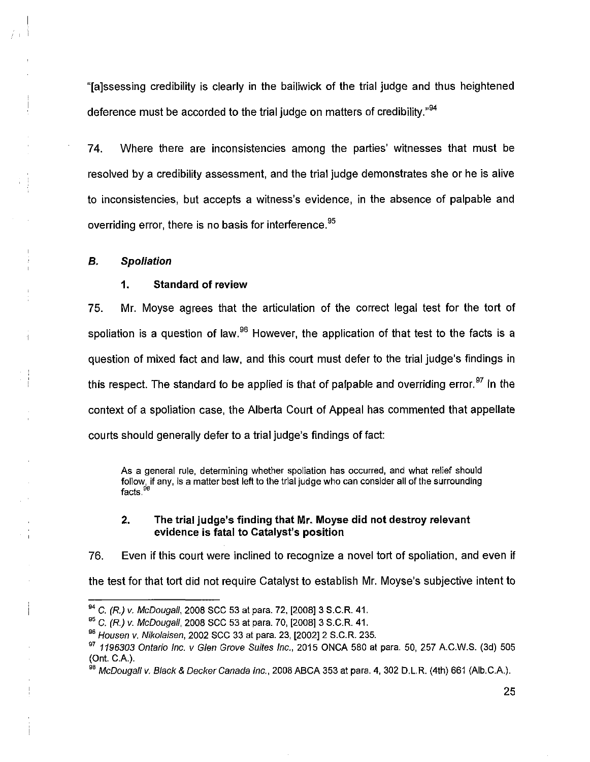"[a]ssessing credibility is clearly in the bailiwick of the trial judge and thus heightened deference must be accorded to the trial judge on matters of credibility."<sup>94</sup>

74. Where there are inconsistencies among the parties' witnesses that must be resolved by a credibility assessment, and the trial judge demonstrates she or he is alive to inconsistencies, but accepts a witness's evidence, in the absence of palpable and overriding error, there is no basis for interference.<sup>95</sup>

## *B. Spoliation*

 $\overline{1}$ 

#### **1. Standard of review**

75. Mr. Moyse agrees that the articulation of the correct legal test for the tort of spoliation is a question of law.<sup>96</sup> However, the application of that test to the facts is a question of mixed fact and law, and this court must defer to the trial judge's findings in this respect. The standard to be applied is that of palpable and overriding error.<sup>97</sup> In the context of a spoliation case, the Alberta Court of Appeal has commented that appellate courts should generally defer to a trial judge's findings of fact:

As a general rule, determining whether spoliation has occurred, and what relief should follow, if any, is a matter best left to the trial judge who can consider all of the surrounding facts.<sup>98</sup>

## **2. The trial judge's finding that Mr. Moyse did not destroy relevant evidence is fatal to Catalyst's position**

76. Even if this court were inclined to recognize a novel tort of spoliation, and even if the test for that tort did not require Catalyst to establish Mr. Moyse's subjective intent to

<sup>94</sup>C. *(R.) v. McDougali,* 2008 SCC 53 at para. 72, [2008] 3 S.C.R. 41.

<sup>95</sup>C. *(R.)* v. *McDougali*, 2008 SCC 53 at para. 70, [2008] 3 S.C.R. 41.

*<sup>96</sup>Housen* v. *Nikolaisen,* 2002 SCC 33 at para. 23, [2002] 2 S.C.R. 235.

*<sup>97</sup>1196303 Ontario Inc. v Glen Grove Suites Inc.,* 2015 ONCA 580 at para. 50, 257 A.C.W.S. (3d) 505 (Ont. C.A.).

*<sup>98</sup>McDougali* v. *Black & Decker Canada Inc.,* 2008 ABCA 353 at para. 4, 302 D.L.R. (4th) 661 (Alb.C.A.).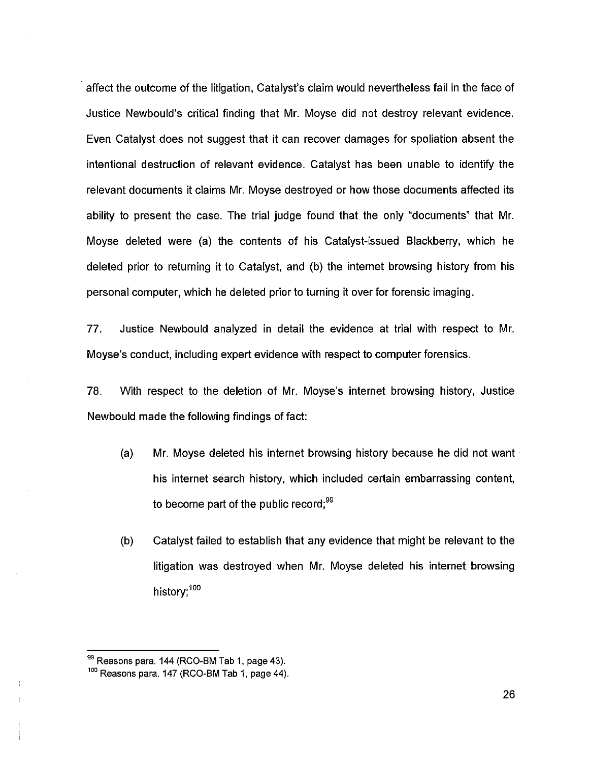affect the outcome of the litigation, Catalyst's claim would nevertheless fail in the face of Justice Newbould's critical finding that Mr. Moyse did not destroy relevant evidence. Even Catalyst does not suggest that it can recover damages for spoliation absent the intentional destruction of relevant evidence. Catalyst has been unable to identify the relevant documents it claims Mr. Moyse destroyed or how those documents affected its ability to present the case. The trial judge found that the only "documents" that Mr. Moyse deleted were (a) the contents of his Catalyst-issued Blackberry, which he deleted prior to returning it to Catalyst, and (b) the internet browsing history from his personal computer, which he deleted prior to turning it over for forensic imaging.

77. Justice Newbould analyzed in detail the evidence at trial with respect to Mr. Moyse's conduct, including expert evidence with respect to computer forensics.

78. With respect to the deletion of Mr. Moyse's internet browsing history, Justice Newbould made the following findings of fact:

- (a) Mr. Moyse deleted his internet browsing history because he did not want his internet search history, which included certain embarrassing content, to become part of the public record; $99$
- (b) Catalyst failed to establish that any evidence that might be relevant to the litigation was destroyed when Mr. Moyse deleted his internet browsing history;<sup>100</sup>

<sup>&</sup>lt;sup>99</sup> Reasons para. 144 (RCO-BM Tab 1, page 43).

 $100$  Reasons para. 147 (RCO-BM Tab 1, page 44).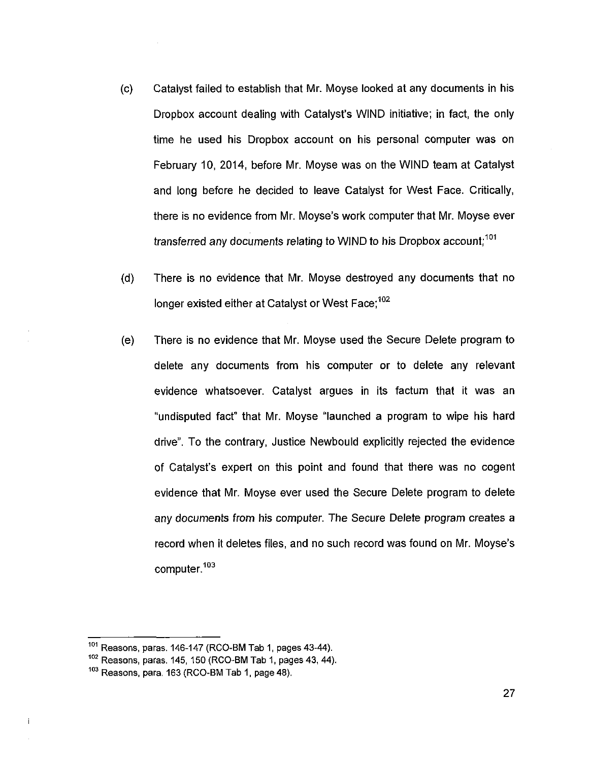- (c) Catalyst failed to establish that Mr. Moyse looked at any documents in his Dropbox account dealing with Catalyst's WIND initiative; in fact, the only time he used his Dropbox account on his personal computer was on February 10, 2014, before Mr. Moyse was on the WIND team at Catalyst and long before he decided to leave Catalyst for West Face. Critically, there is no evidence from Mr. Moyse's work computer that Mr. Moyse ever transferred any documents relating to WIND to his Dropbox account;<sup>101</sup>
- (d) There is no evidence that Mr. Moyse destroyed any documents that no longer existed either at Catalyst or West Face; $102$
- (e) There is no evidence that Mr. Moyse used the Secure Delete program to delete any documents from his computer or to delete any relevant evidence whatsoever. Catalyst argues in its factum that it was an "undisputed fact" that Mr. Moyse "launched a program to wipe his hard drive". To the contrary, Justice Newbould explicitly rejected the evidence of Catalyst's expert on this point and found that there was no cogent evidence that Mr. Moyse ever used the Secure Delete program to delete any documents from his computer. The Secure Delete program creates a record when it deletes files, and no such record was found on Mr. Moyse's computer.<sup>103</sup>

 $\mathbf i$ 

 $101$  Reasons, paras. 146-147 (RCO-BM Tab 1, pages 43-44).

 $102$  Reasons, paras. 145, 150 (RCO-BM Tab 1, pages 43, 44).

 $103$  Reasons, para. 163 (RCO-BM Tab 1, page 48).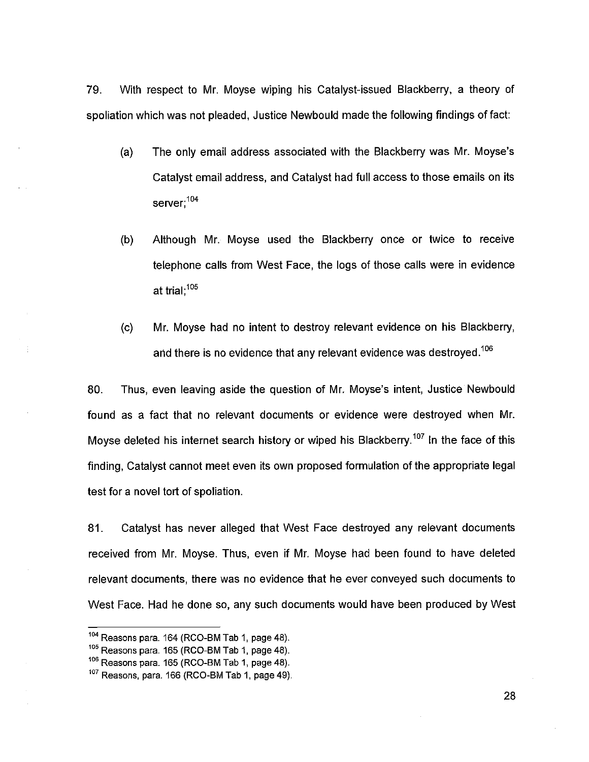79. With respect to Mr. Moyse wiping his Catalyst-issued Blackberry, a theory of spoliation which was not pleaded, Justice Newbould made the following findings of fact:

- (a) The only email address associated with the Blackberry was Mr. Moyse's Catalyst email address, and Catalyst had full access to those emails on its server;<sup>104</sup>
- (b) Although Mr. Moyse used the Blackberry once or twice to receive telephone calls from West Face, the logs of those calls were in evidence at trial;<sup>105</sup>
- (c) Mr. Moyse had no intent to destroy relevant evidence on his Blackberry, and there is no evidence that any relevant evidence was destroyed.<sup>106</sup>

80. Thus, even leaving aside the question of Mr. Moyse's intent, Justice Newbould found as a fact that no relevant documents or evidence were destroyed when Mr. Moyse deleted his internet search history or wiped his Blackberry.<sup>107</sup> In the face of this finding, Catalyst cannot meet even its own proposed formulation of the appropriate legal test for a novel tort of spoliation.

81. Catalyst has never alleged that West Face destroyed any relevant documents received from Mr. Moyse. Thus, even if Mr. Moyse had been found to have deleted relevant documents, there was no evidence that he ever conveyed such documents to West Face. Had he done so, any such documents would have been produced by West

 $104$  Reasons para. 164 (RCO-BM Tab 1, page 48).

 $105$  Reasons para. 165 (RCO-BM Tab 1, page 48).

 $106$  Reasons para. 165 (RCO-BM Tab 1, page 48).

 $107$  Reasons, para. 166 (RCO-BM Tab 1, page 49).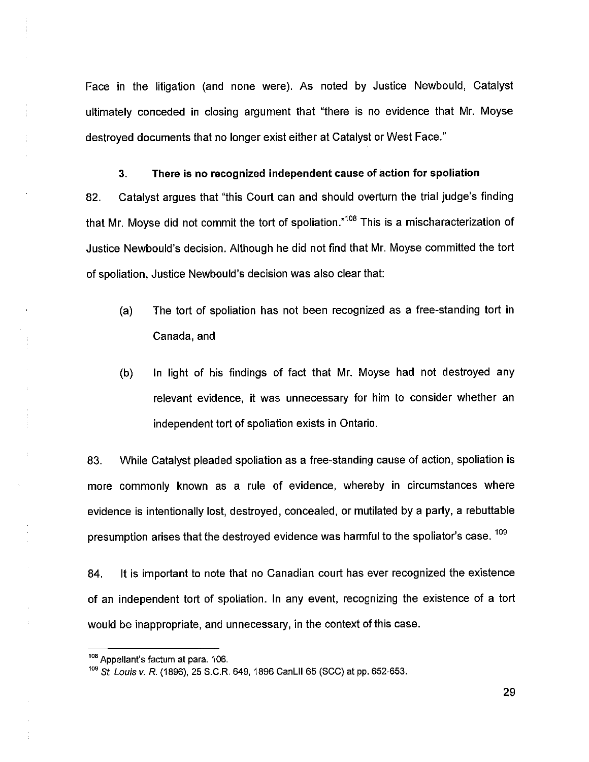Face in the litigation (and none were). As noted by Justice Newbould, Catalyst ultimately conceded in closing argument that "there is no evidence that Mr. Moyse destroyed documents that no longer exist either at Catalyst or West Face."

# **3. There is no recognized independent cause of action for spoliation**

82. Catalyst argues that "this Court can and should overturn the trial judge's finding that Mr. Moyse did not commit the tort of spoliation."108 This is a mischaracterization of Justice Newbould's decision. Although he did not find that Mr. Moyse committed the tort of spoliation, Justice Newbould's decision was also clear that:

- (a) The tort of spoliation has not been recognized as a free-standing tort in Canada, and
- (b) In light of his findings of fact that Mr. Moyse had not destroyed any relevant evidence, it was unnecessary for him to consider whether an independent tort of spoliation exists in Ontario.

83. While Catalyst pleaded spoliation as a free-standing cause of action, spoliation is more commonly known as a rule of evidence, whereby in circumstances where evidence is intentionally lost, destroyed, concealed, or mutilated by a party, a rebuttable presumption arises that the destroyed evidence was harmful to the spoliator's case.  $109$ 

84. It is important to note that no Canadian court has ever recognized the existence of an independent tort of spoliation. In any event, recognizing the existence of a tort would be inappropriate, and unnecessary, in the context of this case.

<sup>108</sup> Appellant's factum at para. 106.

*<sup>109</sup>St Louis v. R.* (1896), 25 S.C.R. 649, 1896 CanLII 65 (SCC) at pp. 652-653.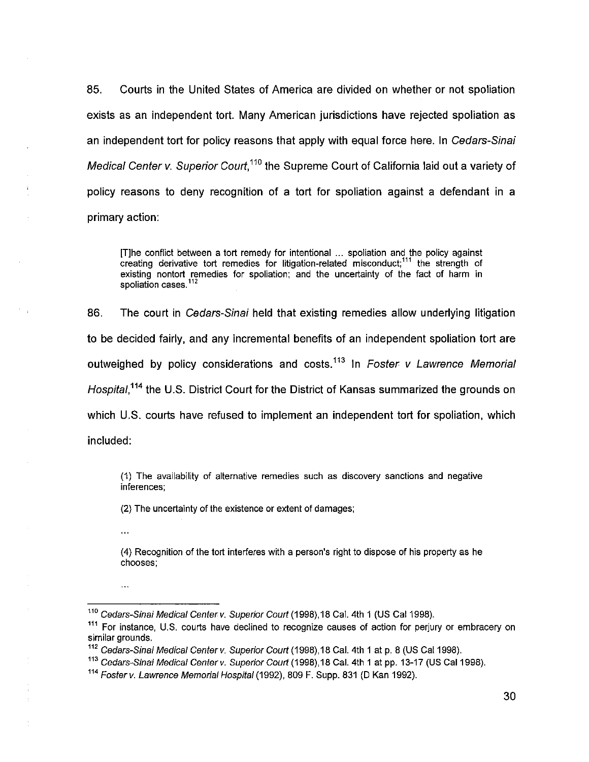85. Courts in the United States of America are divided on whether or not spoliation exists as an independent tort. Many American jurisdictions have rejected spoliation as an independent tort for policy reasons that apply with equal force here. In *Cedars-Sinai Medical Center v. Superior Court*,<sup>110</sup> the Supreme Court of California laid out a variety of policy reasons to deny recognition of a tort for spoliation against a defendant in a primary action:

[T]he conflict between a tort remedy for intentional ... spoliation and the policy against creating derivative tort remedies for litigation-related misconduct;<sup>111</sup> the strength of existing nontort remedies for spoliation; and the uncertainty of the fact of harm in spoliation cases.<sup>112</sup>

86. The court in *Cedars-Sinai* held that existing remedies allow underlying litigation to be decided fairly, and any incremental benefits of an independent spoliation tort are outweighed by policy considerations and costs.113 In *Foster v Lawrence Memorial*  Hospital,<sup>114</sup> the U.S. District Court for the District of Kansas summarized the grounds on which U.S. courts have refused to implement an independent tort for spoliation, which included:

(1) The availability of alternative remedies such as discovery sanctions and negative inferences;

(2) The uncertainty of the existence or extent of damages;

 $\ddotsc$ 

 $\ddotsc$ 

(4) Recognition of the tort interferes with a person's right to dispose of his property as he chooses;

*<sup>110</sup>Cedars-Sinai Medical Center v. Superior Court* (1998), 18 Cal. 4th 1 (US Cal 1998).

<sup>&</sup>lt;sup>111</sup> For instance, U.S. courts have declined to recognize causes of action for perjury or embracery on similar grounds,

*<sup>112</sup>Cedars-Sinai Medical Center v. Superior Court* (1998), 18 Cal. 4th 1 at p. 8 (US Cal 1998).

<sup>&</sup>lt;sup>113</sup> Cedars-Sinai Medical Center v. Superior Court (1998), 18 Cal. 4th 1 at pp. 13-17 (US Cal 1998).

*<sup>114</sup>Foster v. Lawrence Memorial Hospital* (1992), 809 F. Supp. 831 (D Kan 1992).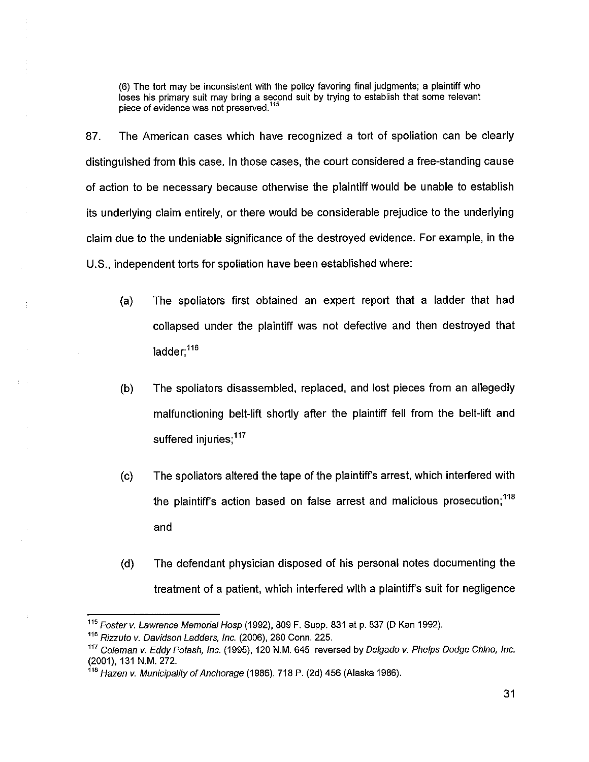(6) The tort may be inconsistent with the policy favoring final judgments; a plaintiff who loses his primary suit may bring a second suit by trying to establish that some relevant piece of evidence was not preserved.<sup>115</sup>

87. The American cases which have recognized a tort of spoliation can be clearly distinguished from this case. In those cases, the court considered a free-standing cause of action to be necessary because otherwise the plaintiff would be unable to establish its underlying claim entirely, or there would be considerable prejudice to the underlying claim due to the undeniable significance of the destroyed evidence. For example, in the U.S., independent torts for spoliation have been established where:

- (a) The spoliators first obtained an expert report that a ladder that had collapsed under the plaintiff was not defective and then destroyed that ladder:<sup>116</sup>
- (b) The spoliators disassembled, replaced, and lost pieces from an allegedly malfunctioning belt-lift shortly after the plaintiff fell from the belt-lift and suffered injuries;<sup>117</sup>
- (c) The spoliators altered the tape of the plaintiffs arrest, which interfered with the plaintiff's action based on false arrest and malicious prosecution;  $118$ and
- (d) The defendant physician disposed of his personal notes documenting the treatment of a patient, which interfered with a plaintiff's suit for negligence

*<sup>115</sup>Foster v. Lawrence Memorial Hosp* (1992), 809 F. Supp. 831 at p. 837 (D Kan 1992).

*<sup>116</sup>Rizzuto v. Davidson Ladders, inc.* (2006), 280 Conn. 225.

*<sup>117</sup>Coleman v. Eddy Potash, Inc.* (1995), 120 N.M, 645, reversed by *Delgado v. Phelps Dodge Chino, Inc.*  (2001), 131 N.M. 272.

*<sup>118</sup>Hazen* v. *Municipality of Anchorage* (1986), 718 P. (2d) 456 (Alaska 1986).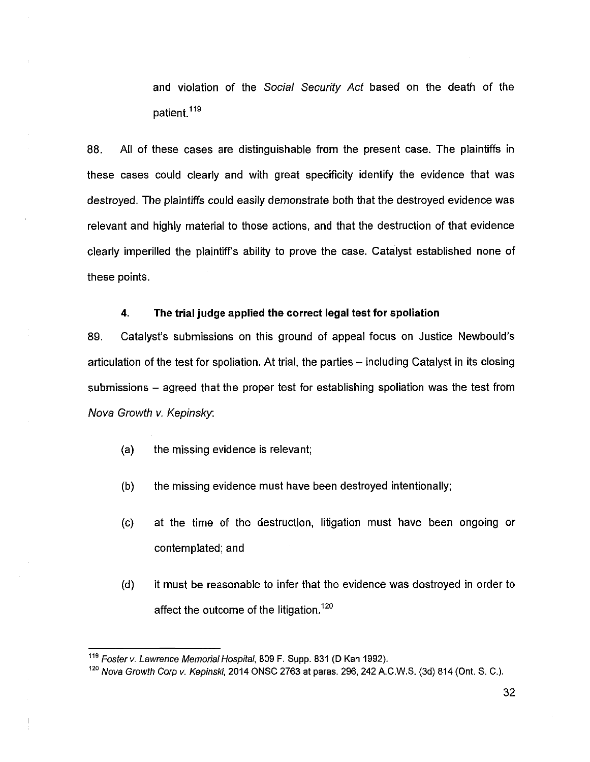and violation of the *Social Security Act* based on the death of the patient.<sup>119</sup>

88. All of these cases are distinguishable from the present case. The plaintiffs in these cases could clearly and with great specificity identify the evidence that was destroyed. The plaintiffs could easily demonstrate both that the destroyed evidence was relevant and highly material to those actions, and that the destruction of that evidence clearly imperilled the plaintiff's ability to prove the case. Catalyst established none of these points.

#### **4. The trial judge applied the correct legal test for spoliation**

89. Catalyst's submissions on this ground of appeal focus on Justice Newbould's articulation of the test for spoliation. At trial, the parties -- including Catalyst in its closing submissions – agreed that the proper test for establishing spoliation was the test from *Nova Growth v. Kepinsky.* 

- (a) the missing evidence is relevant;
- (b) the missing evidence must have been destroyed intentionally;
- (c) at the time of the destruction, litigation must have been ongoing or contemplated; and
- (d) it must be reasonable to infer that the evidence was destroyed in order to affect the outcome of the litigation.<sup>120</sup>

 $\overline{\phantom{a}}$ 

*<sup>119</sup>Fosterv. Lawrence Memorial Hospital,* 809 F. Supp. 831 (D Kan 1992).

*<sup>120</sup>Nova Growth Corp v. Kepinski,* 2014 ONSC 2763 at paras. 296, 242 A.C.W.S. (3d) 814 (Ont. S. C.).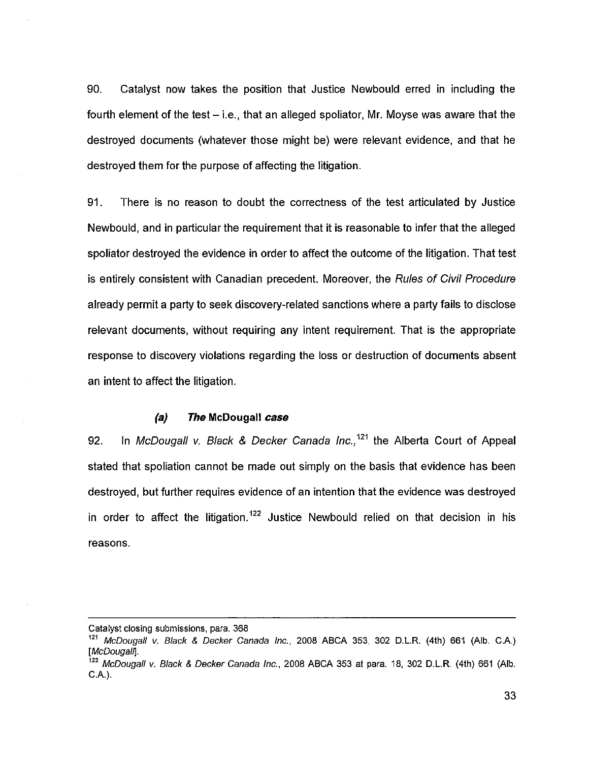90. Catalyst now takes the position that Justice Newbould erred in including the fourth element of the test  $-$  i.e., that an alleged spoliator, Mr. Moyse was aware that the destroyed documents (whatever those might be) were relevant evidence, and that he destroyed them for the purpose of affecting the litigation.

91. There is no reason to doubt the correctness of the test articulated by Justice Newbould, and in particular the requirement that it is reasonable to infer that the alleged spoliator destroyed the evidence in order to affect the outcome of the litigation. That test is entirely consistent with Canadian precedent. Moreover, the *Rules of Civil Procedure*  already permit a party to seek discovery-related sanctions where a party fails to disclose relevant documents, without requiring any intent requirement. That is the appropriate response to discovery violations regarding the loss or destruction of documents absent an intent to affect the litigation.

#### *(a) The* **McDougall** *case*

92. In *McDougall v. Black & Decker Canada Inc.*,<sup>121</sup> the Alberta Court of Appeal stated that spoliation cannot be made out simply on the basis that evidence has been destroyed, but further requires evidence of an intention that the evidence was destroyed in order to affect the litigation.<sup>122</sup> Justice Newbould relied on that decision in his reasons.

Catalyst closing submissions, para. 368

*<sup>121</sup>McDougall v. Black & Decker Canada Inc.,* 2008 ABCA 353, 302 D.L.R. (4th) 661 (Alb. C.A.) *[McDougall].* 

*<sup>122</sup>McDougall* v. *Black & Decker Canada Inc.,* 2008 ABCA 353 at para. 18, 302 D.L.R. (4th) 661 (Alb. C.A.).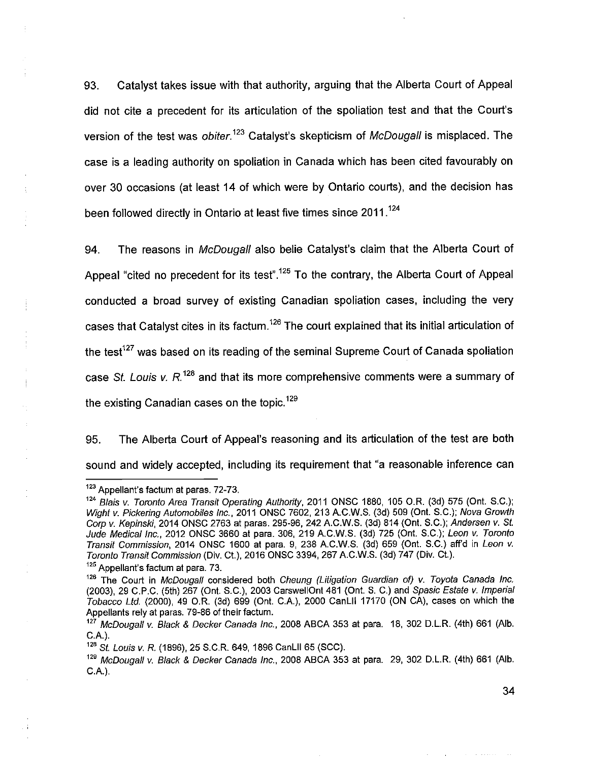93. Catalyst takes issue with that authority, arguing that the Alberta Court of Appeal did not cite a precedent for its articulation of the spoliation test and that the Court's version of the test was *obiter*.<sup>123</sup> Catalyst's skepticism of *McDougall* is misplaced. The case is a leading authority on spoliation in Canada which has been cited favourably on over 30 occasions (at least 14 of which were by Ontario courts), and the decision has been followed directly in Ontario at least five times since 2011.<sup>124</sup>

94. The reasons in *McDougall* also belie Catalyst's claim that the Alberta Court of Appeal "cited no precedent for its test".<sup>125</sup> To the contrary, the Alberta Court of Appeal conducted a broad survey of existing Canadian spoliation cases, including the very cases that Catalyst cites in its factum.<sup>126</sup> The court explained that its initial articulation of the test<sup>127</sup> was based on its reading of the seminal Supreme Court of Canada spoliation case *St. Louis v.* R.128 and that its more comprehensive comments were a summary of the existing Canadian cases on the topic.<sup>129</sup>

95. The Alberta Court of Appeal's reasoning and its articulation of the test are both sound and widely accepted, including its requirement that "a reasonable inference can

<sup>&</sup>lt;sup>123</sup> Appellant's factum at paras. 72-73.

*<sup>124</sup>Blais v. Toronto Area Transit Operating Authority,* 2011 ONSC 1880, 105 O.R. (3d) 575 (Ont. S.C.); *Wight v. Pickering Automobiles Inc.,* 2011 ONSC 7602, 213 A.C.W.S. (3d) 509 (Ont. S.C.); *Nova Growth Corp v. Kepinski*, 2014 ONSC 2763 at paras. 295-96, 242 A.C.W.S. (3d) 814 (Ont. S.C.); *Andersen v. St. Jude Medical Inc.,* 2012 ONSC 3660 at para. 306, 219 A.C.W.S. (3d) 725 (Ont. S.C.); *Leon v. Toronto Transit Commission,* 2014 ONSC 1600 at para. 9, 238 A.C.W.S. (3d) 659 (Ont. S.C.) aff'd in *Leon v. Toronto Transit Commission* (Div. Ct.), 2016 ONSC 3394, 267 A.C.W.S. (3d) 747 (Div. Ct.).

<sup>&</sup>lt;sup>125</sup> Appellant's factum at para. 73.

<sup>&</sup>lt;sup>126</sup> The Court in *McDougall* considered both *Cheung (Litigation Guardian of) v. Toyota Canada Inc.* (2003), 29 C.P.C. (5th) 267 (Ont. S.C.), 2003 CarswellOnt 481 (Ont. S. C.) and *Spasic Estate v. Imperial Tobacco Ltd.* (2000), 49 O.R. (3d) 699 (Ont. C.A.), 2000 CanLII 17170 (ON CA), cases on which the Appellants rely at paras. 79-86 of their factum.

*<sup>127</sup>McDougall v. Black <& Decker Canada Inc.,* 2008 ABCA 353 at para. 18, 302 D.L.R. (4th) 661 (Alb. C.A.).

*<sup>128</sup>St. Louis* v. *R.* (1896), 25 S.C.R. 649, 1896 CanLII 65 (SCC).

*<sup>129</sup>McDougall* v. *Black & Decker Canada Inc.,* 2008 ABCA 353 at para. 29, 302 D.L.R. (4th) 661 (Alb. C.A.).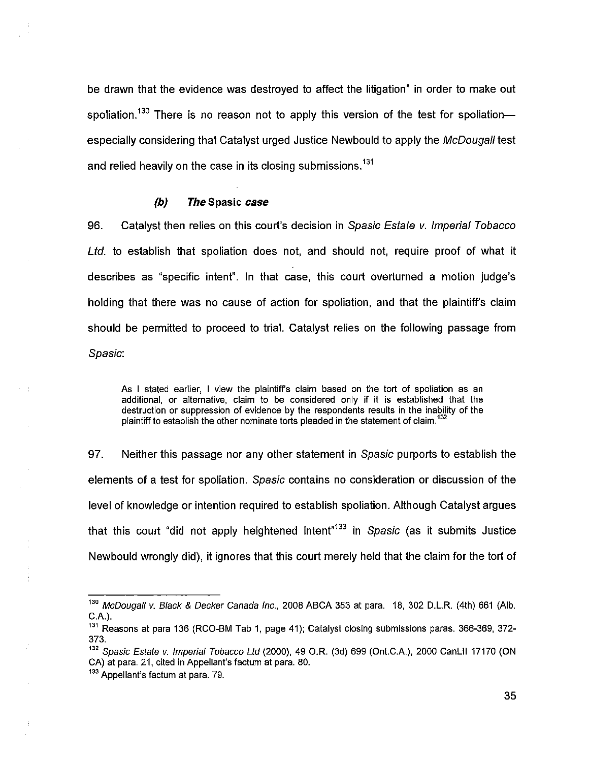be drawn that the evidence was destroyed to affect the litigation" in order to make out spoliation.<sup>130</sup> There is no reason not to apply this version of the test for spoliation especially considering that Catalyst urged Justice Newbould to apply the *McDougaH* test and relied heavily on the case in its closing submissions.<sup>131</sup>

## *(b) The* **Spasic** *case*

96. Catalyst then relies on this court's decision in *Spasic Estate* v. *Imperial Tobacco Ltd.* to establish that spoliation does not, and should not, require proof of what it describes as "specific intent". In that case, this court overturned a motion judge's holding that there was no cause of action for spoliation, and that the plaintiff's claim should be permitted to proceed to trial. Catalyst relies on the following passage from *Spasic:* 

As I stated earlier, I view the plaintiff's claim based on the tort of spoliation as an additional, or alternative, claim to be considered only if it is established that the destruction or suppression of evidence by the respondents results in the inability of the plaintiff to establish the other nominate torts pleaded in the statement of claim.<sup>132</sup>

97. Neither this passage nor any other statement in *Spasic* purports to establish the elements of a test for spoliation. *Spasic* contains no consideration or discussion of the level of knowledge or intention required to establish spoliation. Although Catalyst argues that this court "did not apply heightened intent<sup>"133</sup> in *Spasic* (as it submits Justice Newbould wrongly did), it ignores that this court merely held that the claim for the tort of

*<sup>130</sup>McDougaH* v. *Black & Decker Canada Inc.,* 2008 ABCA 353 at para. 18, 302 D.L.R. (4th) 661 (Alb. C.A.).

<sup>&</sup>lt;sup>131</sup> Reasons at para 136 (RCO-BM Tab 1, page 41); Catalyst closing submissions paras. 366-369, 372-373.

*<sup>132</sup>Spasic Estate* v. *Imperial Tobacco Ltd* (2000), 49 O.R. (3d) 699 (Ont.C.A.), 2000 CanLII 17170 (ON CA) at para. 21, cited in Appellant's factum at para. 80.

<sup>&</sup>lt;sup>133</sup> Appellant's factum at para. 79.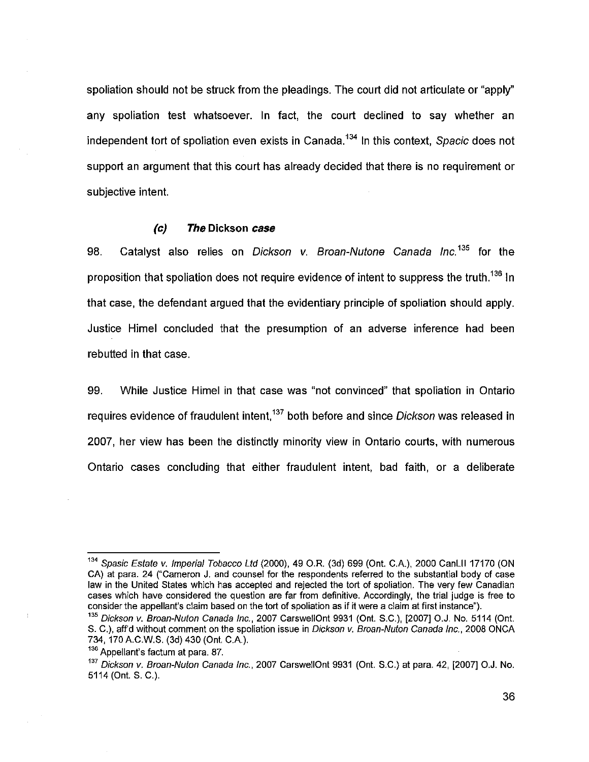spoliation should not be struck from the pleadings. The court did not articulate or "apply" any spoliation test whatsoever. In fact, the court declined to say whether an independent tort of spoliation even exists in Canada.134 In this context, *Spacic* does not support an argument that this court has already decided that there is no requirement or subjective intent.

## *(c) The* **Dickson** *case*

98. Catalyst also relies on *Dickson v. Broan-Nutone Canada Inc.*<sup>135</sup> for the proposition that spoliation does not require evidence of intent to suppress the truth.<sup>136</sup> In that case, the defendant argued that the evidentiary principle of spoliation should apply. Justice Himel concluded that the presumption of an adverse inference had been rebutted in that case.

99. While Justice Himel in that case was "not convinced" that spoliation in Ontario requires evidence of fraudulent intent,137 both before and since *Dickson* was released in 2007, her view has been the distinctly minority view in Ontario courts, with numerous Ontario cases concluding that either fraudulent intent, bad faith, or a deliberate

*<sup>134</sup>Spasic Estate* v. *Imperial Tobacco Ltd* (2000), 49 O.R. (3d) 699 (Ont. C.A.), 2000 CanLII 17170 (ON CA) at para. 24 ("Cameron J. and counsel for the respondents referred to the substantial body of case law in the United States which has accepted and rejected the tort of spoliation. The very few Canadian cases which have considered the question are far from definitive. Accordingly, the trial judge is free to consider the appellant's claim based on the tort of spoliation as if it were a claim at first instance").

*<sup>135</sup>Dickson* v. *Broan-Nuton Canada Inc.,* 2007 CarswellOnt 9931 (Ont. S.C.), [2007] O.J. No. 5114 (Ont. S. C.), aff'd without comment on the spoliation issue in *Dickson v. Broan-Nuton Canada Inc.,* 2008 ONCA 734, 170 A.C.W.S. (3d) 430 (Ont. C A).

<sup>136</sup> Appellant's factum at para, 87.

*<sup>137</sup>Dickson v. Broan-Nuton Canada Inc.,* 2007 CarswellOnt 9931 (Ont. S.C.) at para. 42, [2007] O.J. No. 5114 (Ont. S. C.).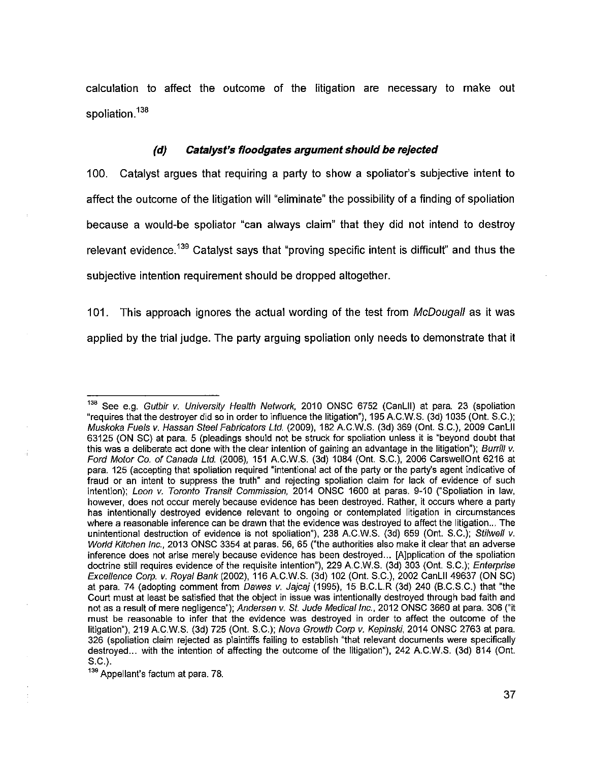calculation to affect the outcome of the litigation are necessary to make out spoliation.<sup>138</sup>

## *(d) Catalyst's floodgates argument should be rejected*

100. Catalyst argues that requiring a party to show a spoliator's subjective intent to affect the outcome of the litigation will "eliminate" the possibility of a finding of spoliation because a would-be spoliator "can always claim" that they did not intend to destroy relevant evidence.<sup>139</sup> Catalyst says that "proving specific intent is difficult" and thus the subjective intention requirement should be dropped altogether.

101. This approach ignores the actual wording of the test from *McDougall* as it was applied by the trial judge. The party arguing spoliation only needs to demonstrate that it

139 Appellant's factum at para. 78.

<sup>&</sup>lt;sup>138</sup> See e.g. *Gutbir v. University Health Network*, 2010 ONSC 6752 (CanLII) at para. 23 (spoliation "requires that the destroyer did so in order to influence the litigation"), 195 A.C.W.S. (3d) 1035 (Ont. S.C.); *Muskoka Fuels* v. *Hassan Steel Fabricators Ltd* (2009), 182 A.C.W.S. (3d) 369 (Ont. S.C.), 2009 CanLII 63125 (ON SC) at para. 5 (pleadings should not be struck for spoliation unless it is "beyond doubt that this was a deliberate act done with the clear intention of gaining an advantage in the litigation"); *Burrill v. Ford Motor Co, of Canada Ltd.* (2006), 151 A.C.W.S. (3d) 1084 (Ont. S.C.), 2006 CarswellOnt 6216 at para. 125 (accepting that spoliation required "intentional act of the party or the party's agent indicative of fraud or an intent to suppress the truth" and rejecting spoliation claim for lack of evidence of such intention); *Leon v. Toronto Transit Commission,* 2014 ONSC 1600 at paras. 9-10 ("Spoliation in law, however, does not occur merely because evidence has been destroyed. Rather, it occurs where a party has intentionally destroyed evidence relevant to ongoing or contemplated litigation in circumstances where a reasonable inference can be drawn that the evidence was destroyed to affect the litigation... The unintentional destruction of evidence is not spoliation"), 238 A.C.W.S. (3d) 659 (Ont. S.C.); *Stilwell v. World Kitchen Inc.,* 2013 ONSC 3354 at paras. 56, 65 ("the authorities also make it clear that an adverse inference does not arise merely because evidence has been destroyed... [A]pplication of the spoliation doctrine still requires evidence of the requisite intention"), 229 A.C.W.S. (3d) 303 (Ont. S.C.); *Enterprise Excellence Corp.* v. *Royal Bank* (2002), 116 A.C.W.S. (3d) 102 (Ont. S.C.), 2002 CanLII 49637 (ON SC) at para. 74 (adopting comment from *Dawes v. Jajcaj* (1995), 15 B.C.L.R (3d) 240 (B.C.S.C.) that "the Court must at least be satisfied that the object in issue was intentionally destroyed through bad faith and not as a result of mere negligence"); *Andersen v. St. Jude Medical Inc.,* 2012 ONSC 3660 at para. 306 ("it must be reasonable to infer that the evidence was destroyed in order to affect the outcome of the litigation"), 219 A.C.W.S. (3d) 725 (Ont. S.C.); *Nova Growth Corp v. Kepinski*, 2014 ONSC 2763 at para. 326 (spoliation claim rejected as plaintiffs failing to establish "that relevant documents were specifically destroyed... with the intention of affecting the outcome of the litigation"), 242 A.C.W.S. (3d) 814 (Ont. S.C.).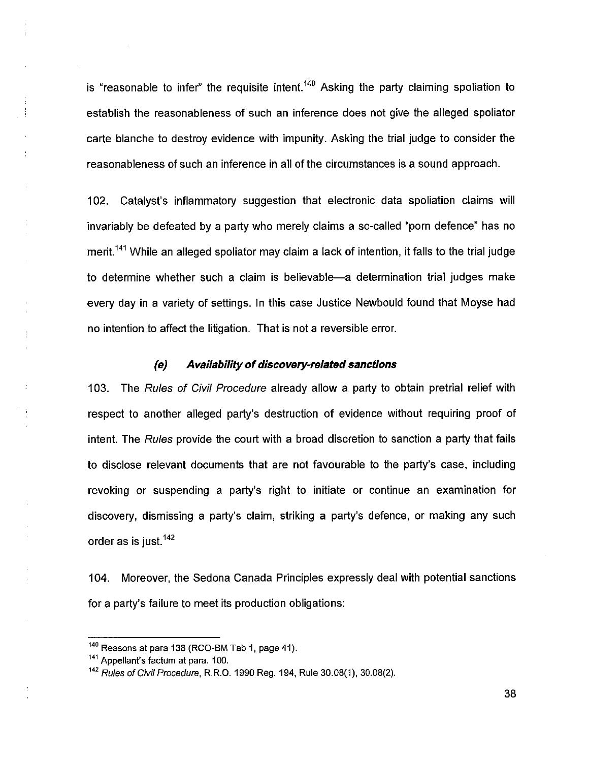is "reasonable to infer" the requisite intent.<sup>140</sup> Asking the party claiming spoliation to establish the reasonableness of such an inference does not give the alleged spoliator carte blanche to destroy evidence with impunity. Asking the trial judge to consider the reasonableness of such an inference in all of the circumstances is a sound approach.

102. Catalyst's inflammatory suggestion that electronic data spoliation claims will invariably be defeated by a party who merely claims a so-called "porn defence" has no merit.<sup>141</sup> While an alleged spoliator may claim a lack of intention, it falls to the trial judge to determine whether such a claim is believable—a determination trial judges make every day in a variety of settings. In this case Justice Newbould found that Moyse had no intention to affect the litigation. That is not a reversible error.

#### *(e) Availability of discovery-related sanctions*

103. The *Rules of Civil Procedure* already allow a parly to obtain pretrial relief with respect to another alleged party's destruction of evidence without requiring proof of intent. The *Rules* provide the court with a broad discretion to sanction a party that fails to disclose relevant documents that are not favourable to the party's case, including revoking or suspending a party's right to initiate or continue an examination for discovery, dismissing a party's claim, striking a party's defence, or making any such order as is just.<sup>142</sup>

104. Moreover, the Sedona Canada Principles expressly deal with potential sanctions for a party's failure to meet its production obligations:

 $140$  Reasons at para 136 (RCO-BM Tab 1, page 41).

<sup>&</sup>lt;sup>141</sup> Appellant's factum at para. 100.

*<sup>142</sup> Rules of Civil Procedure,* R.R.O. 1990 Reg. 194, Rule 30.08(1), 30.08(2).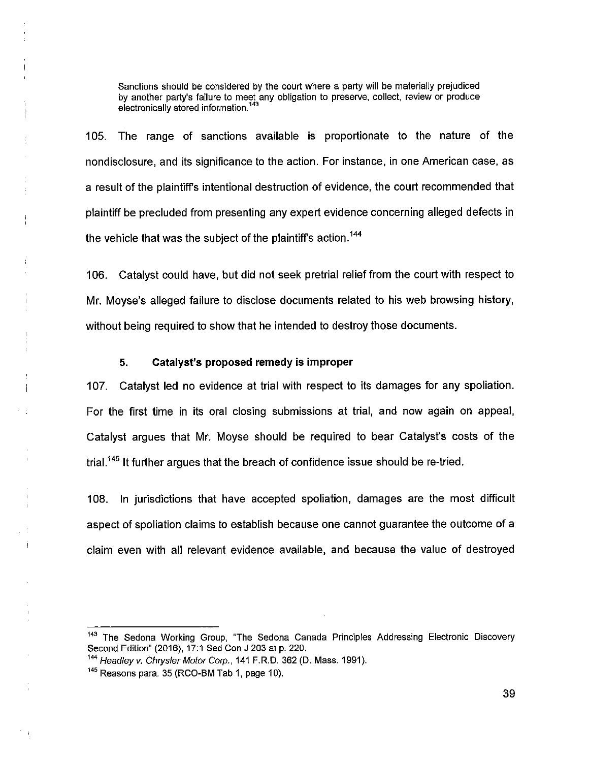Sanctions should be considered by the court where a party will be materially prejudiced by another party's failure to meet any obligation to preserve, collect, review or produce electronically stored information.<sup>143</sup>

105. The range of sanctions available is proportionate to the nature of the nondisclosure, and its significance to the action. For instance, in one American case, as a result of the plaintiff's intentional destruction of evidence, the court recommended that plaintiff be precluded from presenting any expert evidence concerning alleged defects in the vehicle that was the subject of the plaintiff's action.<sup>144</sup>

106. Catalyst could have, but did not seek pretrial relief from the court with respect to Mr. Moyse's alleged failure to disclose documents related to his web browsing history, without being required to show that he intended to destroy those documents.

## **5. Catalyst's proposed remedy is improper**

107. Catalyst led no evidence at trial with respect to its damages for any spoliation. For the first time in its oral closing submissions at trial, and now again on appeal, Catalyst argues that Mr. Moyse should be required to bear Catalyst's costs of the trial.<sup>145</sup> It further argues that the breach of confidence issue should be re-tried.

108. In jurisdictions that have accepted spoliation, damages are the most difficult aspect of spoliation claims to establish because one cannot guarantee the outcome of a claim even with all relevant evidence available, and because the value of destroyed

<sup>&</sup>lt;sup>143</sup> The Sedona Working Group, "The Sedona Canada Principles Addressing Electronic Discovery Second Edition" (2016), 17:1 Sed Con J 203 at p. 220.

*<sup>144</sup>Headley* v. *Chrysler Motor Corp.,* 141 F.R.D. 362 (D. Mass. 1991).

<sup>145</sup> Reasons para. 35 (RCO-BM Tab 1, page 10).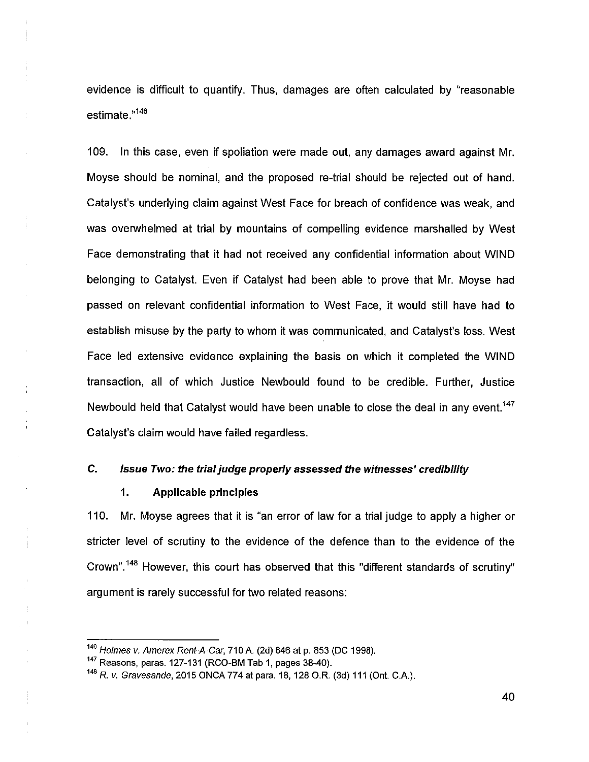evidence is difficult to quantify. Thus, damages are often calculated by "reasonable estimate."<sup>146</sup>

109. In this case, even if spoliation were made out, any damages award against Mr. Moyse should be nominal, and the proposed re-trial should be rejected out of hand. Catalyst's underlying claim against West Face for breach of confidence was weak, and was overwhelmed at trial by mountains of compelling evidence marshalled by West Face demonstrating that it had not received any confidential information about WIND belonging to Catalyst. Even if Catalyst had been able to prove that Mr. Moyse had passed on relevant confidential information to West Face, it would still have had to establish misuse by the party to whom it was communicated, and Catalyst's loss. West Face led extensive evidence explaining the basis on which it completed the WIND transaction, all of which Justice Newbould found to be credible. Further, Justice Newbould held that Catalyst would have been unable to close the deal in any event.<sup>147</sup> Catalyst's claim would have failed regardless.

## **C.** *Issue Two: the trial judge properly assessed the witnesses' credibility*

## **1. Applicable principles**

÷

110. Mr. Moyse agrees that it is "an error of law for a trial judge to apply a higher or stricter level of scrutiny to the evidence of the defence than to the evidence of the Crown".148 However, this court has observed that this "different standards of scrutiny" argument is rarely successful for two related reasons:

*<sup>146</sup>Holmes v. Amerex Rent-A-Car,* 710 A. (2d) 846 at p. 853 (DC 1998),

 $147$  Reasons, paras. 127-131 (RCO-BM Tab 1, pages 38-40).

*<sup>148</sup>R.* v. *Gravesande,* 2015 ONCA 774 at para. 18, 128 O.R. (3d) 111 (Ont. C.A.).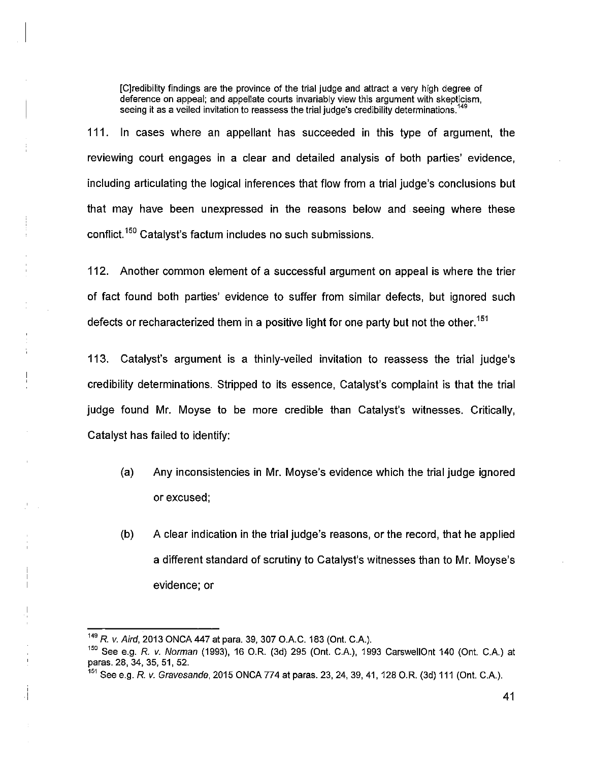[Credibility findings are the province of the trial judge and attract a very high degree of deference on appeal; and appellate courts invariably view this argument with skepticism, seeing it as a veiled invitation to reassess the trial judge's credibility determinations.<sup>14</sup>

111. In cases where an appellant has succeeded in this type of argument, the reviewing court engages in a clear and detailed analysis of both parties' evidence, including articulating the logical inferences that flow from a trial judge's conclusions but that may have been unexpressed in the reasons below and seeing where these conflict.150 Catalyst's factum includes no such submissions.

112. Another common element of a successful argument on appeal is where the trier of fact found both parties' evidence to suffer from similar defects, but ignored such defects or recharacterized them in a positive light for one party but not the other.<sup>151</sup>

113. Catalyst's argument is a thinly-veiled invitation to reassess the trial judge's credibility determinations. Stripped to its essence, Catalyst's complaint is that the trial judge found Mr. Moyse to be more credible than Catalyst's witnesses. Critically, Catalyst has failed to identify;

- (a) Any inconsistencies in Mr. Moyse's evidence which the trial judge ignored or excused;
- (b) A clear indication in the trial judge's reasons, or the record, that he applied a different standard of scrutiny to Catalyst's witnesses than to Mr. Moyse's evidence; or

*<sup>149</sup>R. v. Aird,* 2013 ONCA 447 at para. 39, 307 O.A.C. 183 (Ont. C.A.).

<sup>&</sup>lt;sup>150</sup> See e.g. *R. v. Norman* (1993), 16 O.R. (3d) 295 (Ont. C.A.), 1993 CarswellOnt 140 (Ont. C.A.) at paras. 28, 34, 35, 51, 52.

<sup>151</sup> See e.g. *R. v. Gravesande*, 2015 ONCA 774 at paras. 23, 24, 39, 41, 128 O.R. (3d) 111 (Ont. C.A.).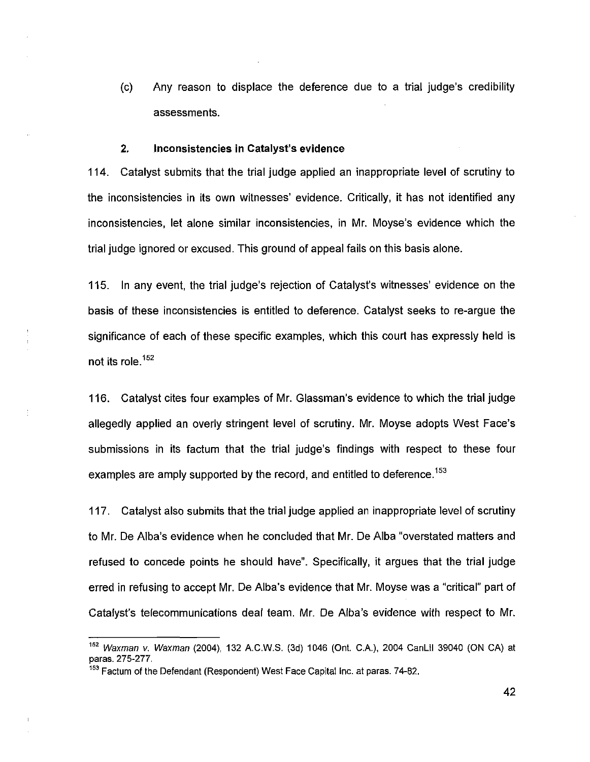(c) Any reason to displace the deference due to a trial judge's credibility assessments.

## **2. Inconsistencies in Catalyst's evidence**

114. Catalyst submits that the trial judge applied an inappropriate level of scrutiny to the inconsistencies in its own witnesses' evidence. Critically, it has not identified any inconsistencies, let alone similar inconsistencies, in Mr. Moyse's evidence which the trial judge ignored or excused. This ground of appeal fails on this basis alone.

115. In any event, the trial judge's rejection of Catalyst's witnesses' evidence on the basis of these inconsistencies is entitled to deference. Catalyst seeks to re-argue the significance of each of these specific examples, which this court has expressly held is not its role.<sup>152</sup>

116. Catalyst cites four examples of Mr. Glassman's evidence to which the trial judge allegedly applied an overly stringent level of scrutiny. Mr. Moyse adopts West Face's submissions in its factum that the trial judge's findings with respect to these four examples are amply supported by the record, and entitled to deference.<sup>153</sup>

117. Catalyst also submits that the trial judge applied an inappropriate level of scrutiny to Mr. De Alba's evidence when he concluded that Mr. De Alba "overstated matters and refused to concede points he should have". Specifically, it argues that the trial judge erred in refusing to accept Mr. De Alba's evidence that Mr. Moyse was a "critical" part of Catalyst's telecommunications deal team. Mr. De Alba's evidence with respect to Mr.

*<sup>152</sup>Waxman* v. *Waxman* (2004), 132 A.C.W.S. (3d) 1046 (Ont. C.A.), 2004 CanLlI 39040 (ON CA) at paras. 275-277,

<sup>&</sup>lt;sup>153</sup> Factum of the Defendant (Respondent) West Face Capital Inc. at paras. 74-82,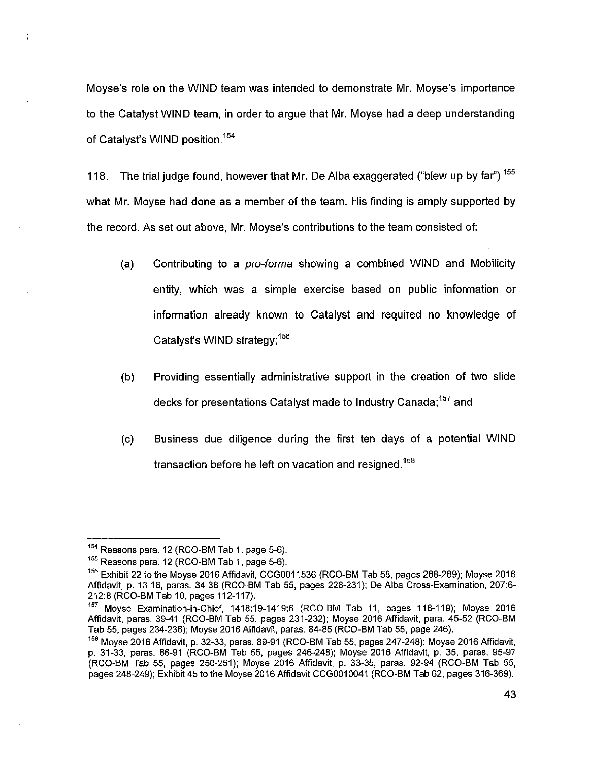Moyse's role on the WIND team was intended to demonstrate Mr. Moyse's importance to the Catalyst WIND team, in order to argue that Mr. Moyse had a deep understanding of Catalyst's WIND position.<sup>154</sup>

118. The trial judge found, however that Mr. De Alba exaggerated ("blew up by far")<sup>155</sup> what Mr. Moyse had done as a member of the team. His finding is amply supported by the record. As set out above, Mr. Moyse's contributions to the team consisted of:

- (a) Contributing to a *pro-forma* showing a combined WIND and Mobilicity entity, which was a simple exercise based on public information or information already known to Catalyst and required no knowledge of Catalyst's WIND strategy;<sup>156</sup>
- (b) Providing essentially administrative support in the creation of two slide decks for presentations Catalyst made to Industry Canada;<sup>157</sup> and
- (c) Business due diligence during the first ten days of a potential WIND transaction before he left on vacation and resigned.<sup>158</sup>

 $154$  Reasons para. 12 (RCO-BM Tab 1, page 5-6).

 $155$  Reasons para. 12 (RCO-BM Tab 1, page 5-6).

<sup>&</sup>lt;sup>156</sup> Exhibit 22 to the Moyse 2016 Affidavit, CCG0011536 (RCO-BM Tab 58, pages 288-289); Moyse 2016 Affidavit, p. 13-16, paras. 34-38 (RCO-BM Tab 55, pages 228-231); De Alba Cross-Examination, 207:6- 212:8 (RCO-BM Tab 10, pages 112-117).

<sup>157</sup>Moyse Examination-in-Chief, 1418:19-1419:6 (RCO-BM Tab 11, pages 118-119); Moyse 2016 Affidavit, paras, 39-41 (RCO-BM Tab 55, pages 231-232); Moyse 2016 Affidavit, para. 45-52 (RCO-BM Tab 55, pages 234-236); Moyse 2016 Affidavit, paras. 84-85 (RCO-BM Tab 55, page 246).

 $158$  Moyse 2016 Affidavit, p. 32-33, paras. 89-91 (RCO-BM Tab 55, pages 247-248); Moyse 2016 Affidavit, p. 31-33, paras. 86-91 (RCO-BM Tab 55, pages 246-248); Moyse 2016 Affidavit, p. 35, paras. 95-97 (RCO-BM Tab 55, pages 250-251); Moyse 2016 Affidavit, p. 33-35, paras. 92-94 (RCO-BM Tab 55, pages 248-249); Exhibit 45 to the Moyse 2016 Affidavit CCG0010041 (RCO-BM Tab 62, pages 316-369).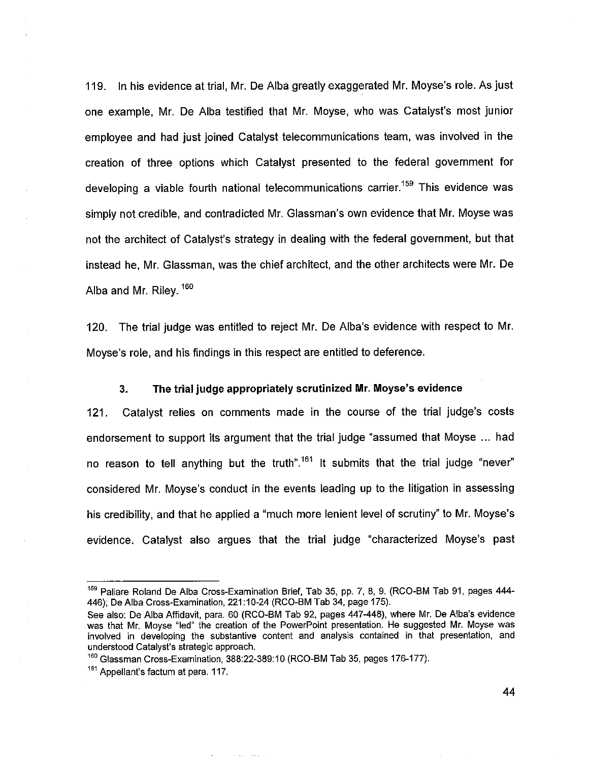119. In his evidence at trial, Mr. De Alba greatly exaggerated Mr. Moyse's role. As just one example, Mr. De Alba testified that Mr. Moyse, who was Catalyst's most junior employee and had just joined Catalyst telecommunications team, was involved in the creation of three options which Catalyst presented to the federal government for developing a viable fourth national telecommunications carrier.<sup>159</sup> This evidence was simply not credible, and contradicted Mr. Glassman's own evidence that Mr. Moyse was not the architect of Catalyst's strategy in dealing with the federal government, but that instead he, Mr. Glassman, was the chief architect, and the other architects were Mr. De Alba and Mr. Riley.<sup>160</sup>

120. The trial judge was entitled to reject Mr. De Alba's evidence with respect to Mr. Moyse's role, and his findings in this respect are entitled to deference.

## **3. The trial judge appropriately scrutinized Mr. Moyse's evidence**

121. Catalyst relies on comments made in the course of the trial judge's costs endorsement to support its argument that the trial judge "assumed that Moyse ... had no reason to tell anything but the truth".<sup>161</sup> It submits that the trial judge "never" considered Mr. Moyse's conduct in the events leading up to the litigation in assessing his credibility, and that he applied a "much more lenient level of scrutiny" to Mr. Moyse's evidence. Catalyst also argues that the trial judge "characterized Moyse's past

<sup>&</sup>lt;sup>159</sup> Paliare Roland De Alba Cross-Examination Brief, Tab 35, pp. 7, 8, 9. (RCO-BM Tab 91, pages 444-446); De Alba Cross-Examination, 221:10-24 (RCO-BM Tab 34, page 175).

See also: De Alba Affidavit, para. 60 (RCO-BM Tab 92, pages 447-448), where Mr. De Alba's evidence was that Mr. Moyse "led" the creation of the PowerPoint presentation. He suggested Mr. Moyse was involved in developing the substantive content and analysis contained in that presentation, and understood Catalyst's strategic approach.

<sup>&</sup>lt;sup>160</sup> Glassman Cross-Examination, 388:22-389:10 (RCO-BM Tab 35, pages 176-177).

<sup>&</sup>lt;sup>161</sup> Appellant's factum at para. 117.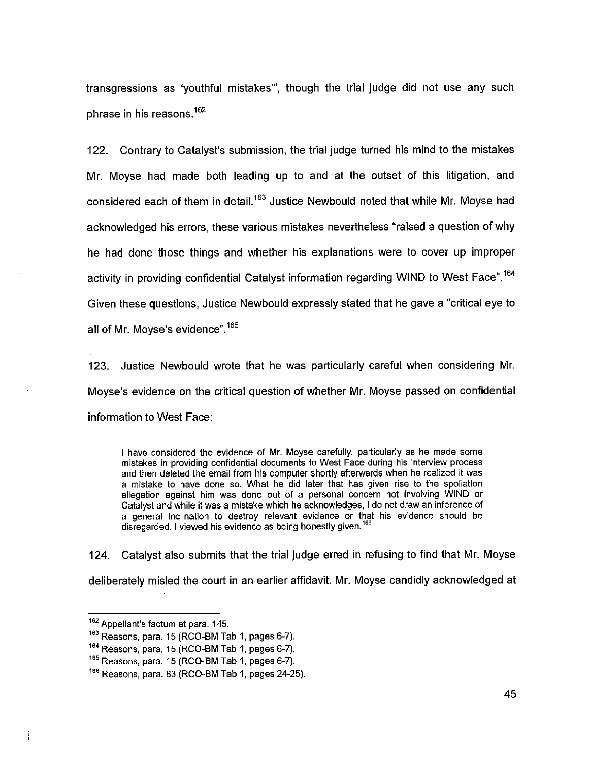transgressions as 'youthful mistakes'", though the trial judge did not use any such phrase in his reasons.<sup>162</sup>

122. Contrary to Catalyst's submission, the trial judge turned his mind to the mistakes Mr. Moyse had made both leading up to and at the outset of this litigation, and considered each of them in detail.<sup>163</sup> Justice Newbould noted that while Mr. Moyse had acknowledged his errors, these various mistakes nevertheless "raised a question of why he had done those things and whether his explanations were to cover up improper activity in providing confidential Catalyst information regarding WIND to West Face".<sup>164</sup> Given these questions, Justice Newbould expressly stated that he gave a "critical eye to all of Mr. Moyse's evidence".<sup>165</sup>

123. Justice Newbould wrote that he was particularly careful when considering Mr. Moyse's evidence on the critical question of whether Mr. Moyse passed on confidential information to West Face:

I have considered the evidence of Mr. Moyse carefully, particularly as he made some mistakes in providing confidential documents to West Face during his interview process and then deleted the email from his computer shortly afterwards when he realized it was a mistake to have done so. What he did later that has given rise to the spoliation allegation against him was done out of a personal concern not involving WIND or Catalyst and while it was a mistake which he acknowledges, I do not draw an inference of a general inclination to destroy relevant evidence or that his evidence should be disregarded. I viewed his evidence as being honestly given.<sup>166</sup>

124. Catalyst also submits that the trial judge erred in refusing to find that Mr. Moyse deliberately misled the court in an earlier affidavit. Mr. Moyse candidly acknowledged at

<sup>162</sup> Appellant's factum at para. 145.

<sup>&</sup>lt;sup>163</sup> Reasons, para. 15 (RCO-BM Tab 1, pages 6-7).

 $164$  Reasons, para. 15 (RCO-BM Tab 1, pages 6-7).

 $165$  Reasons, para. 15 (RCO-BM Tab 1, pages 6-7).

 $166$  Reasons, para. 83 (RCO-BM Tab 1, pages 24-25).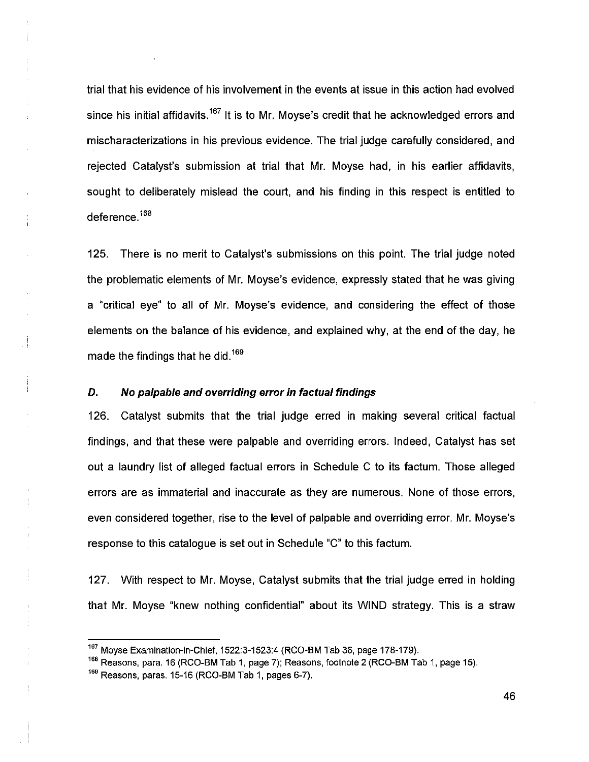trial that his evidence of his involvement in the events at issue in this action had evolved since his initial affidavits.<sup>167</sup> It is to Mr. Moyse's credit that he acknowledged errors and mischaracterizations in his previous evidence. The trial judge carefully considered, and rejected Catalyst's submission at trial that Mr. Moyse had, in his earlier affidavits, sought to deliberately mislead the court, and his finding in this respect is entitled to deference.<sup>168</sup>

125. There is no merit to Catalyst's submissions on this point. The trial judge noted the problematic elements of Mr. Moyse's evidence, expressly stated that he was giving a "critical eye" to all of Mr. Moyse's evidence, and considering the effect of those elements on the balance of his evidence, and explained why, at the end of the day, he made the findings that he did.<sup>169</sup>

# *D. No palpable and overriding error in factual findings*

126. Catalyst submits that the trial judge erred in making several critical factual findings, and that these were palpable and overriding errors. Indeed, Catalyst has set out a laundry list of alleged factual errors in Schedule C to its factum. Those alleged errors are as immaterial and inaccurate as they are numerous. None of those errors, even considered together, rise to the level of palpable and overriding error. Mr. Moyse's response to this catalogue is set out in Schedule "C" to this factum.

127. With respect to Mr. Moyse, Catalyst submits that the trial judge erred in holding that Mr. Moyse "knew nothing confidential" about its WIND strategy. This is a straw

 $167$  Moyse Examination-in-Chief, 1522:3-1523:4 (RCO-BM Tab 36, page 178-179).

<sup>&</sup>lt;sup>168</sup> Reasons, para. 16 (RCO-BM Tab 1, page 7); Reasons, footnote 2 (RCO-BM Tab 1, page 15). 169 Reasons, paras. 15-16 (RCO-BM Tab 1, pages 6-7).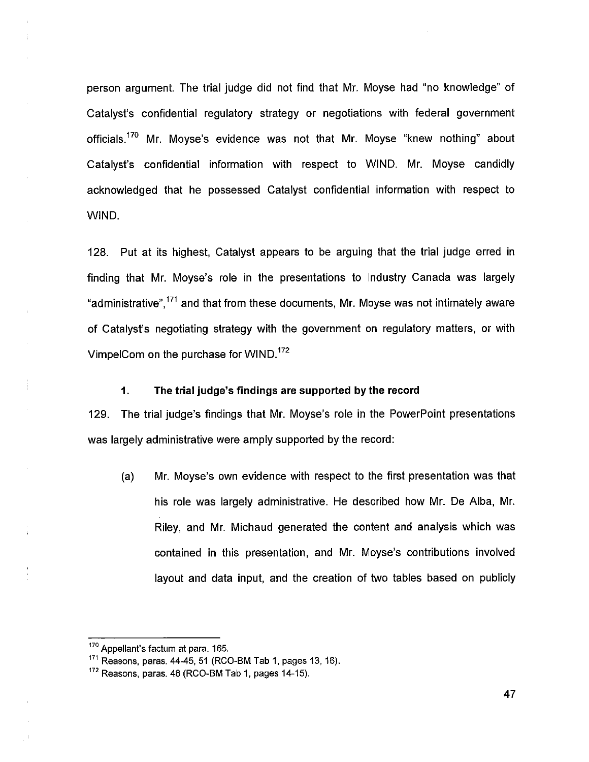person argument. The trial judge did not find that Mr. Moyse had "no knowledge" of Catalyst's confidential regulatory strategy or negotiations with federal government officials.<sup>170</sup> Mr. Moyse's evidence was not that Mr. Moyse "knew nothing" about Catalyst's confidential information with respect to WIND. Mr. Moyse candidly acknowledged that he possessed Catalyst confidential information with respect to WIND.

128. Put at its highest, Catalyst appears to be arguing that the trial judge erred in finding that Mr. Moyse's role in the presentations to Industry Canada was largely "administrative",171 and that from these documents, Mr. Moyse was not intimately aware of Catalyst's negotiating strategy with the government on regulatory matters, or with VimpelCom on the purchase for WIND.<sup>172</sup>

## **1. The trial judge's findings are supported by the record**

129. The trial judge's findings that Mr. Moyse's role in the PowerPoint presentations was largely administrative were amply supported by the record:

(a) Mr. Moyse's own evidence with respect to the first presentation was that his role was largely administrative. He described how Mr. De Alba, Mr. Riley, and Mr. Michaud generated the content and analysis which was contained in this presentation, and Mr. Moyse's contributions involved layout and data input, and the creation of two tables based on publicly

<sup>170</sup> Appellant's factum at para. 165.

 $171$  Reasons, paras. 44-45, 51 (RCO-BM Tab 1, pages 13, 16).

<sup>&</sup>lt;sup>172</sup> Reasons, paras. 48 (RCO-BM Tab 1, pages 14-15).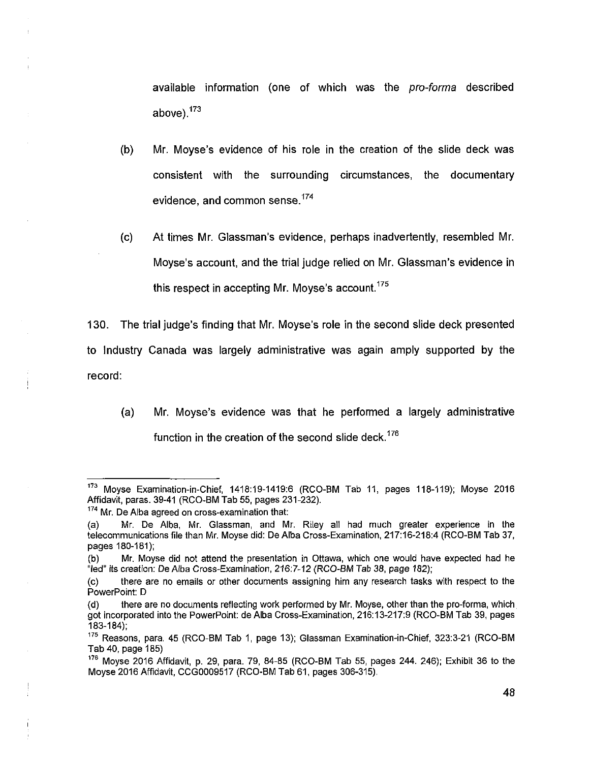available information (one of which was the *pro-forma* described above).<sup>173</sup>

- (b) Mr. Moyse's evidence of his role in the creation of the slide deck was consistent with the surrounding circumstances, the documentary evidence, and common sense.<sup>174</sup>
- (c) At times Mr. Glassman's evidence, perhaps inadvertently, resembled Mr. Moyse's account, and the trial judge relied on Mr. Glassman's evidence in this respect in accepting Mr. Movse's account.<sup>175</sup>

130. The trial judge's finding that Mr. Moyse's role in the second slide deck presented to Industry Canada was largely administrative was again amply supported by the record:

(a) Mr. Moyse's evidence was that he performed a largely administrative function in the creation of the second slide deck.<sup>176</sup>

<sup>&</sup>lt;sup>173</sup> Moyse Examination-in-Chief, 1418:19-1419:6 (RCO-BM Tab 11, pages 118-119); Moyse 2016 Affidavit, paras. 39-41 (RCO-BM Tab 55, pages 231-232).

<sup>&</sup>lt;sup>174</sup> Mr. De Alba agreed on cross-examination that:

<sup>(</sup>a) Mr. De Alba, Mr. Glassman, and Mr. Riley all had much greater experience in the telecommunications file than Mr. Moyse did: De Alba Cross-Examination, 217:16-218:4 (RCO-BM Tab 37, pages 180-181);

<sup>(</sup>b) Mr. Moyse did not attend the presentation in Ottawa, which one would have expected had he "led" its creation: De Alba Cross-Examination, 216:7-12 (RCO-BM Tab 38, page 182);

<sup>(</sup>c) there are no emails or other documents assigning him any research tasks with respect to the PowerPoint: D

<sup>(</sup>d) there are no documents reflecting work performed by Mr. Moyse, other than the pro-forma, which got incorporated into the PowerPoint: de Alba Cross-Examination, 216:13-217:9 (RCO-BM Tab 39, pages 183-184);

 $175$  Reasons, para. 45 (RCO-BM Tab 1, page 13); Glassman Examination-in-Chief, 323:3-21 (RCO-BM Tab 40, page 185)

 $176$  Moyse 2016 Affidavit, p. 29, para. 79, 84-85 (RCO-BM Tab 55, pages 244. 246); Exhibit 36 to the Moyse 2016 Affidavit, CCG0009517 (RCO-BM Tab 61, pages 306-315).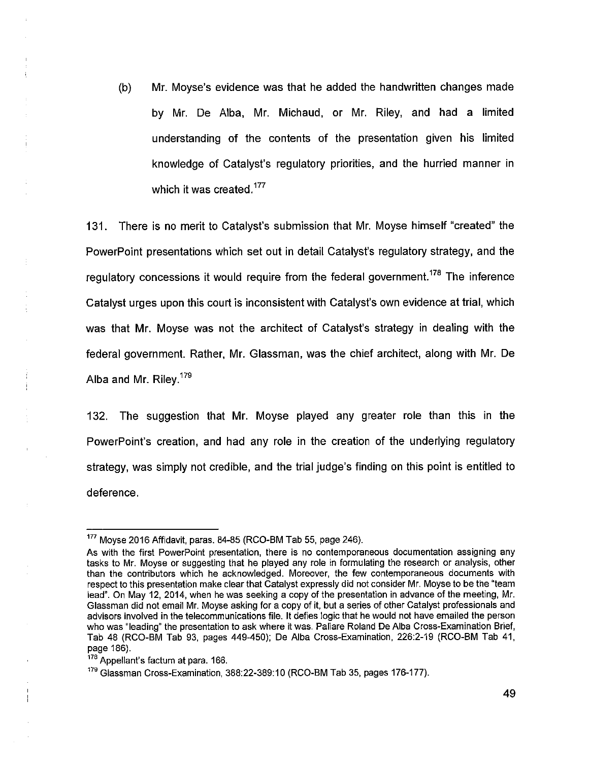(b) Mr. Moyse's evidence was that he added the handwritten changes made by Mr. De Alba, Mr. Michaud, or Mr. Riley, and had a limited understanding of the contents of the presentation given his limited knowledge of Catalyst's regulatory priorities, and the hurried manner in which it was created.<sup>177</sup>

131. There is no merit to Catalyst's submission that Mr. Moyse himself "created" the PowerPoint presentations which set out in detail Catalyst's regulatory strategy, and the regulatory concessions it would require from the federal government.<sup>178</sup> The inference Catalyst urges upon this court is inconsistent with Catalyst's own evidence at trial, which was that Mr. Moyse was not the architect of Catalyst's strategy in dealing with the federal government. Rather, Mr. Glassman, was the chief architect, along with Mr. De Alba and Mr. Riley.<sup>179</sup>

132. The suggestion that Mr. Moyse played any greater role than this in the PowerPoint's creation, and had any role in the creation of the underlying regulatory strategy, was simply not credible, and the trial judge's finding on this point is entitled to deference.

 $177$  Moyse 2016 Affidavit, paras. 84-85 (RCO-BM Tab 55, page 246).

As with the first PowerPoint presentation, there is no contemporaneous documentation assigning any tasks to Mr. Moyse or suggesting that he played any role in formulating the research or analysis, other than the contributors which he acknowledged. Moreover, the few contemporaneous documents with respect to this presentation make clear that Catalyst expressly did not consider Mr. Moyse to be the "team lead". On May 12, 2014, when he was seeking a copy of the presentation in advance of the meeting, Mr. Glassman did not email Mr. Moyse asking for a copy of it, but a series of other Catalyst professionals and advisors involved in the telecommunications file. It defies logic that he would not have emailed the person who was "leading" the presentation to ask where it was. Paliare Roland De Alba Cross-Examination Brief, Tab 48 (RCO-BM Tab 93, pages 449-450); De Alba Cross-Examination, 226:2-19 (RCO-BM Tab 41, page 186).

<sup>178</sup> Appellant's factum at para. 166.

<sup>&</sup>lt;sup>179</sup> Glassman Cross-Examination, 388:22-389:10 (RCO-BM Tab 35, pages 176-177).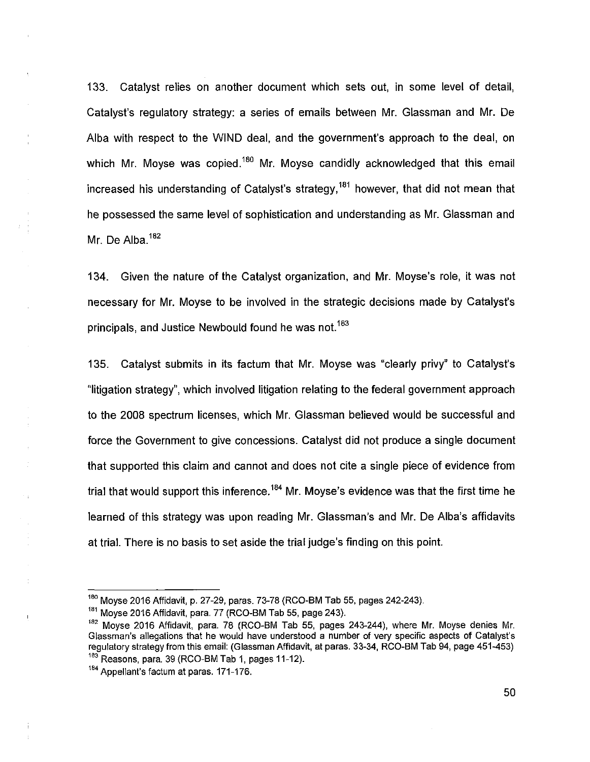133. Catalyst relies on another document which sets out, in some level of detail, Catalyst's regulatory strategy: a series of emails between Mr. Glassman and Mr. De Alba with respect to the WIND deal, and the government's approach to the deal, on which Mr. Moyse was copied.<sup>180</sup> Mr. Moyse candidly acknowledged that this email increased his understanding of Catalyst's strategy,<sup>181</sup> however, that did not mean that he possessed the same level of sophistication and understanding as Mr. Glassman and Mr. De Alba.<sup>182</sup>

134. Given the nature of the Catalyst organization, and Mr. Moyse's role, it was not necessary for Mr. Moyse to be involved in the strategic decisions made by Catalyst's principals, and Justice Newbould found he was not.<sup>183</sup>

135. Catalyst submits in its factum that Mr. Moyse was "clearly privy" to Catalyst's "litigation strategy", which involved litigation relating to the federal government approach to the 2008 spectrum licenses, which Mr. Glassman believed would be successful and force the Government to give concessions. Catalyst did not produce a single document that supported this claim and cannot and does not cite a single piece of evidence from trial that would support this inference.<sup>184</sup> Mr. Moyse's evidence was that the first time he learned of this strategy was upon reading Mr. Glassman's and Mr. De Alba's affidavits at trial. There is no basis to set aside the trial judge's finding on this point.

 $\sim$  1

 $\frac{1}{2}$ 

 $180$  Moyse 2016 Affidavit, p. 27-29, paras. 73-78 (RCO-BM Tab 55, pages 242-243).

<sup>&</sup>lt;sup>181</sup> Moyse 2016 Affidavit, para. 77 (RCO-BM Tab 55, page 243).

<sup>&</sup>lt;sup>182</sup> Moyse 2016 Affidavit, para. 78 (RCO-BM Tab 55, pages 243-244), where Mr. Moyse denies Mr. Glassman's allegations that he would have understood a number of very specific aspects of Catalyst's regulatory strategy from this email: (Glassman Affidavit, at paras. 33-34, RCO-BM Tab 94, page 451-453)  $183$  Reasons, para. 39 (RCO-BM Tab 1, pages 11-12).

<sup>&</sup>lt;sup>184</sup> Appellant's factum at paras. 171-176.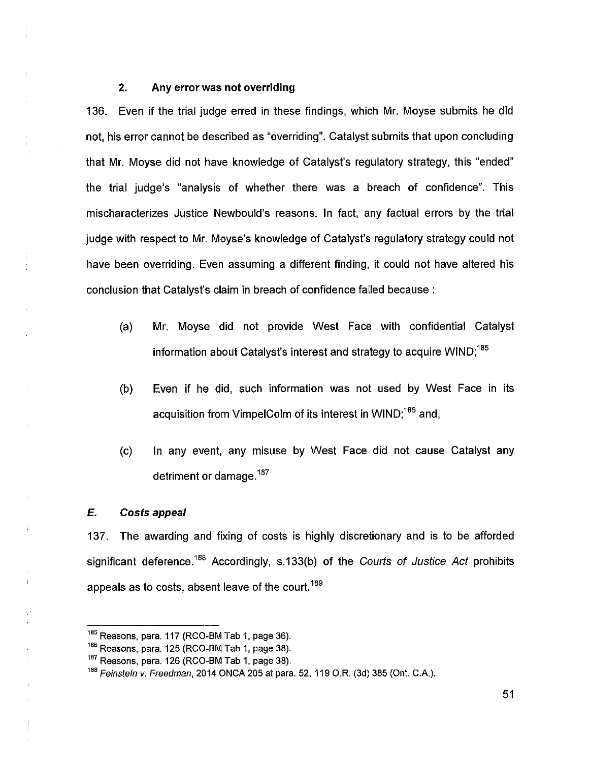# **2. Any error was not overriding**

136. Even if the trial judge erred in these findings, which Mr. Moyse submits he did not, his error cannot be described as "overriding". Catalyst submits that upon concluding that Mr. Moyse did not have knowledge of Catalyst's regulatory strategy, this "ended" the trial judge's "analysis of whether there was a breach of confidence". This mischaracterizes Justice Newbould's reasons. In fact, any factual errors by the trial judge with respect to Mr. Moyse's knowledge of Catalyst's regulatory strategy could not have been overriding. Even assuming a different finding, it could not have altered his conclusion that Catalyst's claim in breach of confidence failed because :

- (a) Mr. Moyse did not provide West Face with confidential Catalyst information about Catalyst's interest and strategy to acquire WIND;<sup>185</sup>
- (b) Even if he did, such information was not used by West Face in its acquisition from VimpelColm of its interest in WIND;<sup>186</sup> and.
- (c) In any event, any misuse by West Face did not cause Catalyst any detriment or damage.<sup>187</sup>

#### *E. Costs appeal*

 $\ddot{1}$ 

137. The awarding and fixing of costs is highly discretionary and is to be afforded significant deference.188 Accordingly, s.133(b) of the *Courts of Justice Act* prohibits appeals as to costs, absent leave of the court.<sup>189</sup>

 $185$  Reasons, para. 117 (RCO-BM Tab 1, page 36).

 $186$  Reasons, para. 125 (RCO-BM Tab 1, page 38).

 $187$  Reasons, para. 126 (RCO-BM Tab 1, page 38).

*<sup>188</sup>Feinstein v. Freedman*, 2014 ONCA205 at para. 52, 119 O.R. (3d) 385 (Ont. C.A.).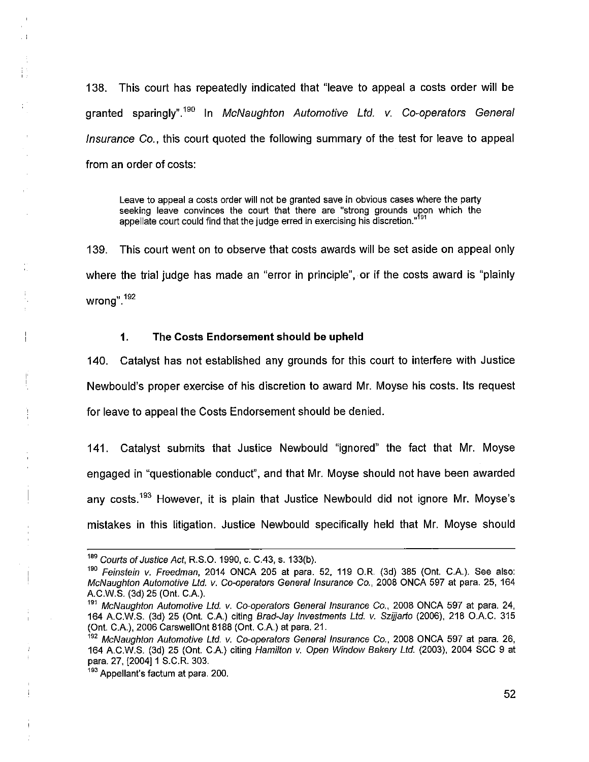138. This court has repeatedly indicated that "leave to appeal a costs order will be granted sparingly".<sup>190</sup>In *McNaughton Automotive Ltd. v. Co-operators General Insurance Co.,* this court quoted the following summary of the test for leave to appeal from an order of costs:

Leave to appeal a costs order will not be granted save in obvious cases where the party seeking leave convinces the court that there are "strong grounds upon which the appellate court could find that the judge erred in exercising his discretion."<sup>191</sup>

139. This court went on to observe that costs awards will be set aside on appeal only where the trial judge has made an "error in principle", or if the costs award is "plainly wrong" <sup>192</sup>

#### **1. The Costs Endorsement should be upheld**

140. Catalyst has not established any grounds for this court to interfere with Justice Newbould's proper exercise of his discretion to award Mr. Moyse his costs. Its request for leave to appeal the Costs Endorsement should be denied.

141. Catalyst submits that Justice Newbould "ignored" the fact that Mr. Moyse engaged in "questionable conduct", and that Mr. Moyse should not have been awarded any costs.<sup>193</sup> However, it is plain that Justice Newbould did not ignore Mr. Moyse's mistakes in this litigation. Justice Newbould specifically held that Mr. Moyse should

*<sup>189</sup>Courts of Justice Act,* R.S.0.1990, c. C.43, s. 133(b).

*<sup>190</sup>Feinstein v. Freedman,* 2014 ONCA 205 at para. 52, 119 O.R. (3d) 385 (Ont. C.A.). See also: *McNaughton Automotive Ltd. v.* Co-operators *General Insurance Co.,* 2008 ONCA 597 at para. 25, 164 A.C.W.S. (3d) 25 (Ont. C.A.).

*<sup>191</sup>McNaughton Automotive Ltd. v. Co-operators General Insurance Co.,* 2008 ONCA 597 at para. 24, 164 A.C.W.S. (3d) 25 (Ont. C.A.) citing *Brad-Jay Investments Ltd. v. Szijjarto* (2006), 218 O.A.C. 315 (Ont. C A), 2006 CarswellOnt 8188 (Ont. C.A.) at para. 21.

*<sup>192</sup>McNaughton Automotive Ltd. v. Co-operators General Insurance Co.,* 2008 ONCA 597 at para. 26, 164 A.C.W.S. (3d) 25 (Ont. C.A.) citing *Hamilton v. Open Window Bakery Ltd.* (2003), 2004 SCC 9 at para. 27, [2004] 1 S.C.R. 303.

<sup>&</sup>lt;sup>193</sup> Appellant's factum at para, 200.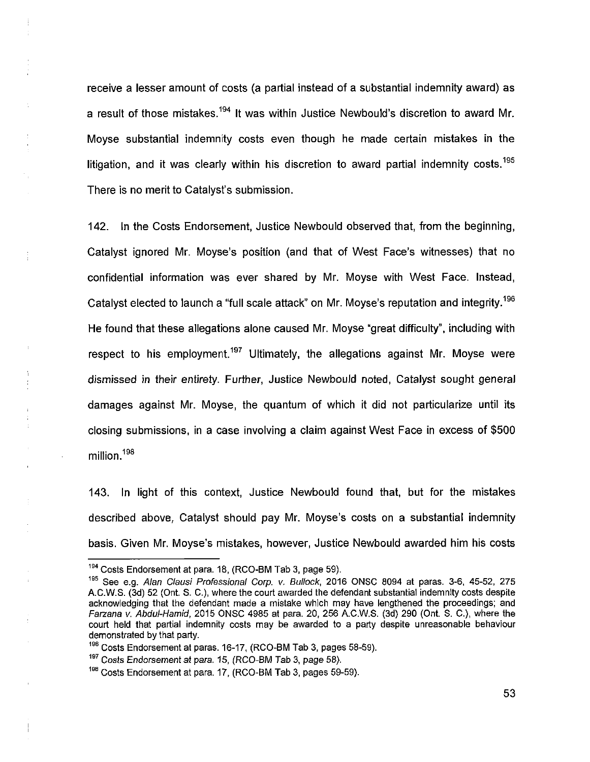receive a lesser amount of costs (a partial instead of a substantial indemnity award) as a result of those mistakes.<sup>194</sup> It was within Justice Newbould's discretion to award Mr. Moyse substantial indemnity costs even though he made certain mistakes in the litigation, and it was clearly within his discretion to award partial indemnity costs.<sup>195</sup> There is no merit to Catalyst's submission.

142. In the Costs Endorsement, Justice Newbould observed that, from the beginning, Catalyst ignored Mr. Moyse's position (and that of West Face's witnesses) that no confidential information was ever shared by Mr. Moyse with West Face. Instead, Catalyst elected to launch a "full scale attack" on Mr. Moyse's reputation and integrity.<sup>196</sup> He found that these allegations alone caused Mr. Moyse "great difficulty", including with respect to his employment.<sup>197</sup> Ultimately, the allegations against Mr. Moyse were dismissed in their entirety. Further, Justice Newbould noted, Catalyst sought general damages against Mr. Moyse, the quantum of which it did not particularize until its closing submissions, in a case involving a claim against West Face in excess of \$500 million.<sup>198</sup>

143. In light of this context, Justice Newbould found that, but for the mistakes described above, Catalyst should pay Mr. Moyse's costs on a substantial indemnity basis. Given Mr. Moyse's mistakes, however, Justice Newbould awarded him his costs

<sup>&</sup>lt;sup>194</sup> Costs Endorsement at para. 18, (RCO-BM Tab 3, page 59).

<sup>195</sup>See e.g. *Alan Clausi Professional Corp. v. Bullock,* 2016 ONSC 8094 at paras. 3-6, 45-52, 275 A.C.W.S. (3d) 52 (Ont. S. C.), where the court awarded the defendant substantial indemnity costs despite acknowledging that the defendant made a mistake which may have lengthened the proceedings; and *Farzana v. Abdul-Hamid,* 2015 ONSC 4985 at para. 20, 256 A.C.W.S. (3d) 290 (Ont. S. C.), where the court held that partial indemnity costs may be awarded to a party despite unreasonable behaviour demonstrated by that party.

<sup>&</sup>lt;sup>196</sup> Costs Endorsement at paras. 16-17, (RCO-BM Tab 3, pages 58-59).

<sup>&</sup>lt;sup>197</sup> Costs Endorsement at para, 15, (RCO-BM Tab 3, page 58).

<sup>198</sup> Costs Endorsement at para. 17, (RCO-BM Tab 3, pages 59-59).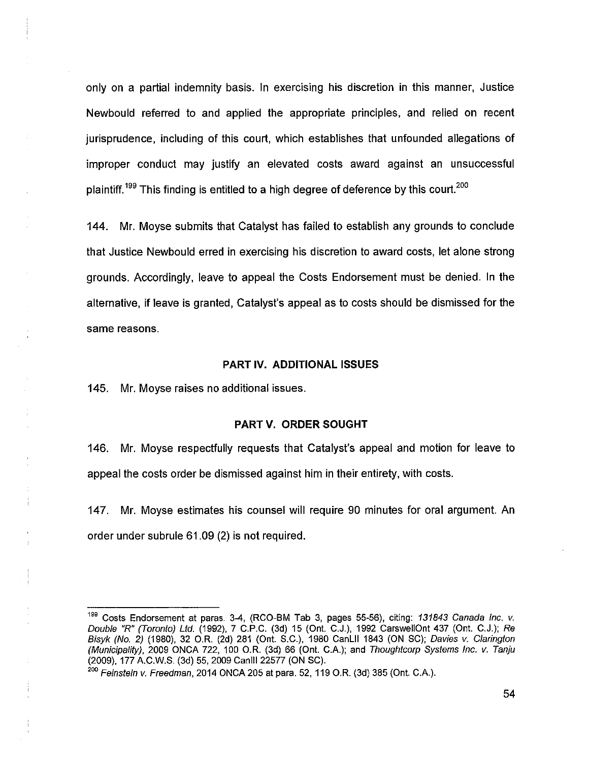only on a partial indemnity basis. In exercising his discretion in this manner, Justice Newbould referred to and applied the appropriate principles, and relied on recent jurisprudence, including of this court, which establishes that unfounded allegations of improper conduct may justify an elevated costs award against an unsuccessful plaintiff.<sup>199</sup> This finding is entitled to a high degree of deference by this court.<sup>200</sup>

144. Mr. Moyse submits that Catalyst has failed to establish any grounds to conclude that Justice Newbould erred in exercising his discretion to award costs, let alone strong grounds. Accordingly, leave to appeal the Costs Endorsement must be denied. In the alternative, if leave is granted, Catalyst's appeal as to costs should be dismissed for the same reasons.

#### **PART IV. ADDITIONAL ISSUES**

145. Mr. Moyse raises no additional issues.

#### **PARTV. ORDER SOUGHT**

146. Mr. Moyse respectfully requests that Catalyst's appeal and motion for leave to appeal the costs order be dismissed against him in their entirety, with costs.

147. Mr. Moyse estimates his counsel will require 90 minutes for oral argument. An order under subrule 61.09 (2) is not required.

<sup>&</sup>lt;sup>199</sup> Costs Endorsement at paras. 3-4, (RCO-BM Tab 3, pages 55-56), citing: 131843 Canada Inc. v. *Double "R" (Toronto) Ltd.* (1992), 7 C.P.C. (3d) 15 (Ont. C.J.), 1992 CarswellOnt 437 (Ont. C.J.); *Re Bisyk (No. 2)* (1980), 32 O.R. (2d) 281 (Ont. S.C.), 1980 CanLII 1843 (ON SC); *Davies v. Clarington (Municipality),* 2009 ONCA 722, 100 O.R. (3d) 66 (Ont. C.A.); and *Thoughtcorp Systems Inc. v. Tanju*  (2009), 177 A.C.W.S. (3d) 55, 2009 Canlll 22577 (ON SC).

*<sup>200</sup> Feinstein* v. *Freedman,* 2014 ONCA 205 at para. 52,119 O.R. (3d) 385 (Ont. C.A.).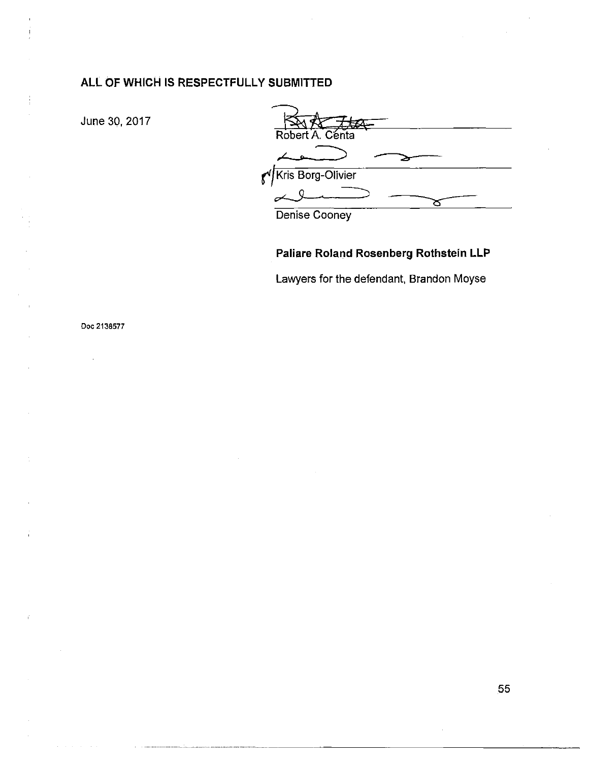# ALL OF WHICH IS RESPECTFULLY SUBMITTED

June 30, 2017

Robert A. Centa Kris Borg-Olivier  $\mathbf{f}^{\prime}$ سکسی σ Denise Cooney

# Paliare Roland Rosenberg Rothstein LLP

Lawyers for the defendant, Brandon Moyse

Doc 2138577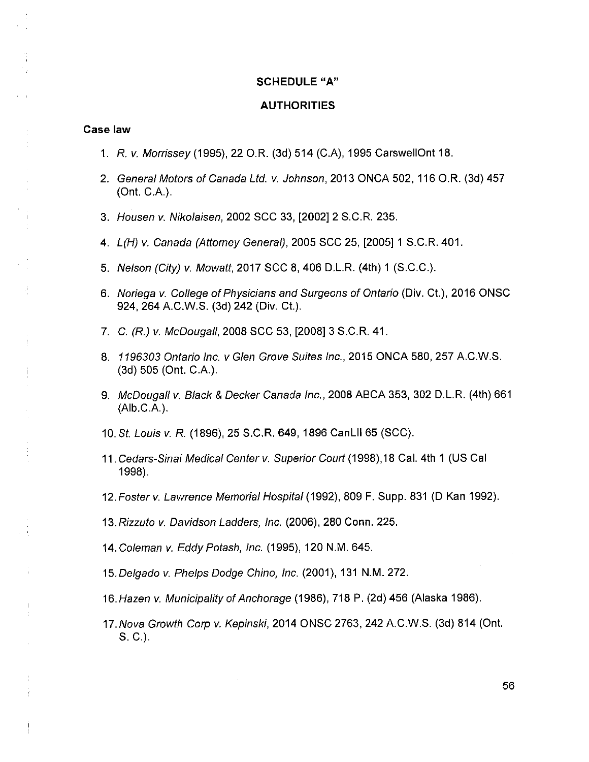#### **SCHEDULE"A"**

#### **AUTHORITIES**

#### **Case law**

÷

- 1. *R. v. Morrissey* (1995), 22 O.R. (3d) 514 (C.A), 1995 CarswellOnt 18.
- 2. *General Motors of Canada Ltd. v. Johnson,* 2013 ONCA 502, 116 O.R. (3d) 457 (Ont. C.A.).
- 3. *Housen v. Nikolaisen,* 2002 SCC 33, [2002] 2 S.C.R. 235.
- 4. *L(H) v. Canada (Attorney General),* 2005 SCC 25, [2005] 1 S.C.R. 401.
- 5. *Nelson (City) v. Mowatt,* 2017 SCC 8, 406 D.L.R. (4th) 1 (S.C.C.).
- 6. *Noriega v. College of Physicians and Surgeons of Ontario* (Div. Ct.), 2016 ONSC 924, 264 A.C.W.S. (3d) 242 (Div. Ct.).
- 7. C. *(R.)* v. *McDougall*, 2008 SCC 53, [2008] 3 S.C.R. 41.
- 8. *1196303 Ontario Inc. v Glen Grove Suites inc.,* 2015 ONCA 580, 257 A.C.W.S. (3d) 505 (Ont. C.A.).
- 9. *McDougali v. Black & Decker Canada Inc.,* 2008 ABCA 353, 302 D.L.R. (4th) 661 (Alb.C.A.).
- 10. St *Louis v. R.* (1896), 25 S.C.R. 649, 1896 CanLII 65 (SCC).
- 11*. Cedars-Sinai Medical Centerv. Superior Court (*1998),18 Cal. 4th 1 (US Cal 1998).
- 12*. Foster v. Lawrence Memorial Hospital* (1992), 809 F. Supp. 831 (D Kan 1992).
- 13*.Rizzuto v. Davidson Ladders, Inc.* (2006), 280 Conn. 225.
- 14. *Coleman v. Eddy Potash, Inc.* (1995), 120 N.M. 645.
- 15*.Delgado v. Phelps Dodge Chino, Inc.* (2001), 131 N.M. 272.
- 16. *Hazen v. Municipality of Anchorage* (1986), 718 P. (2d) 456 (Alaska 1986).
- 17. *Nova Growth Corp v. Kepinski,* 2014 ONSC 2763, 242 A.C.W.S. (3d) 814 (Ont. S. C.).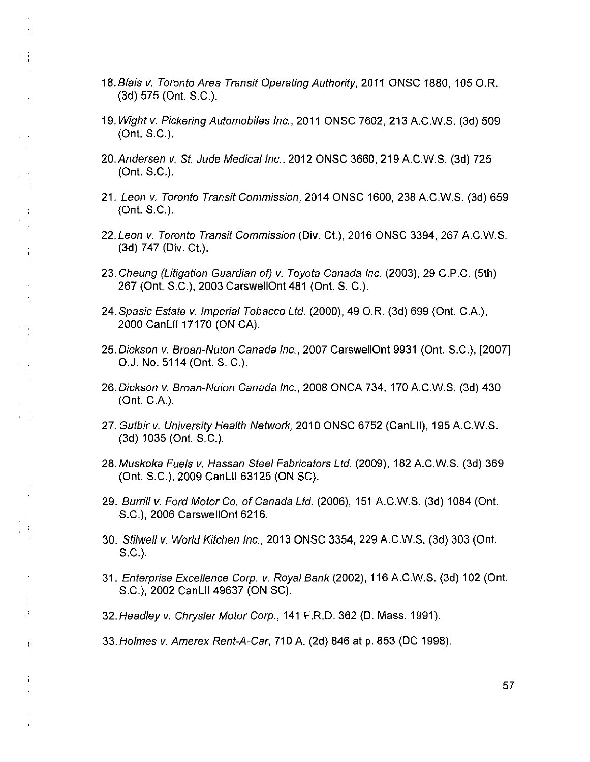- 18*.Blais v. Toronto Area Transit Operating Authority,* 2011 ONSC 1880,105 O.R. (3d) 575 (Ont. S.C.).
- 19. *Wight v. Pickering Automobiles Inc.,* 2011 ONSC 7602, 213 A.C.W.S. (3d) 509 (Ont. S.C.).
- 20. *Andersen v, St Jude Medical Inc.,* 2012 ONSC 3660, 219 A.C.W.S. (3d) 725 (Ont. S.C.).
- 21. *Leon v. Toronto Transit Commission,* 2014 ONSC 1600, 238 A.C.W.S. (3d) 659 (Ont. S.C.).
- *22.Leon v. Toronto Transit Commission* (Div. Ct.), 2016 ONSC 3394, 267 A.C.W.S. (3d) 747 (Div. Ct.).
- 23. *Cheung (Litigation Guardian of) v. Toyota Canada Inc.* (2003), 29 C.P.C. (5th) 267 (Ont. S.C.), 2003 CarswellOnt 481 (Ont. S. C.).

 $\begin{array}{c} 1 \\ 1 \\ 1 \end{array}$ 

Ĥ.

 $\mathbf{r}=\frac{1}{2}$ 

 $\mathbf{r}$ 

 $\frac{1}{4}$ 

- 24. *Spasic Estate v. Imperial Tobacco Ltd.* (2000), 49 O.R. (3d) 699 (Ont. C.A.), 2000 CanLII 17170 (ON CA).
- *25.Dickson v. Broan-Nuton Canada Inc.,* 2007 CarswellOnt 9931 (Ont. S.C.), [2007] O.J. No. 5114 (Ont. S. C.).
- 26.*Dickson v. Broan-Nuton Canada Inc.,* 2008 ONCA 734, 170 A.C.W.S. (3d) 430 (Ont. C.A.).
- 27 *.Gutbirv. University Health Network,* 20100NSC6752 (CanLII), 195 A.C.W.S. (3d) 1035 (Ont. S.C.).
- 28*.Muskoka Fuels v. Hassan Steel Fabricators Ltd.* (2009), 182 A.C.W.S. (3d) 369 (Ont. S.C.), 2009 CanLII 63125 (ON SC).
- 29. *Burriltv. Ford Motor Co. of Canada Ltd.* (2006), 151 A.C.W.S. (3d) 1084 (Ont. S.C.), 2006 CarswellOnt 6216.
- 30. *Stilweli* v. *World Kitchen Inc.,* 2013 ONSC 3354, 229 A.C.W.S. (3d) 303 (Ont. S.C.).
- 31. *Enterprise Excellence Corp. v. Royal Bank* (2002), 116 A.C.W.S. (3d) 102 (Ont. S.C.), 2002 CanLII 49637 (ON SC).
- 32*.Headleyv. Chrysler Motor Corp.,* 141 F.R.D. 362 (D. Mass. 1991).
- 33*.Holmes v. Amerex Rent-A-Car,* 710 A. (2d) 846 at p. 853 (DC 1998).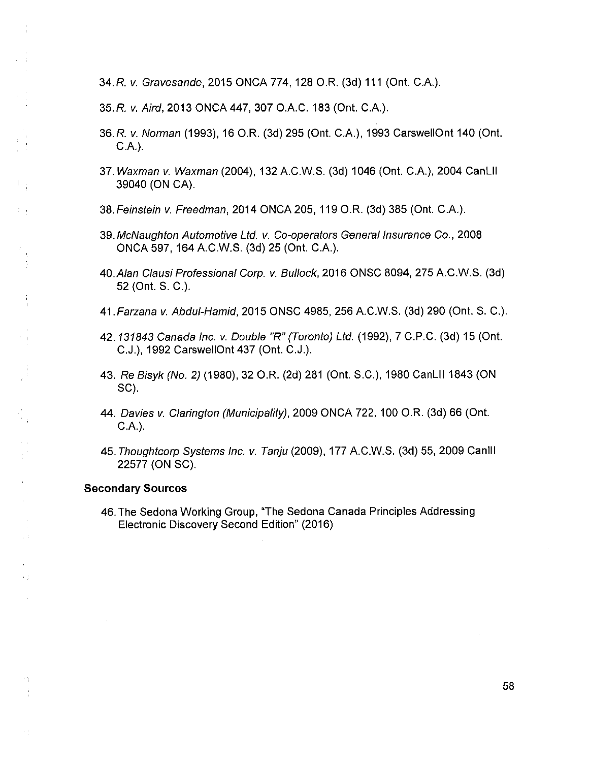34. *R. v. Gravesande,* 2015 ONCA 774, 128 O.R. (3d) 111 (Ont. C.A.).

35. *R. v. Aird,* 2013 ONCA 447, 307 O.A.C. 183 (Ont. C.A.).

- 36.R v. *Norman* (1993), 16 O.R. (3d) 295 (Ont. C.A.), 1993 CarswellOnt 140 (Ont. C.A.).
- 37. *Waxman* v. *Waxman* (2004), 132 A.C.W.S. (3d) 1046 (Ont. C.A.), 2004 CanLII 39040 (ON CA).
- 38*.Feinstein v. Freedman,* 2014 ONCA 205, 119 O.R. (3d) 385 (Ont. C.A.).
- *Z9.McNaughton Automotive Ltd. v. Co-operators General Insurance Co*., 2008 ONCA 597, 164 A.C.W.S. (3d) 25 (Ont. C.A.).
- 40*.Alan Ctausi Professional Corp. v. Bullock,* 2016 ONSC 8094, 275 A.C.W.S. (3d) 52 (Ont. S. C.).
- 41.*Farzana v. Abdul-Hamid,* 2015 ONSC 4985, 256 A.C.W.S. (3d) 290 (Ont. S. C.).
- 42.*131843 Canada Inc. v. Double "R" (Toronto) Ltd.* (1992), 7 C.P.C. (3d) 15 (Ont. C.J.), 1992 CarswellOnt 437 (Ont. C.J.).
- 43. *Re Bisyk (No. 2)* (1980), 32 O.R. (2d) 281 (Ont. S.C.), 1980 CanLII 1843 (ON SC).
- 44. *Davies v. Clarington (Municipality),* 2009 ONCA 722, 100 O.R. (3d) 66 (Ont. C.A.).
- 45. *Thoughtcorp Systems Inc. v. Tanju* (2009), 177 A.C.W.S. (3d) 55, 2009 Canlll 22577 (ON SC).

#### **Secondary Sources**

 $\Gamma_{\rm eff}$ 

 $\frac{1}{4}$ 

 $\frac{1}{4}$ 

 $\sim 3$ 

 $\sim$  1

村

 $\epsilon$  )

46.The Sedona Working Group, "The Sedona Canada Principles Addressing Electronic Discovery Second Edition" (2016)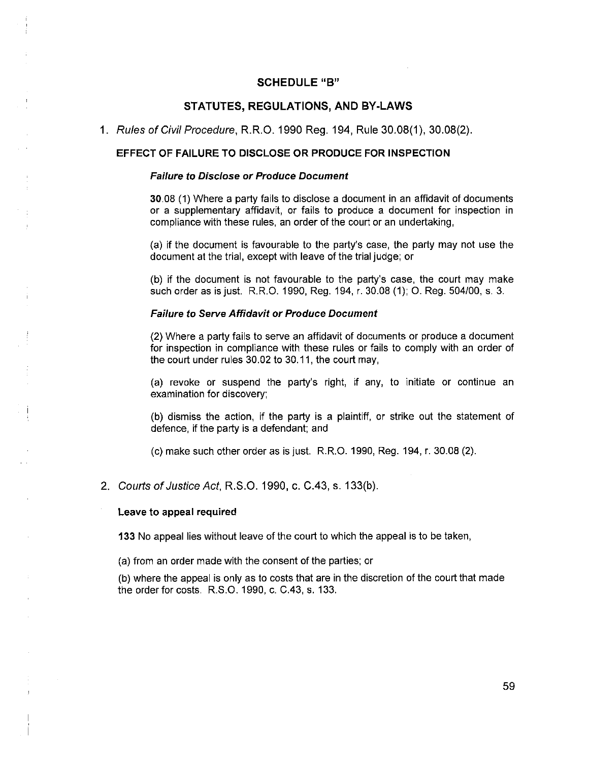#### **SCHEDULE"B"**

#### **STATUTES, REGULATIONS, AND BY-LAWS**

1. *Rules of Civil Procedure,* R.R.O. 1990 Reg. 194, Rule 30.08(1), 30.08(2).

#### **EFFECT OF FAILURE TO DISCLOSE OR PRODUCE FOR INSPECTION**

#### *Failure to Disclose or Produce Document*

30.08 (1) Where a party fails to disclose a document in an affidavit of documents or a supplementary affidavit, or fails to produce a document for inspection in compliance with these rules, an order of the court or an undertaking,

(a) if the document is favourable to the party's case, the party may not use the document at the trial, except with leave of the trial judge; or

(b) if the document is not favourable to the party's case, the court may make such order as is just. R.R.O. 1990, Reg. 194, r. 30.08 (1); O. Reg. 504/00, s, 3.

#### *Failure to Serve Affidavit or Produce Document*

(2) Where a party fails to serve an affidavit of documents or produce a document for inspection in compliance with these rules or fails to comply with an order of the court under rules 30.02 to 30.11, the court may,

(a) revoke or suspend the party's right, if any, to initiate or continue an examination for discovery;

(b) dismiss the action, if the party is a plaintiff, or strike out the statement of defence, if the party is a defendant; and

(c) make such other order as is just. R.R.O. 1990, Reg. 194, r. 30.08 (2).

2. *Courts of Justice Act,* R.S.O. 1990, c. C.43, s. 133(b).

#### **Leave to appeal required**

133 No appeal lies without leave of the court to which the appeal is to be taken,

(a) from an order made with the consent of the parties; or

(b) where the appeal is only as to costs that are in the discretion of the court that made the order for costs. R.S.O. 1990, c. C.43, s. 133.